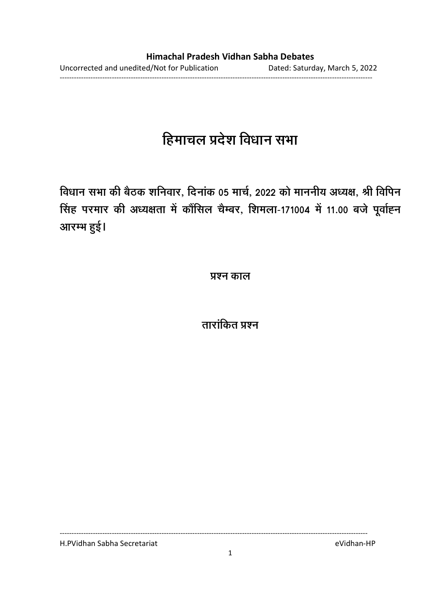# हिमाचल प्रदेश विधान सभा

विधान सभा की बैठक शनिवार, दिनाक 05 मार्च, 2022 को माननीय अध्यक्ष, श्री विपिन <u>सिंह परमार की अध्यक्षता में कौंसिल चैम्बर, शिमला-171004 में 11.00 बजे पूर्वाह्न</u> आरम्भ हुई।

**प्रश्न काल** 

ताराकित प्रश्न

H.PVidhan Sabha Secretariat eVidhan-HP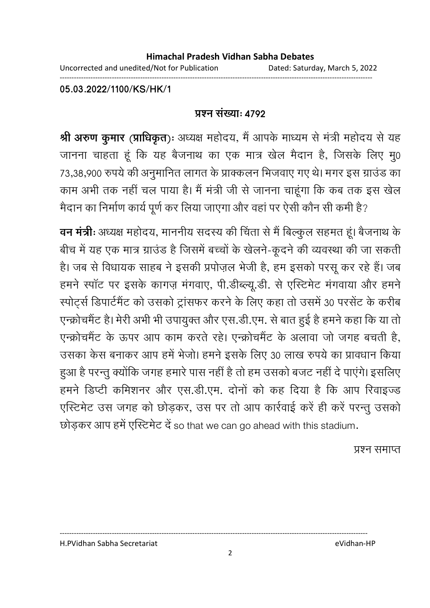Uncorrected and unedited/Not for Publication Dated: Saturday, March 5, 2022

------------------------------------------------------------------------------------------------------------------------------------

**05.03.2022/1100/KS/HK/1**

#### <u>प्रश्न संख्या: ४७९२</u>

**श्री अरुण कुमार (प्राधिकृत)ः** अध्यक्ष महोदय, मैं आपके माध्यम से मंत्री महोदय से यह जानना चाहता हूं कि यह बैजनाथ का एक मात्र खेल मैदान है, जिसके लिए मु0 73,38,900 रुपर्य की अनुमानित लागत के प्राक्कलन भिजवाए गए थे। मगर इस ग्राउंड का काम अभी तक नहीं चल पाया है। मैं मंत्री जी से जानना चाहूंगा कि कब तक इस खेल मैदान का निर्माण कार्य पूर्ण कर लिया जाएगा और वहां पर ऐसी कौन सी कमी है?

**वन मंत्री:** अध्यक्ष महोदय, माननीय सदस्य की चिंता से मैं बिल्कुल सहमत हूं। बैजनाथ के बीच में यह एक मात्र ग्राउंड है जिसमें बच्चों के खेलने-कूदने की व्यवस्था की जा सकती है। जब से विधायक साहब ने इसकी प्रपोज़ल भेजी है, हम इसको परसू कर रहे हैं। जब हमने स्पॉट पर इसके कागज़ मंगवाए, पी.डीब्ल्यू.डी. से एस्टिमेट मंगवाया और हमने स्पोर्ट्स डिपार्टमैंट को उसको ट्रांसफर करने के लिए कहा तो उसमें 30 परसेंट के करीब एन्क्रोचमैंट है। मेरी अभी भी उपायुक्त और एस.डी.एम. से बात हुई है हमने कहा कि या तो एन्क्रोचमैंट के ऊपर आप काम करते रहे। एन्क्रोचमैंट के अलावा जो जगह बचती है, उसका केस बनाकर आप हमें भेजो। हमने इसके लिए 30 लाख रुपये का प्रावधान किया हुआ है परन्तु क्योंकि जगह हमारे पास नहीं है तो हम उसको बजट नहीं दे पाएंगे। इसलिए हमने डिप्टी कमिशनर और एस.डी.एम. दोनों को कह दिया है कि आप रिवाइज्ड एस्टिमेट उस जगह को छोड़कर, उस पर तो आप कार्रवाई करें ही करें परन्तु उसको छोड़कर आप हमें एस्टिमेट दें so that we can go ahead with this stadium.

प्रश्न समाप्त

H.PVidhan Sabha Secretariat eVidhan-HP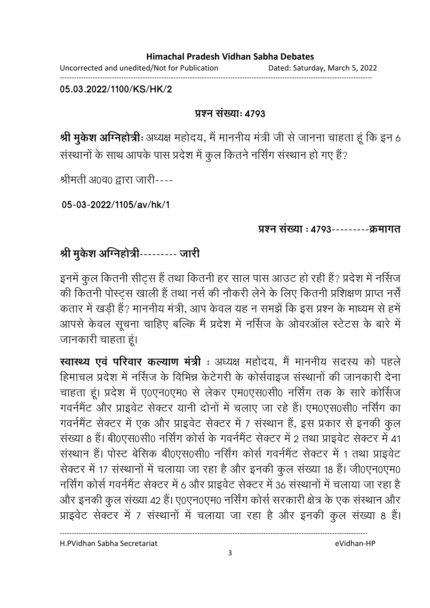Uncorrected and unedited/Not for Publication Dated: Saturday, March 5, 2022 ------------------------------------------------------------------------------------------------------------------------------------

**05.03.2022/1100/KS/HK/2**

## **प्रश्न संख्या: 4793**

**श्री मुकेश अग्निहोत्रीः** अध्यक्ष महोदय, मैं माननीय मंत्री जी से जानना चाहता हूं कि इन 6 संस्थानों के साथ आपके पास प्रदेश में कुल कितने नर्सिंग संस्थान हो गए हैं?

श्रीमती अ0व0 द्वारा जारी----

**05-03-2022/1105/av/hk/1**

प्रश्न संख्या : 4793---------क्रमागत

# श्री मुकेश अग्निहोत्री--------- जारी

इनमें कुल कितनी सीट्स हैं तथा कितनी हर साल पास आउट हो रही हैं? प्रदेश में नर्सिज की कितनी पोस्ट्स खाली हैं तथा नर्स की नौकरी लेने के लिए कितनी प्रशिक्षण प्राप्त नर्सें कतार में खड़ी हैं? माननीय मंत्री, आप केवल यह न समझें कि इस प्रश्न के माध्यम से हमें आपसे केवल सूचना चाहिए बल्कि मैं प्रदेश में नर्सिज के ओवरऑल स्टेटस के बारे में जानकारी चाहता हूं।

**स्वास्थ्य एव परिवार कल्याण मंत्री** : अध्यक्ष महोदय, मैं माननीय सदस्य को पहले हिमाचल प्रदेश में नर्सिज के विभिन्न केटेगरी के कोर्सवाइज संस्थानों की जानकारी देना चाहता हूं। प्रदेश में ए0एन0एम0 से लेकर एम0एस0सी0 नर्सिंग तक के सारे कोर्सिज गवर्नमेंट और प्राइवेट सेक्टर यानी दोनों में चलाए जा रहे हैं। एम0एस0सी0 नर्सिंग का गवर्नमेंट सेक्टर में एक और प्राइवेट सेक्टर में 7 संस्थान हैं, इस प्रकार से इनकी कुल संख्या 8 हैं। बी0एस0सी0 नर्सिंग कोर्स के गवर्नमैंट सेक्टर में 2 तथा प्राइवेट सेक्टर में 41 संस्थान हैं। पोस्ट बेसिक बी0एस0सी0 नर्सिंग कोर्स गवर्नमैंट सेक्टर में 1 तथा प्राइवेट सेक्टर में 17 संस्थानों में चलाया जा रहा है और इनकी कुल संख्या 18 हैं। जी0एन0एम0 नर्सिंग कोर्स गवर्नमेंट सेक्टर में 6 और प्राइवेट सेक्टर में 36 संस्थानों में चलाया जा रहा है और इनकी कुल संख्या 42 हैं। ए0एन0एम0 नर्सिंग कोर्स सरकारी क्षेत्र के एक संस्थान और प्राइवेट सेक्टर में 7 संस्थानों में चलाया जा रहा है और इनकी कुल संख्या 8 हैं।

H.PVidhan Sabha Secretariat eVidhan-HP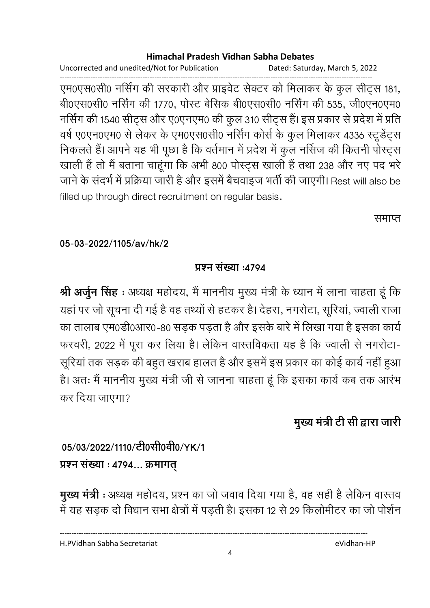Uncorrected and unedited/Not for Publication Dated: Saturday, March 5, 2022

------------------------------------------------------------------------------------------------------------------------------------ एम0एस0सी0 नर्सिंग की सरकारी और प्राइवेट सेक्टर को मिलाकर के कुल सीट्स 181, बी0एस0सी0 नर्सिंग की 1770, पोस्ट बेसिक बी0एस0सी0 नर्सिंग की 535, जी0एन0एम0 नर्सिंग की 1540 सीट्स और ए0एनएम0 की कुल 310 सीट्स हैं। इस प्रकार से प्रदेश में प्रति वर्ष ए0एन0एम0 से लेकर के एम0एस0सी0 नर्सिंग कोर्स के कुल मिलाकर 4336 स्टूडेंट्स निकलते हैं। आपने यह भी पूछा है कि वर्तमान में प्रदेश में कुल नर्सिज की कितनी पोस्ट्स खाली है तो मैं बताना चाहूँगा कि अभी 800 पोस्ट्स खाली है तथा 238 और नए पद भरे जाने के संदर्भ में प्रक्रिया जारी है और इसमें बैचवाइज भर्ती की जाएगी। Rest will also be filled up through direct recruitment on regular basis.

समाप्त

## **05-03-2022/1105/av/hk/2**

# <u>प्रश्न संख्या :4794</u>

**श्री अर्जुन सिंह** : अध्यक्ष महोदय, मैं माननीय मुख्य मंत्री के ध्यान में लाना चाहता हूं कि यहां पर जो सूचना दी गई है वह तथ्यों से हटकर है। देहरा, नगरोटा, सूरियां, ज्वाली राजा का तालाब एम0डी0आर0-80 सडक पडता है और इसके बारे में लिखा गया है इसका कार्य फरवरी, 2022 में पूरा कर लिया है। लेकिन वास्तविकता यह है कि ज्वाली से नगरोटा-सूरियां तक सड़क की बहुत खराब हालत है और इसमें इस प्रकार का कोई कार्य नहीं हुआ हैं। अतः मैं माननीय मुख्य मंत्री जी से जानना चाहता हूं कि इसका कार्य कब तक आरंभ कर दिया जाएगा?

# मुख्य मंत्री टी सी द्वारा जारी

# 05/03/2022/1110/<del>ट</del>्री0सी0वी0/YK/1 प्रश्न संख्या : 4794... क्रमागत्

**मुख्य मंत्री** : अध्यक्ष महोदय, प्रश्न का जो जवाव दिया गया है, वह सही है लेकिन वास्तव में यह सड़क दो विधान सभा क्षेत्रों में पड़ती है। इसका 12 से 29 किलोमीटर का जो पोर्शन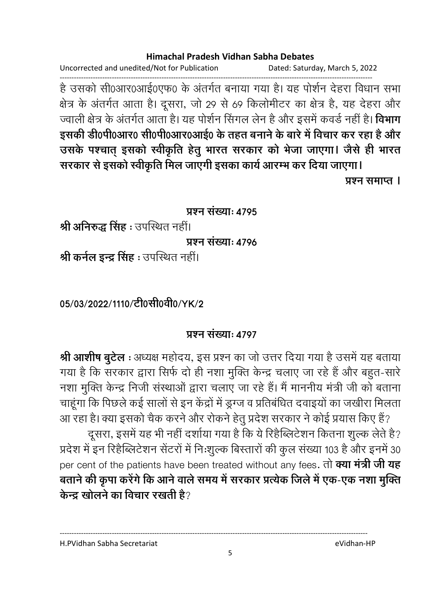Uncorrected and unedited/Not for Publication Dated: Saturday, March 5, 2022

------------------------------------------------------------------------------------------------------------------------------------ है उसको सी0आर0आई0एफ0 के अंतर्गत बनाया गया है। यह पशिन देहरा विधान सभा क्षेत्र के अंतर्गत आता है। दूसरा, जो 29 से 69 किलोमीटर का क्षेत्र है, यह देहरा और ज्वाली क्षेत्र के अंतर्गत आता है। यह पशिन सिंगल लेन हैं और इसमें कवर्ड नहीं हैं। **विभाग** इसकी डी0पी0आर0 सी0पी0आर0आई0 के तहत बनाने के बारे में विचार कर रहा है और उसके पश्चात् इसको स्वीकृति हेतु भारत सरकार को भेजा जाएगा। जैसे ही भारत

सरकार से इसको स्वीकृति मिल जाएगी इसका कार्य आरम्भ कर दिया जाएगा। *<u>Gashi</u>* Gashion I

#### **प्रश्न संख्या: 4795**

**श्री अनिरुद्ध सिंह** : उपस्थित नहीं।

**प्र**ष्ट्या: *1*796

**श्री कर्नल इन्द्र सिंह :** उपस्थित नहीं।

05/03/2022/1110/<del>c</del>loसी0वी0/YK/2

### <u>प्रश्न संख्या: ४७०७</u>

**श्री आशीष बुटेल** : अध्यक्ष महोदय, इस प्रश्न का जो उत्तर दिया गया है उसमें यह बताया गया है कि सरकार द्वारा सिर्फ दो ही नशा मुक्ति केन्द्र चलाए जा रहे हैं और बहुत-सारे नशा मुक्ति केन्द्र निजी संस्थाओं द्वारा चलाए जा रहे हैं। मैं माननीय मंत्री जी को बताना चाहूंगा कि पिछले कई सालों से इन केंद्रों में ड्रग्ज व प्रतिबंधित दवाइयों का जखीरा मिलता आ रहा है। क्या इसको चैक करने और रोकने हेतू प्रदेश सरकार ने कोई प्रयास किए हैं?

दूसरा, इसमें यह भी नहीं दर्शाया गया है कि ये रिहैब्लिटेशन कितना शुल्क लेते है? प्रदेश में इन रिहैब्लिटेशन सेंटरों में निःशुल्क बिस्तारों की कुल संख्या 103 है और इनमें 30 per cent of the patients have been treated without any fees. तो क्या मंत्री जी यह बताने की कृपा करेंगे कि आने वाले समय में सरकार प्रत्येक जिले में एक-एक नशा मुक्ति **केन्द्र खोलने का विचार रखती है**?

---------------------------------------------------------------------------------------------------------------------------------- H.PVidhan Sabha Secretariat eVidhan-HP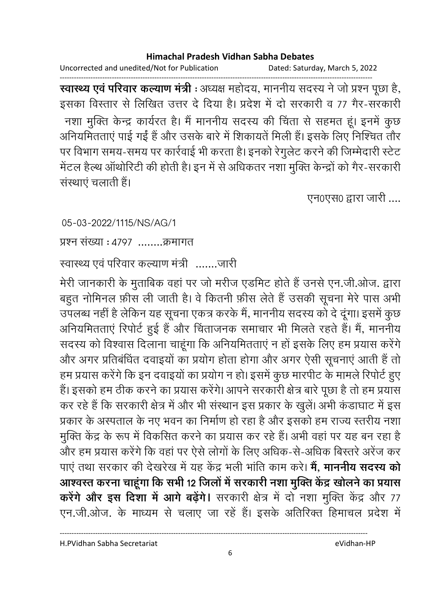Uncorrected and unedited/Not for Publication Dated: Saturday, March 5, 2022

------------------------------------------------------------------------------------------------------------------------------------ **स्वास्थ्य एव परिवार कल्याण मंत्री** : अध्यक्ष महोदय, माननीय सदस्य ने जो प्रश्न पूछा है, इसका विस्तार से लिखित उत्तर दे दिया है। प्रदेश में दो सरकारी व 77 गैर-सरकारी नशा मुक्ति केन्द्र कार्यरत है। मैं माननीय सदस्य की चिंता से सहमत हूं। इनमें कूछ आनेयमितताएं पाई गई है और उसके बारे में शिकायते मिली हैं। इसके लिए निश्चित तौर पर विभाग समय-समय पर कार्रवाई भी करता है। इनको रेगुलेट करने की जिम्मेदारी स्टेट मेंटल हैल्थ आर्थारिटी की होती है। इन में से अधिकतर नशा मुक्ति केन्द्रों को गैर-सरकारी संस्थाएं चलाती हैं।

एन0एस0 द्वारा जारी ....

05-03-2022/1115/NS/AG/1

<u>प्रश्न संख्या : ४७९७ ........क्रमागत</u>

रवास्थ्य एवं परिवार कल्याण मंत्री .......जारी

मेरी जानकारी के मुताबिक वहां पर जो मरीज एडमिट होते हैं उनसे एन.जी.ओज. द्वारा बहुत नोमिनल फ़ौस ली जाती है। वे कितनी फ़ौस लेते हैं उसकी सूचना मेरे पास अभी उपलब्ध नहीं है लेकिन यह सूचना एकत्र करके मैं, माननीय सदस्य को दे दूंगा। इसमें कुछ आनेयमितताएं रिपोर्ट हुई है और चिंताजनक समाचार भी मिलते रहते हैं। मैं, माननीय सदस्य को विश्वास दिलाना चाहूंगा कि अनियमितताएं न हो इसके लिए हम प्रयास करेंगे। और अगर प्रतिबंधित दवाइयों का प्रयोग होता होगा और अगर ऐसी सूचनाएं आती है तो हम प्रयास करेंगे कि इन दवाइयों का प्रयोग न हो। इसमें कुछ मारपीट के मामले रिपोर्ट हुए हैं। इसको हम ठीक करने का प्रयास करेंगे। आपने सरकारी क्षेत्र बारे पूछा है तो हम प्रयास कर रहे हैं कि सरकारी क्षेत्र में और भी संस्थान इस प्रकार के खुले। अभी कंडाघाट में इस प्रकार के अस्पताल के नए भवन का निर्माण हो रहा है और इसको हम राज्य स्तरीय नशा मुक्ति केंद्र के रूप में विकसित करने का प्रयास कर रहे हैं। अभी वहां पर यह बन रहा है और हम प्रयास करेंगे कि वहां पर ऐसे लोगों के लिए अधिक-से-अधिक बिस्तरे अरेज कर पाएं तथा सरकार की देखरेख में यह केंद्र भली भांति काम करे। **में, माननीय सदस्य को** आश्वरत करना चाहूगा कि सभी 12 जिलों में सरकारी नशा मुक्ति केंद्र खोलने का प्रयास **करेंगे और इस दिशा में आगे बढ़ेंगे।** सरकारी क्षेत्र में दो नशा मुक्ति केंद्र और 77 एन.जी.ओज. के माध्यम से चलाए जा रहे हैं। इसके अतिरिक्त हिमाचल प्रदेश में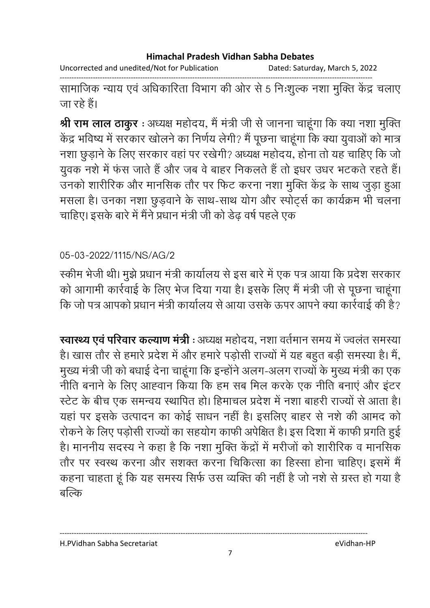Uncorrected and unedited/Not for Publication Dated: Saturday, March 5, 2022

------------------------------------------------------------------------------------------------------------------------------------ सामाजिक न्याय एवं अधिकारिता विभाग की ओर से 5 निःशुल्क नशा मुक्ति केंद्र चलाए जा रहे हैं।

**श्री राम लाल ठाकुर** : अध्यक्ष महोदय, मैं मंत्री जी से जानना चाहूंगा कि क्या नशा मुक्ति केंद्र भविष्य में सरकार खोलने का निर्णय लेगी? मैं पूछना चाहूंगा कि क्या युवाओं को मात्र नशा छुड़ाने के लिए सरकार वहां पर रखेगी? अध्यक्ष महोदय, होना तो यह चाहिए कि जो युवक नशे में फंस जाते हैं और जब वे बाहर निकलते हैं तो इधर उधर भटकते रहते हैं। उनको शारीरिक और मानसिक तौर पर फिट करना नशा मुक्ति केंद्र के साथ जुड़ा हुआ मसला है। उनका नशा छुड़वाने के साथ-साथ योग और स्पोर्ट्स का कार्यक्रम भी चलना चाहिए। इसके बारे में मैंने प्रधान मंत्री जी को डेढ़ वर्ष पहले एक

## 05-03-2022/1115/NS/AG/2

स्कीम भेजी थी। मुझे प्रधान मंत्री कार्यालय से इस बारे में एक पत्र आया कि प्रदेश सरकार को आगामी कार्रवाई के लिए भेज दिया गया है। इसके लिए मैं मंत्री जी से पूछना चाहूंगा कि जो पत्र आपको प्रधान मंत्री कार्यालय से आया उसके ऊपर आपने क्या कार्रवाई की है?

**स्वास्थ्य एव परिवार कल्याण मंत्री** : अध्यक्ष महोदय, नशा वर्तमान समय में ज्वलत समस्या है। खास तौर से हमारे प्रदेश में और हमारे पड़ोसी राज्यों में यह बहुत बड़ी समस्या है। मैं, मुख्य मंत्री जी को बंधाई देना चाहूंगा कि इन्होंने अलग-अलग राज्यों के मुख्य मंत्री का एक नीति बनाने के लिए आह्वान किया कि हम सब मिल करके एक नीति बनाएं और इंटर स्टेट के बीच एक समन्वय स्थापित हो। हिमाचल प्रदेश में नशा बाहरी राज्यों से आता है। यहां पर इसके उत्पादन का कोई साधन नहीं है। इसलिए बाहर से नशे की आमद को रोकने के लिए पड़ोसी राज्यों का सहयोग काफी अपेक्षित हैं। इस दिशा में काफी प्रगति हुई है। माननीय सदस्य ने कहा है कि नशा मुक्ति केंद्रों में मरीजों को शारीरिक व मानसिक तौर पर स्वस्थ करना और सशक्त करना चिकित्सा का हिस्सा होना चाहिए। इसमें मैं कहना चाहता हूं कि यह समस्य सिर्फ उस व्यक्ति की नहीं है जो नशे से ग्रस्त हो गया है बल्कि

H.PVidhan Sabha Secretariat eVidhan-HP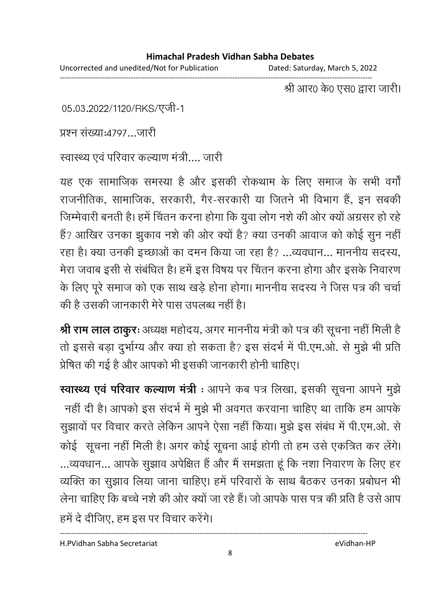Uncorrected and unedited/Not for Publication Dated: Saturday, March 5, 2022

------------------------------------------------------------------------------------------------------------------------------------ श्री आर0 के0 एस0 द्वारा जारी।

05.03.2022/1120/RKS/एजी-1

प्रश्न संख्या:4797...जारी

स्वास्थ्य एवं परिवार कल्याण मंत्री.... जारी

यह एक सामाजिक समस्या है और इसकी रोकथाम के लिए समाज के सभी वर्गों राजनीतिक, सामाजिक, सरकारी, गैर-सरकारी या जितने भी विभाग हैं, इन सबकी जिम्मेवारी बनती है। हमें चितन करना होगा कि युवा लोग नशे की ओर क्यों अंग्रसर हो रहें हैं? आखिर उनका झुकाव नशे की ओर क्यों है? क्या उनकी आवाज को कोई सुन नहीं रहा है। क्या उनकी इच्छाओं का दमन किया जा रहा है? ...व्यवधान... माननीय सदस्य, मेरा जवाब इसी से संबंधित है। हमें इस विषय पर चिंतन करना होगा और इसके निवारण के लिए पूरे समाज को एक साथ खड़े होना होगा। माननीय सदस्य ने जिस पत्र की चर्चा की है उसकी जानकारी मेरे पास उपलब्ध नहीं है।

**श्री राम लाल ठाकुरः** अध्यक्ष महोदय, अगर माननीय मंत्री को पत्र की सूचना नहीं मिली हैं | तो इससे बड़ा दुर्भाग्य और क्या हो सकता है? इस संदर्भ में पी.एम.ओ. से मुझे भी प्रति प्रेषित की गई है और आपको भी इसकी जानकारी होनी चाहिए।

**स्वास्थ्य एव परिवार कल्याण मंत्री** : आपने कब पत्र लिखा, इसकी सूचना आपने मुझे नहीं दी है। आपको इस सदर्भ में मुझे भी अवगत करवाना चाहिए था ताकि हम आपके सुझावों पर विचार करते लेकिन आपने ऐसा नहीं किया। मुझे इस संबंध में पी.एम.ओ. से कोई सूचना नहीं मिली है। अगर कोई सूचना आई होगी तो हम उसे एकत्रित कर लेंगे। …व्यवधान… आपके सुझाव अपीक्षत है और मैं समझता हूं कि नशा निवारण के लिए हर व्यक्ति का सुझाव लिया जाना चाहिए। हमें परिवारों के साथ बैठकर उनका प्रबोधन भी लेना चाहिए कि बच्चे नशे की ओर क्यों जा रहे हैं। जो आपके पास पत्र की प्रति है उसे आप हमें दे दीजिए, हम इस पर विचार करेंगे।

H.PVidhan Sabha Secretariat eVidhan-HP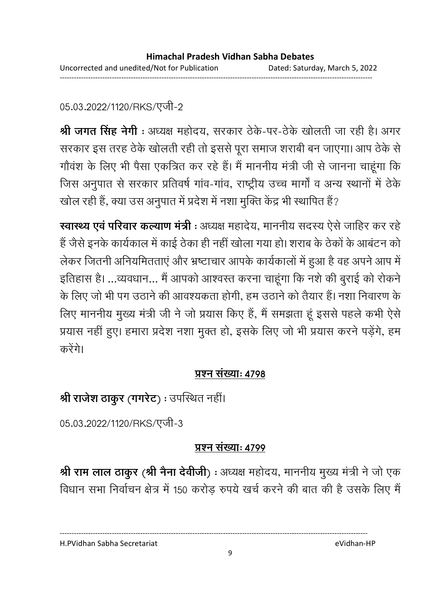## 05.03.2022/1120/RKS/एजी-2

**श्री जगत सिंह नेगी** : अध्यक्ष महोदय, सरकार ठेके-पर-ठेके खोलती जा रही है। अगर सरकार इस तरह ठेके खोलती रही तो इससे पूरा समाज शराबी बन जाएगा। आप ठेके से गौवंश के लिए भी पैसा एकत्रित कर रहे हैं। मैं माननीय मंत्री जी से जानना चाहूंगा कि जिस अनुपात से सरकार प्रतिवर्ष गाव-गाव, राष्ट्रीय उच्च मार्गा व अन्य स्थानों में ठेके खोल रही है, क्या उस अनुपात में प्रदेश में नशा मुक्ति केंद्र भी स्थापित है?

**स्वास्थ्य एव परिवार कल्याण मंत्री** : अध्यक्ष महादेय, माननीय सदस्य ऐसे जाहिर कर रहे। हैं जैसे इनके कार्यकाल में काई ठेका ही नहीं खोला गया हो। शराब के ठेकों के आबंटन को लेकर जितनी अनियमितताएँ और भ्रष्टाचार आपके कार्यकालों में हुआ है वह अपने आप में। इतिहास है। ...व्यवधान... मैं आपको आश्वस्त करना चाहूंगा कि नशे की बुराई को रोकने के लिए जो भी पग उठाने की आवश्यकता होगी. हम उठाने को तैयार हैं। नशा निवारण के लिए माननीय मुख्य मंत्री जी ने जो प्रयास किए हैं, मैं समझता हूं इससे पहले कभी ऐसे प्रयास नहीं हुए। हमारा प्रदेश नशा मुक्त हो, इसके लिए जो भी प्रयास करने पड़ेंगे, हम करेंगे।

## <u>प्रश्न संख्याः ४७</u>९८

# **श्री राजेश ठाकुर (गगरेट) :** उपस्थित नहीं।

05.03.2022/1120/RKS/एजी-3

# <u>प्रश्न संख्याः ४७९</u>

**श्री राम लाल ठाकुर (श्री नैना देवीजी) :** अध्यक्ष महोदय, माननीय मुख्य मंत्री ने जो एक विधान सभा निर्वाचन क्षेत्र में 150 करोड़ रुपये खर्च करने की बात की है उसके लिए मैं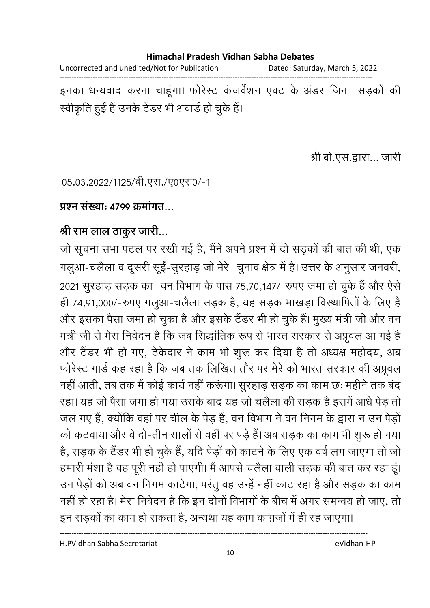Uncorrected and unedited/Not for Publication Dated: Saturday, March 5, 2022 ------------------------------------------------------------------------------------------------------------------------------------

इनका धन्यवाद करना चाहूगा। फोरेस्ट कजवेशन एक्ट के अंडर जिन) संड़कों की स्वीकृति हुई है उनके टेंडर भी अवार्ड हो चुके हैं।

श्री बी.एस.द्वारा... जारी

05.03.2022/1125/बी.एस./ए0एस0/-1

## <u>प्रश्न संख्याः ४७९९ क्रमांगत...</u>

# श्री राम लाल ठाकुर जारी...

जो सूचना सभा पटल पर रखी गई है, मैंने अपने प्रश्न में दो सड़कों की बात की थी, एक गलुआ-चलैला व दूसरी सूई-सुरहाड़ जो मेरे -चुनाव क्षेत्र में हैं। उत्तर के अनुसार जनवरी, 2021 सुरहाड़ सड़क का वन विभाग के पास 75,70,147/-रुपए जमा हो चुके हैं और ऐसे ही 74,91,000/-रुपए गलुआ-चलैला सड़क है, यह सड़क भाखड़ा विस्थापितों के लिए है और इसका पैसा जमा हो चुका है और इसके टैंडर भी हो चुके हैं। मुख्य मंत्री जी और वन मंत्री जी से मेरा निर्वेदन हैं कि जब सिद्धांतिक रूप से भारत सरकार से अप्रूवल आ गई हैं। और टैंडर भी हो गए, ठेकेदार ने काम भी शुरू कर दिया है तो अध्यक्ष महोदय, अब फरिस्ट गार्ड कह रहा है कि जब तक लिखित तौर पर मेरे को भारत सरकार की अप्रूवल नहीं आती, तब तक मैं कोई कार्य नहीं करूंगा। सुरहाड़ सड़क का काम छः महीने तक बंद रहा। यह जो पैसा जमा हो गया उसके बाद यह जो चलैला की सड़क है इसमें आधे पेड़ तो जल गए हैं, क्योंकि वहां पर चील के पेड़ हैं, वन विभाग ने वन निगम के द्वारा न उन पेड़ों को कटवाया और वे दो-तीन सालों से वहीं पर पड़े हैं। अब सड़क का काम भी शुरू हो गया है, सड़क के टैंडर भी हो चुके हैं, यदि पेड़ों को काटने के लिए एक वर्ष लग जाएगा तो जो हमारी मंशा है वह पूरी नही हो पाएगी। मैं आपसे चलैला वाली सड़क की बात कर रहा हूं। उन पेड़ों को अब वन निगम कार्टगा, परंतु वह उन्हें नहीं काट रहा है और सड़क का काम नहीं हो रहा है। मेरा निवेदन है कि इन दोनों विभागों के बीच में अगर समन्वय हो जाए, तो

इन सड़कों का काम हो सकता है, अन्यथा यह काम कांग़जों में ही रह जाएगा।

----------------------------------------------------------------------------------------------------------------------------------

H.PVidhan Sabha Secretariat eVidhan-HP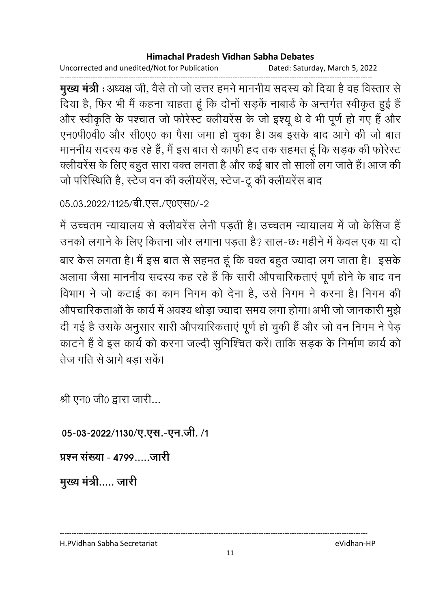Uncorrected and unedited/Not for Publication Dated: Saturday, March 5, 2022

------------------------------------------------------------------------------------------------------------------------------------ **मुख्य मंत्री** : अध्यक्ष जी, वैसे तो जो उत्तर हमने माननीय सदस्य को दिया है वह विस्तार से दिया है, फिर भी मैं कहना चाहता हूं कि दोनों सड़के नाबाड़े के अन्तर्गत स्वीकृत हुई हैं और स्वीकृति के पश्चात जो फोरेस्ट क्लीयरेंस के जो इश्यू थे वे भी पूर्ण हो गए हैं और एन0पी0वी0 और सी0ए0 का पैसा जमा हो चुका है। अब इसके बाद आगे की जो बात माननीय सदस्य कह रहे हैं, मैं इस बात से काफी हद तक सहमत हूं कि सड़क की फोरेस्ट क्लीयरेंस के लिए बहुत सारा वक्त लगता है और कई बार तो सालों लग जाते हैं। आज की जो परिस्थिति है, स्टेज वन की क्लीयरेंस, स्टेज-टू की क्लीयरेंस बाद

05.03.2022/1125/बी.एस./ए0एस0/-2

में उच्चतम न्यायालय से क्लीयरेंस लेनी पड़ती है। उच्चतम न्यायालय में जो केसिज हैं उनको लगाने के लिए कितना जोर लगाना पडता है? साल-छः महीने में केवल एक या दो बार केस लगता है। मैं इस बात से सहमत हूं कि वक्त बहुत ज्यादा लग जाता है। इसके अलावा जैसा माननीय सदस्य कह रहे हैं कि सारी औपचारिकताएं पूर्ण होने के बाद वन विभाग ने जो कटाई का काम निगम को देना है, उसे निगम ने करना है। निगम की औपचारिकताओं के कार्य में अवश्य थोड़ा ज्यादा समय लगा होगा। अभी जो जानकारी मुझे दी गई है उसके अनुसार सारी औपचारिकताएं पूर्ण हो चुकी है और जो वन निगम ने पेड़ काटने हैं वे इस कार्य को करना जल्दी सुनिश्चित करें। ताकि सड़क के निर्माण कार्य को तेज गति से आगे बड़ा सकें।

श्री एन0 जी0 द्वारा जारी...

05-03-2022/1130/ए.एस.-एन.जी. /1

प्रश्न संख्या - 4799.....जारी

मुख्य मंत्री..... जारी

H.PVidhan Sabha Secretariat eVidhan-HP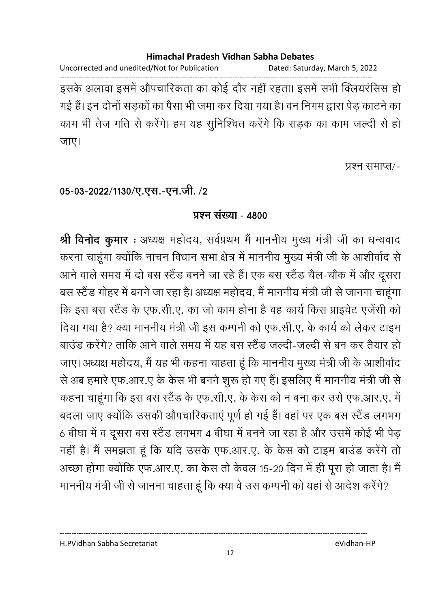Uncorrected and unedited/Not for Publication Dated: Saturday, March 5, 2022

------------------------------------------------------------------------------------------------------------------------------------ इसके अलावा इसमें औपचारिकता का कोई दौर नहीं रहता। इसमें सभी क्लियरसिस हो गई हैं। इन दोनों सडकों का पैसा भी जमा कर दिया गया है। वन निगम द्वारा पेड काटने का काम भी तेज गति से करेंगे। हम यह सुनिश्चित करेंगे कि सड़क का काम जल्दी से हो जाए।

प्रश्न समाप्त/-

# 05-03-2022/1130/ए.एस.-एन.जी. /2

### <u>प्रश्नु संख्या - 4800</u>

**श्री विर्नाद कुमार** : अध्यक्ष महोदय, सर्वप्रथम मै माननीय मुख्य मंत्री जी का धन्यवाद करना चाहूंगा क्योंकि नाचन विधान सभा क्षेत्र में माननीय मुख्य मंत्री जी के आशीर्वाद से आने वाले समय में दो बस स्टैंड बनने जा रहे हैं। एक बस स्टैंड चैल-चौक में और दूसरा बस स्टैंड गोहर में बनने जा रहा है। अध्यक्ष महोदय, मैं माननीय मंत्री जी से जानना चाहूंगा. कि इस बस स्टैंड के एफ.सी.ए. का जो काम होना है वह कार्य किस प्राइवेट एजेंसी को दिया गया है? क्या माननीय मंत्री जी इस कम्पनी को एफ.सी.ए. के कार्य को लेकर टाइम बाउंड करेंगे? ताकि आने वाले समय में यह बस स्टैंड जल्दी-जल्दी से बन कर तैयार हो जाए। अध्यक्ष महोदय, मैं यह भी कहना चाहता हूँ कि माननीय मुख्य मंत्री जी के आशीर्वाद से अब हमारे एफ.आर.ए के केस भी बनने शुरू हो गए हैं। इसलिए मैं माननीय मंत्री जी से कहना चाहूंगा कि इस बस स्टैंड के एफ.सी.ए. के केस को न बना कर उसे एफ.आर.ए. में बदला जाए क्योंकि उसकी औपचारिकताएं पूर्ण हो गई हैं। वहां पर एक बस स्टैंड लगभग 6 बीघा में व दूसरा बस स्टैंड लगभग 4 बीघा में बनने जा रहा है और उसमें कोई भी पेड़ नहीं है। मैं समझता हूं कि यदि उसके एफ.आर.ए. के केस को टाइम बाउंड करेंगे तो अच्छा होगा क्योंकि एफ.आर.ए. का केस तो केवल 15-20 दिन में ही पूरा हो जाता है। मैं माननीय मंत्री जी से जानना चाहता हूं कि क्या वे उस कम्पनी को यहां से आदेश करेंगे?

H.PVidhan Sabha Secretariat eVidhan-HP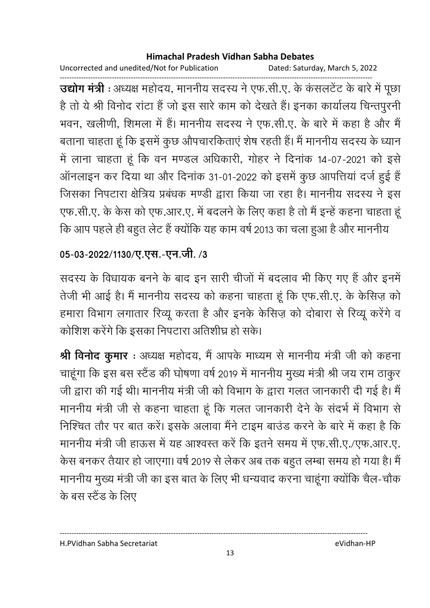Uncorrected and unedited/Not for Publication Dated: Saturday, March 5, 2022

------------------------------------------------------------------------------------------------------------------------------------ **उद्योग मंत्री** : अध्यक्ष महोदय, माननीय सदस्य ने एफ.सी.ए. के कसलटेट के बारे में पूछा है तो ये श्री विनोद रांटा हैं जो इस सारे काम को देखते हैं। इनका कार्यालय चिन्तपुरनी भवन, खलीणी, शिमला में हैं। माननीय सदस्य ने एफ.सी.ए. के बारे में कहा है और मैं बताना चाहता हूं कि इसमें कुछ औपचारकिताएं शेष रहती हैं। मैं माननीय सदस्य के ध्यान में लाना चाहता हूं कि वन मण्डल अधिकारी, गोहर ने दिनाक 14-07-2021 को इसे ऑनलाइन कर दिया था और दिनांक 31-01-2022 को इसमें कुछ आपत्तियां दर्ज हुई हैं जिसका निपटारा क्षेत्रिय प्रबंधक मण्डी द्वारा किया जा रहा है। माननीय सदस्य ने इस एफ.सी.ए. के केस को एफ.आर.ए. में बदलने के लिए कहा है तो मैं इन्हें कहना चाहता हूं कि आप पहले ही बहुत लेट हैं क्योंकि यह काम वर्ष 2013 का चला हुआ है और माननीय

# 05-03-2022/1130/ए.एस.-एन.जी. /3

सदस्य के विधायक बनने के बाद इन सारी चीजों में बदलाव भी किए गए हैं और इनमें तेजी भी आई है। मैं माननीय सदस्य को कहना चाहता हूं कि एफ.सी.ए. के केसिज़ को हमारा विभाग लगातार रिव्यू करता है और इनके केसिज़ को दोबारा से रिव्यू करेंगे व कोशिश करेंगे कि इसका निपटारा अतिशीघ्र हो सकें।

**श्री विनोद कुमार** : अध्यक्ष महोदय, मैं आपके माध्यम से माननीय मंत्री जी को कहना चाहूंगा कि इस बस स्टैंड की घोषणा वर्ष 2019 में माननीय मुख्य मंत्री श्री जय राम ठाकुर जी द्वारा की गई थी। माननीय मंत्री जी को विभाग के द्वारा गलत जानकारी दी गई है। मैं माननीय मंत्री जी से कहना चाहता हूं कि गलत जानकारी देने के संदर्भ में विभाग से निश्चित तौर पर बात करें। इसके अलावा मैंने टाइम बाउंड करने के बारे में कहा है कि माननीय मंत्री जी हाऊस में यह आश्वस्त करें कि इतने समय में एफ.सी.ए./एफ.आर.ए. केस बनकर तैयार हो जाएगा। वर्ष 2019 से लेकर अब तक बहुत लम्बा समय हो गया है। मै माननीय मुख्य मंत्री जी का इस बात के लिए भी धन्यवाद करना चाहूंगा क्योंकि चैल-चौक के बस स्टैंड के लिए

H.PVidhan Sabha Secretariat eVidhan-HP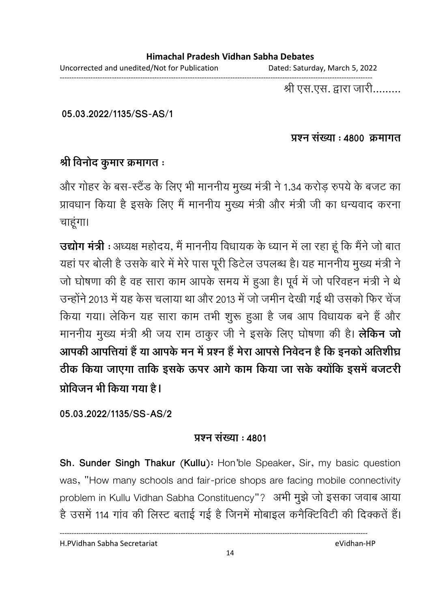Uncorrected and unedited/Not for Publication Dated: Saturday, March 5, 2022

------------------------------------------------------------------------------------------------------------------------------------

श्री एस.एस. द्वारा जारी.........

**05.03.2022/1135/SS-AS/1**

#### <u>प्रश्न संख्या : 4800 क्रमागत</u>

## श्री विनोद कुमार क्रमागत ः

और गोहर के बस-स्टैंड के लिए भी माननीय मुख्य मंत्री ने 1.34 करोड़ रुपये के बजट का प्रावधान किया है इसके लिए मैं माननीय मुख्य मंत्री और मंत्री जी का धन्यवाद करना चाहूंगा।

**उद्योग मंत्री** : अध्यक्ष महोदय, मैं माननीय विधायक के ध्यान में ला रहा हूं कि मैंने जो बात यहां पर बोली है उसके बारे में मेरे पास पूरी डिटेल उपलब्ध है। यह माननीय मुख्य मंत्री ने जो घोषणा की है वह सारा काम आपके समय में हुआ है। पूर्व में जो परिवहन मंत्री ने थे उन्होंने 2013 में यह केस चलाया था और 2013 में जो जमीन देखी गई थी उसको फिर चेंज किया गया। लेकिन यह सारा काम तभी शुरू हुआ है जब आप विधायक बने हैं और माननीय मुख्य मंत्री श्री जय राम ठाकुर जी ने इसके लिए घोषणा की है। **लेकिन जो** आपकी आपत्तिया है या आपके मन में प्रश्न है मेरा आपसे निवेदन है कि इनको अतिशीघ्र ठीक किया जाएगा तार्कि इसके ऊपर आगे काम किया जा सके क्योंकि इसमें बजटरी प्रोविजन भी किया गया <del>है</del>।

**05.03.2022/1135/SS-AS/2**

### **प्रश्न संख्या : 4801**

**Sh. Sunder Singh Thakur (Kullu):** Hon'ble Speaker, Sir, my basic question was, "How many schools and fair-price shops are facing mobile connectivity problem in Kullu Vidhan Sabha Constituency"? -+ !k / ,  है उसमें 114 गांव की लिस्ट बताई गई है जिनमें मोबाइल कनैक्टिविटी की दिक्कतें हैं।

H.PVidhan Sabha Secretariat eVidhan-HP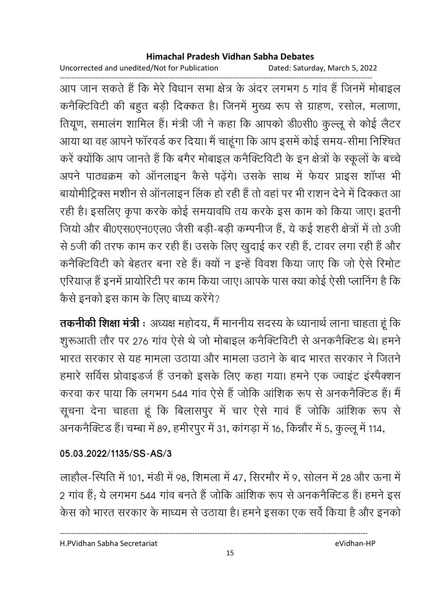Uncorrected and unedited/Not for Publication Dated: Saturday, March 5, 2022

------------------------------------------------------------------------------------------------------------------------------------ आप जान सकते हैं कि मेरे विधान सभा क्षेत्र के अंदर लगभग 5 गांव है जिनमें मोबाइल कनैक्टिविटी की बहुत बड़ी दिक्कत है। जिनमें मुख्य रूप से ग्राहण, रसोल, मलाणा, तियूण, समालंग शामिल हैं। मंत्री जी ने कहा कि आपको डी0सी0 कुल्लू से कोई लैटर आया था वह आपने फॉरवर्ड कर दिया। मैं चाहूंगा कि आप इसमें कोई समय-सीमा निश्चित करें क्योंकि आप जानते हैं कि बगैर मोबाइल कनैक्टिविटी के इन क्षेत्रों के स्कूलों के बच्चे अपने पाठ्यक्रम को आनलाइन कैसे पढ़ेंगे। उसके साथ में फेयर प्राइस शाप्स भी बायोमीट्रिक्स मशीन से ऑनलाइन लिंक हो रही हैं तो वहां पर भी राशन देने में दिक्कत आ रही है। इसलिए कृपा करके कोई समयावधि तय करके इस काम को किया जाए। इतनी जियो और बी0एस0एन0एल0 जैसी बड़ी-बड़ी कम्पनीज हैं, ये कई शहरी क्षेत्रों में तो 3जी से 5जी की तरफ काम कर रही हैं। उसके लिए खुदाई कर रही हैं, टावर लगा रही हैं और कनैक्टिविटी को बेहतर बना रहे हैं। क्यों न इन्हें विवश किया जाए कि जो ऐसे रिमोट एरियाज़ हैं इनमें प्रायोरिटी पर काम किया जाए। आपके पास क्या कोई ऐसी प्लानिंग है कि कैसे इनको इस काम के लिए बाध्य करेंगे?

**तकनीकी शिक्षा मंत्री** : अध्यक्ष महोदय, मैं माननीय सदस्य के ध्यानार्थ लाना चाहता हूं कि शुरूआती तौर पर 276 गाव ऐसे थे जो मोबाइल कर्नीक्टेविटी से अनकर्नीक्टेड थे। हमने भारत सरकार से यह मामला उठाया और मामला उठाने के बाद भारत सरकार ने जितने हमारे सर्विस प्रोवाइडर्ज हैं उनको इसके लिए कहा गया। हमने एक ज्वाइंट इंस्पैक्शन करवा कर पाया कि लगभग 544 गांव ऐसे हैं जोकि आर्शिक रूप से अनकनैक्टिंड है। मैं सूचना देना चाहता हूं कि बिलासपुर में चार ऐसे गावं हैं जोकि आंशिक रूप से अनकनैक्टिड है। चम्बा में 89, हमीरपुर में 31, कागड़ा में 16, किन्नौर में 5, कुल्लू में 114,

## **05.03.2022/1135/SS-AS/3**

लाहौल-स्पिति में 101, मंडी में 98, शिमला में 47, सिरमौर में 9, सोलन में 28 और ऊना में 2 गाव है; ये लगभग 544 गाव बनते हैं जोकि आशिक रूप से अनकनैक्टिड है। हमने इस केस को भारत सरकार के माध्यम से उठाया है। हमने इसका एक सर्वे किया है और इनको

H.PVidhan Sabha Secretariat eVidhan-HP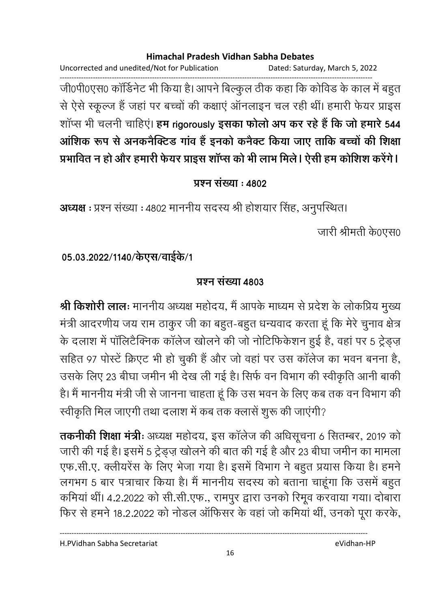Uncorrected and unedited/Not for Publication Dated: Saturday, March 5, 2022 ------------------------------------------------------------------------------------------------------------------------------------ जी0पी0एस0 कार्डिनेट भी किया है। आपने बिल्कुल ठीक कहा कि काविड के काल में बहुत-से ऐसे स्कूल्ज हैं जहां पर बच्चों की कक्षाएं ऑनलाइन चल रही थीं। हमारी फेयर प्राइस शाप्स भी चलनी चाहिए। **हम rigorously इसका फोलो अप कर रहे है कि जो हमारे 544** आशिक रूप से अनकनैक्टिंड गांव है इनको कर्नेक्ट किया जाए तार्कि बच्चों की शिक्षा प्रभावित न हो और हमारी फेयर प्राइस शॉप्स को भी लाभ मिले। ऐसी हम कोशिश करेंगे।

## <u>प्रश्न संख्या : ४८०२</u>

**अध्यक्ष** : प्रश्न संख्या : 4802 माननीय संदस्य श्री होशयार सिंह, अनुपस्थित।

जारी श्रीमती के0एस0

## 05.03.2022/1140/केएस/वाईके/1

## **प्रश्न संख्या 4803**

**श्री किशोरी लालः** माननीय अध्यक्ष महोदय, मैं आपके माध्यम से प्रदेश के लोकप्रिय मुख्य मंत्री आदरणीय जय राम ठाकुर जी का बहुत-बहुत धन्यवाद करता हूं कि मेरे चुनाव क्षेत्र के दलाश में पॉलिटैक्निक कॉलेज खोलने की जो नोटिफिकेशन हुई है, वहां पर 5 ट्रेड्ज़ सहित 97 पोस्टें क्रिएट भी हो चुकी हैं और जो वहां पर उस कॉलेज का भवन बनना है, उसके लिए 23 बीघा जमीन भी देख ली गई है। सिर्फ वन विभाग की स्वीकृति आनी बाकी है। मैं माननीय मंत्री जी से जानना चाहता हूं कि उस भवन के लिए कब तक वन विभाग की स्वीकृति मिल जाएगी तथा दलाश में कब तक क्लासें शुरू की जाएंगी?

**तकनीकी शिक्षा मंत्रीः** अध्यक्ष महोदय, इस कालेज की अधिसूचना 6 सितम्बर, 2019 को जारी की गई है। इसमें 5 ट्रेड्ज़ खोलने की बात की गई है और 23 बीघा जमीन का मामला एफ.सी.ए. क्लीयरेंस के लिए भेजा गया है। इसमें विभाग ने बहुत प्रयास किया है। हमने लगभग 5 बार पत्राचार किया है। मैं माननीय सदस्य को बताना चाहूंगा कि उसमें बहुत कमियां थीं। 4.2.2022 को सी.सी.एफ., रामपुर द्वारा उनको रिमूव करवाया गया। दोबारा फिर से हमने 18.2.2022 को नोडल ऑफिसर के वहां जो कमियां थीं, उनको पूरा करके,

H.PVidhan Sabha Secretariat eVidhan-HP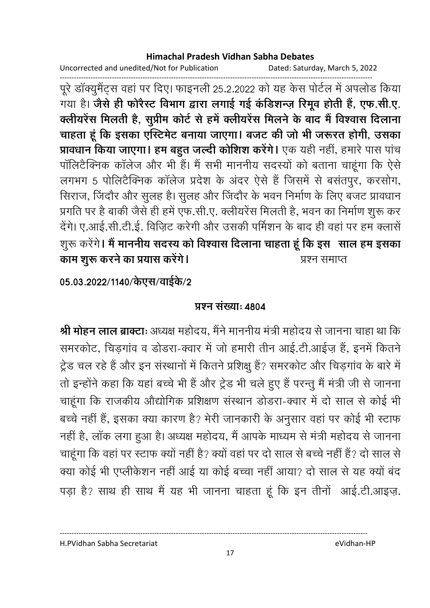Uncorrected and unedited/Not for Publication Dated: Saturday, March 5, 2022

------------------------------------------------------------------------------------------------------------------------------------ पूरे डाक्युमैट्स वहां पर दिए। फाइनली 25.2.2022 को यह कैस पोर्टल में अपलोड किया गया है। **जैसे ही फरिस्ट विभाग द्वारा लगाई गई कडिशन्ज़ रिमूव होती है, एफ.सी.ए.** क्लीयरेस मिलती है, सुप्रीम कोर्ट से हमें क्लीयरेस मिलने के बाद में विश्वास दिलाना चाहता हू कि इसका एस्टिमेंट बनाया जाएगा। बजट की जो भी जरूरत होगी, उसका **प्रावधान किया जाएगा। हम बहुत जल्दी कोशिश करेंगे।** एक यही नहीं, हमारे पास पाच पॉलिटैक्निक कॉलेज और भी हैं। मैं सभी माननीय सदस्यों को बताना चाहूंगा कि ऐसे लगभग 5 पोलिटैक्निक कालेज प्रदेश के अंदर ऐसे हैं जिसमें से बसतपुर, करसोग, सिराज, जिंदौर और सुलह है। सुलह और जिंदौर के भवन निर्माण के लिए बजट प्रावधान प्रगति पर है बाकी जैसे ही हमें एफ.सी.ए. क्लीयरेंस मिलती है, भवन का निर्माण शुरू कर देंगे। ए.आई.सी.टी.ई. विज़िट करेगी और उसकी पर्मिशन के बाद ही वहां पर हम क्लासें शुरू करेंगे**। मैं माननीय सदस्य को विश्वास दिलाना चाहता हूं कि इस साल हम इसका** काम शुरू करने का प्रयास करेंगे प्रश्न समाप्त

05.03.2022/1140/केएस/वाईके/2

## **प्रश्न संख्या: 4804**

**श्री मोहन लाल ब्राक्टाः** अध्यक्ष महोदय, मैंने माननीय मंत्री महोदय से जानना चाहा था कि समरकोट, चिड़गांव व डोडरा-क्वार में जो हमारी तीन आई.टी.आईज़ हैं, इनमें कितने ट्रेड चल रहे हैं और इन संस्थानों में कितने प्रशिक्षु हैं? समरकोट और चिड़गांव के बारे में तो इन्होंने कहा कि यहां बच्चे भी हैं और ट्रेड भी चले हुए हैं परन्तु मैं मंत्री जी से जानना चाहूंगा कि राजकीय औद्योगिक प्रशिक्षण संस्थान डोडरा-क्वार में दो साल से कोई भी बच्चे नहीं है, इसका क्या कारण है? मेरी जानकारी के अनुसार वहां पर कोई भी स्टाफ नहीं हैं, लाक लगा हुआ है। अध्यक्ष महोदय, मैं आपके माध्यम से मंत्री महोदय से जानना चाहूंगा कि वहां पर स्टाफ क्यों नहीं है? क्यों वहां पर दो साल से बच्चे नहीं हैं? दो साल से क्या कोई भी एप्लीकेशन नहीं आई या कोई बच्चा नहीं आया? दो साल से यह क्यों बंद पड़ा है? साथ ही साथ मैं यह भी जानना चाहता हूं कि इन तीनों आई.टी.आइज़.

H.PVidhan Sabha Secretariat eVidhan-HP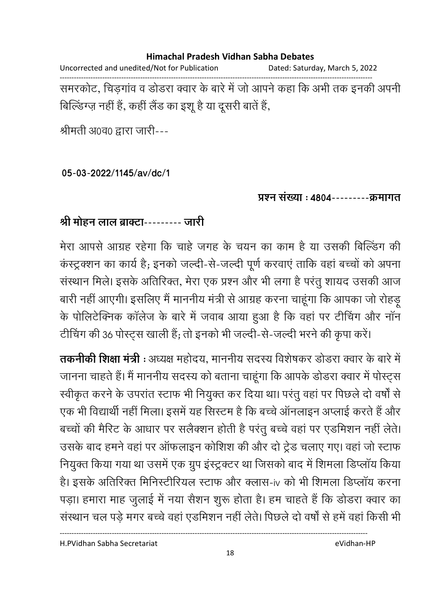Uncorrected and unedited/Not for Publication Dated: Saturday, March 5, 2022 ------------------------------------------------------------------------------------------------------------------------------------ समरकोट, चिड़गाव व डोडरा क्वार के बारे में जो आपने कहा कि अभी तक इनकी अपनी

बिल्डिंग्ज़ नहीं हैं, कहीं लैंड का इशू है या दूसरी बातें हैं,

श्रीमती अ0व0 द्वारा जारी---

**05-03-2022/1145/av/dc/1**

<u> प्रश्न संख्या : 4804---------क्रमागत</u>

## श्री मोहन लाल ब्राक्टा--------- जारी

मेरा आपसे आग्रह रहेगा कि चाहे जगह के चयन का काम है या उसकी बिल्डिंग की कस्ट्रक्शन का कार्य है; इनको जल्दी-से-जल्दी पूर्ण करवाए ताकि वहां बच्चों को अपना संस्थान मिले। इसके अतिरिक्त, मेरा एक प्रश्न और भी लगा है परंतु शायद उसकी आज बारी नहीं आएगी। इसलिए मैं माननीय मंत्री से आग्रह करना चाहूंगा कि आपका जो रहिड़ू के पोलिटेक्निक कॉलेज के बारे में जवाब आया हुआ है कि वहां पर टीचिंग और नॉन टीचिंग की 36 पोस्ट्स खाली हैं; तो इनको भी जल्दी-से-जल्दी भरने की कृपा करें।

**तकनीकी शिक्षा मंत्री** : अध्यक्ष महोदय, माननीय सदस्य विशेषकर डोडरा क्वार के बारे में जानना चाहते हैं। मैं माननीय सदस्य को बताना चाहूंगा कि आपके डोडरा क्वार में पोस्ट्स स्वीकृत करने के उपरांत स्टाफ भी नियुक्त कर दिया था। परंतु वहां पर पिछले दो वर्षों से एक भी विद्यार्थी नहीं मिला। इसमें यह सिस्टम है कि बच्चे आनलाइन अप्लाई करते हैं और बच्चों की मैरिट के आधार पर सलैक्शन होती है परंतु बच्चे वहां पर एडमिशन नहीं लेते। उसके बाद हमने वहां पर ऑफलाइन कोशिश की और दो ट्रेड चलाए गए। वहां जो स्टाफ नियुक्त किया गया था उसमें एक ग्रुप इंस्ट्रक्टर था जिसको बाद में शिमला डिप्लॉय किया हैं। इसके अतिरिक्त मिनिस्टीरियल स्टाफ और क्लास-iv को भी शिमला डिप्लाय करना पड़ा। हमारा माह जुलाई में नया सैशन शुरू होता है। हम चाहते हैं कि डोडरा क्वार का संस्थान चल पडे मगर बच्चे वहां एडमिशन नहीं लेते। पिछले दो वर्षों से हमें वहां किसी भी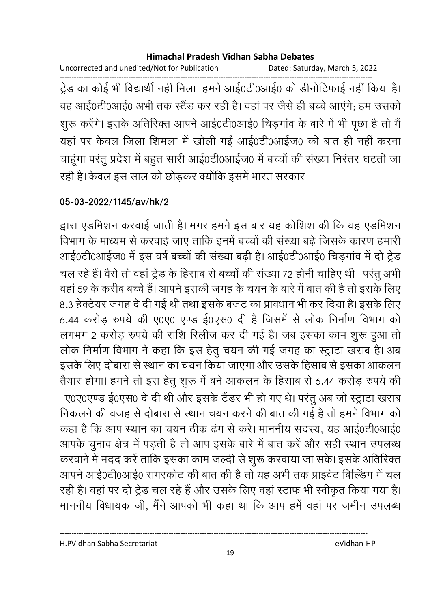Uncorrected and unedited/Not for Publication Dated: Saturday, March 5, 2022

------------------------------------------------------------------------------------------------------------------------------------ ट्रेंड का कोई भी विद्यार्थी नहीं मिला। हमने आई0टी0आई0 को डीनोटिफाई नहीं किया है। वह आई0टी0आई0 अभी तक स्टैंड कर रही है। वहां पर जैसे ही बच्चे आएंगे; हम उसको शुरू करेंगे। इसके अतिरिक्त आपने आई0टी0आई0 चिड़ंगाव के बारे में भी पूछा है तो मैं यहां पर केवल जिला शिमला में खोली गईं आई0टी0आईज0 की बात ही नहीं करना चाहूंगा परंतु प्रदेश में बहुत सारी आई0टी0आईज0 में बच्चों की संख्या निरंतर घटती जा रही है। केवल इस साल को छोड़कर क्योंकि इसमें भारत सरकार

## **05-03-2022/1145/av/hk/2**

द्वारा एडमिशन करवाई जाती है। मगर हमने इस बार यह कोशिश की कि यह एडमिशन विभाग के माध्यम से करवाई जाए ताकि इनमें बच्चों की संख्या बढे जिसके कारण हमारी आई0टी0आईज0 में इस वर्ष बच्चों की संख्या बढ़ी है। आई0टी0आई0 चिडगांव में दो ट्रेड चल रहे हैं। वैसे तो वहां ट्रेंड के हिसाब से बच्चों की संख्या 72 होनी चाहिए थी -परंतु अभी -वहां 59 के करीब बच्चे हैं। आपने इसकी जगह के चयन के बारे में बात की है तो इसके लिए 8.3 हेक्टेयर जगह दे दी गई थी तथा इसके बजट का प्रावधान भी कर दिया है। इसके लिए 6.44 करोड़ रुपये की ए0ए0 एण्ड ई0एस0 दी है जिसमें से लोक निर्माण विभाग को लगभग 2 करोड़ रुपये की राशि रिलीज कर दी गई है। जब इसका काम शुरू हुआ तो लोक निर्माण विभाग ने कहा कि इस हेतु चयन की गई जगह का स्ट्राटा खराब है। अब इसके लिए दोबारा से स्थान का चयन किया जाएगा और उसके हिसाब से इसका आकलन तैयार होगा। हमने तो इस हेतु शुरू में बने आकलन के हिसाब से 6.44 करोड़ रुपये की ए0ए0एण्ड ई0एस0 दे दी थी और इसके टैंडर भी हो गए थे। परंतु अब जो स्ट्रांटा खराब निकलने की वजह से दोबारा से स्थान चयन करने की बात की गई है तो हमने विभाग को कहा है कि आप स्थान का चयन ठीक ढंग से करे। माननीय सदस्य, यह आई0टी0आई0 आपके चुनाव क्षेत्र में पड़ती है तो आप इसके बारे में बात करें और सही स्थान उपलब्ध करवाने में मदद करें ताकि इसका काम जल्दी से शुरू करवाया जा सके। इसके अतिरिक्त आपने आई0टी0आई0 समरकोट की बात की है तो यह अभी तक प्राइवेट बिल्डिंग में चल रही है। वहां पर दो ट्रेड चल रहे हैं और उसके लिए वहां स्टाफ भी स्वीकृत किया गया है। माननीय विधायक जी, मैंने आपको भी कहा था कि आप हमें वहां पर जमीन उपलब्ध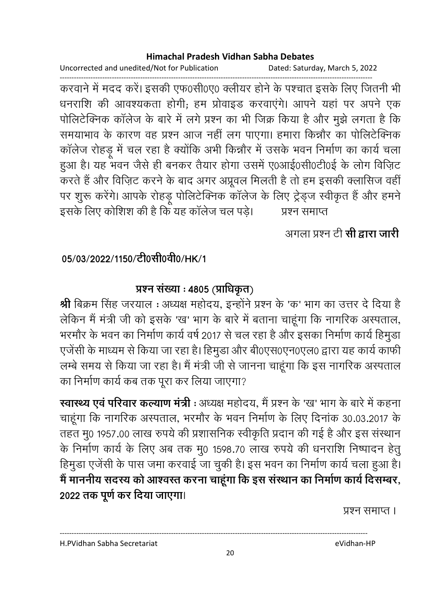Uncorrected and unedited/Not for Publication Dated: Saturday, March 5, 2022

------------------------------------------------------------------------------------------------------------------------------------ करवाने में मदद करें। इसकी एफ0सी0ए0 क्लीयर होने के पश्चात इसके लिए जितनी भी धनराशि की आवश्यकता होगी; हम प्रोवाइंड करवाएंगे। आपने यहां पर अपने एक पोलिटेक्निक कॉलेज के बारे में लगे प्रश्न का भी जिक्र किया है और मुझे लगता है कि समयाभाव के कारण वह प्रश्न आज नहीं लग पाएगा। हमारा किन्नौर का पोलिटेक्निक कालेज रोहडू में चल रहा है क्योंकि अभी किन्नौर में उसके भवन निर्माण का कार्य चला हुआ है। यह भवन जैसे ही बनकर तैयार होगा उसमें ए0आई0सी0टी0ई के लोग विज़िट करते हैं और विज़िट करने के बाद अगर अप्रूवल मिलती है तो हम इसकी क्लासिज वहीं। पर शुरू करेंगे। आपके रोहड़ू पोलिटेक्निक कॉलेज के लिए ट्रेड्ज स्वीकृत हैं और हमने इसके लिए कोशिश की है कि यह कॉलेज चल पडे। प्रश्न समाप्त

# अगला प्रश्न टी **सी द्वारा जारी**

# 05/03/2022/1150/<del>c</del>loसी0वी0/HK/1

# प्रश्न संख्या : 4805 (प्राधिकृत) <sub>.</sub>

**श्री** बिक्रम सिंह जरयाल : अध्यक्ष महोदय, इन्होंने प्रश्न के 'क' भाग का उत्तर दे दिया है लेकिन मैं मंत्री जी को इसके 'ख' भाग के बारे में बताना चाहूंगा कि नागरिक अस्पताल, भरमौर के भवन का निर्माण कार्य वर्ष 2017 से चल रहा है और इसका निर्माण कार्य हिमुड़ा एजेंसी के माध्यम से किया जा रहा है। हिमुडा और बी0एस0एन0एल0 द्वारा यह कार्य काफी लम्बे समय से किया जा रहा है। मैं मंत्री जी से जानना चाहूंगा कि इस नागरिक अस्पताल का निर्माण कार्य कब तक पूरा कर लिया जाएगा?

**स्वास्थ्य एवं परिवार कल्याण मंत्री** : अध्यक्ष महोदय, मैं प्रश्न के 'ख' भाग के बारे में कहना | चाहूंगा कि नागरिक अस्पताल, भरमौर के भवन निर्माण के लिए दिनाक 30.03.2017 के तहत मू0 1957.00 लाख रुपये की प्रशासनिक स्वीकृति प्रदान की गई है और इस संस्थान के निर्माण कार्य के लिए अब तक मु0 1598.70 लाख रुपये की धनराशि निष्पादन हेतु हिमूडा एजेंसी के पास जमा करवाई जा चुकी है। इस भवन का निर्माण कार्य चला हुआ है। मैं माननीय सदस्य को आश्वस्त करना चाहूगा कि इस संस्थान का निर्माण कार्य दिसम्बर, 2022 तक पूर्ण कर दिया जाएगा।

प्रश्न समाप्त ।

---------------------------------------------------------------------------------------------------------------------------------- H.PVidhan Sabha Secretariat eVidhan-HP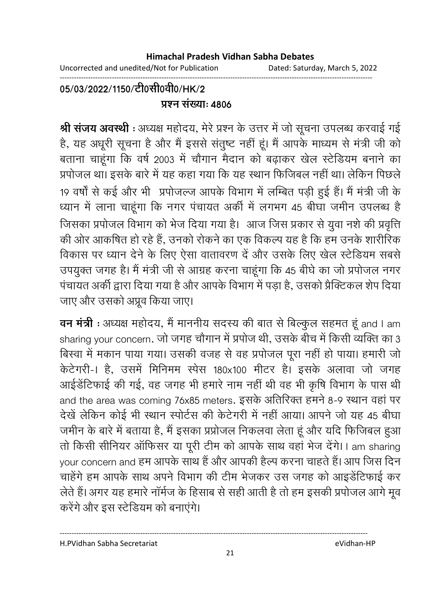Uncorrected and unedited/Not for Publication Dated: Saturday, March 5, 2022

#### ------------------------------------------------------------------------------------------------------------------------------------ 05/03/2022/1150/टी0सी0वी0/HK/2 **प्रश्न संख्या: 4806**

**श्री सजय अवस्थी** : अध्यक्ष महोदय, मेरे प्रश्न के उत्तर में जो सूचना उपलब्ध करवाई गई है, यह अधूरी सूचना है और मैं इससे सतुष्ट नहीं हूं। मैं आपके माध्यम से मंत्री जी को बताना चाहूंगा कि वर्ष 2003 में चौगान मैदान को बढ़ाकर खेल स्टेडियम बनाने का प्रपोजल था। इसके बारे में यह कहा गया कि यह स्थान फिजिबल नहीं था। लेकिन पिछले 19 वर्षों से कई और भी प्रपोजल्ज आपके विभाग में लम्बित पड़ी हुई हैं। मैं मंत्री जी के ध्यान में लाना चाहूंगा कि नगर पंचायत अंकी में लगभग 45 बीघा जमीन उपलब्ध हैं जिसका प्रपोजल विभाग को भेज दिया गया है। आज जिस प्रकार से युवा नशे की प्रवृत्ति की ओर आकषित हो रहे हैं, उनको रोकने का एक विकल्प यह है कि हम उनके शारीरिक विकास पर ध्यान देने के लिए ऐसा वातावरण दें और उसके लिए खेल स्टेडियम सबसे उपयुक्त जगह है। मैं मंत्री जी से आग्रह करना चाहूंगा कि 45 बीघे का जो प्रपोजल नगर पंचायत अर्की द्वारा दिया गया है और आपके विभाग में पड़ा है, उसको प्रैक्टिकल शेप दिया जाए और उसको अप्रूव किया जाए।

**वन मत्री :** अध्यक्ष महोदय, मै माननीय सदस्य की बात से बिल्कुल सहमत हू and I am sharing your concern. जो जगह चौगान में प्रपोज थी, उसके बीच में किसी व्यक्ति का 3 बिस्वा में मकान पाया गया। उसकी वजह से वह प्रपोजल पूरा नहीं हो पाया। हमारी जो केंटेंगरी-। है, उसमें मिनिमम स्पेस 180x100 मीटर हैं। इसके अलावा जो जगह आईडेंटिफाई की गई, वह जगह भी हमारे नाम नहीं थी वह भी कृषि विभाग के पास थी and the area was coming 76x85 meters. इसके अतिरिक्त हमने 8-9 स्थान वहा पर देखें लेकिन कोई भी स्थान स्पोर्टस की केटेगरी में नहीं आया। आपने जो यह 45 बीघा जमीन के बारे में बताया है, मैं इसका प्रप्रोजल निकलवा लेता हूं और यदि फिजिबल हुआ तो किसी सीनियर ऑफिसर या पूरी टीम को आपके साथ वहां भेज देंगे। I am sharing your concern and हम आपके साथ हैं और आपकी हैल्प करना चाहते हैं। आप जिस दिन चाहेंगे हम आपके साथ अपने विभाग की टीम भेजकर उस जगह को आइंडेटिफाई कर लेते हैं। अगर यह हमारे नामेज के हिसाब से सही आती है तो हम इसकी प्रपंजिल आगे मूव करेंगे और इस स्टेडियम को बनाएंगे।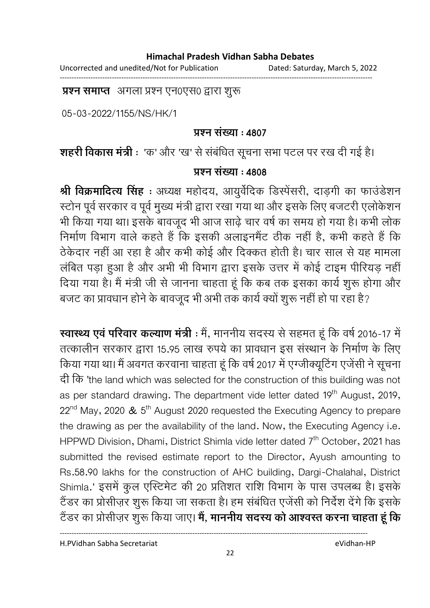Uncorrected and unedited/Not for Publication Dated: Saturday, March 5, 2022

------------------------------------------------------------------------------------------------------------------------------------

**प्रश्न समाप्त** अगला प्रश्न एन0एस0 द्वारा शुरू

05-03-2022/1155/NS/HK/1

### **प्रश्न संख्या: 4807**

**शहरी विकास मंत्री** : 'क' और 'ख' से संबंधित सूचना सभा पटल पर रख दी गई है।

### **प्रश्न संख्या: 4808**

**श्री विक्रमादित्य सिंह** : अध्यक्ष महोदय, आयुर्वेदिक डिस्पेसरी, दाड़गी का फाउंडेशन स्टोन पूर्व सरकार व पूर्व मुख्य मंत्री द्वारा रखा गया था और इसके लिए बजटरी एलोकेशन भी किया गया था। इसके बावजूद भी आज साढ़े चार वर्ष का समय हो गया है। कभी लोक निर्माण विभाग वाले कहते हैं कि इसकी अलाइनमैंट ठीक नहीं है, कभी कहते हैं कि ठेकेदार नहीं आ रहा है और कभी कोई और दिक्कत होती है। चार साल से यह मामला लंबित पड़ा हुआ है और अभी भी विभाग द्वारा इसके उत्तर में कोई टाइम पीरियड़ नहीं। दिया गया है। मैं मंत्री जी से जानना चाहता हूं कि कब तक इसका कार्य शुरू होगा और बजट का प्रावधान होने के बावजूद भी अभी तक कार्य क्यों शुरू नहीं हो पा रहा है?

**स्वास्थ्य एव परिवार कल्याण मंत्री** : मैं, माननीय सदस्य से सहमत हूं कि वर्ष 2016-17 में तत्कालीन सरकार द्वारा 15.95 लाख रुपये का प्रावधान इस संस्थान के निर्माण के लिए किया गया था। मैं अवगत करवाना चाहता हूं कि वर्ष 2017 में एंग्जीक्यूटिंग एंजेंसी ने सूचना 'the land which was selected for the construction of this building was not as per standard drawing. The department vide letter dated 19<sup>th</sup> August, 2019,  $22^{nd}$  May, 2020 &  $5^{th}$  August 2020 requested the Executing Agency to prepare the drawing as per the availability of the land. Now, the Executing Agency i.e. HPPWD Division, Dhami, District Shimla vide letter dated 7<sup>th</sup> October, 2021 has submitted the revised estimate report to the Director, Ayush amounting to Rs.58.90 lakhs for the construction of AHC building, Dargi-Chalahal, District Shimla.' इसमें कुल एस्टिमेट की 20 प्रतिशत राशि विभाग के पास उपलब्ध है। इसके टैंडर का प्रोसीज़र शुरू किया जा सकता है। हम संबंधित एजेंसी को निर्देश देंगे कि इसके टैंडर का प्रसिज़िर शुरू किया जाए। **में, माननीय सदस्य को आश्वरत्त करना चाहता हूं कि** 

H.PVidhan Sabha Secretariat eVidhan-HP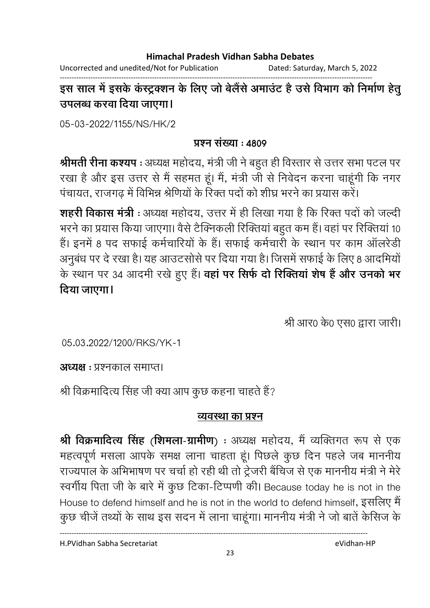Uncorrected and unedited/Not for Publication Dated: Saturday, March 5, 2022

------------------------------------------------------------------------------------------------------------------------------------ इस साल में इसके कस्ट्रक्शन के लिए जो बेलैसे अमाउट हैं उसे विभाग को निर्माण हेतु उपलब्ध करवा दिया जाएगा।

05-03-2022/1155/NS/HK/2

## <u>प्रश्न संख्या : ४८०९</u>

**श्रीमती रीना कश्यप** : अध्यक्ष महोदय, मंत्री जी ने बहुत ही विस्तार से उत्तर सभा पटल पर रखा है और इस उत्तर से मैं सहमत हूं। मैं, मंत्री जी से निवेदन करना चाहूंगी कि नगर पंचायत, राजगढ में विभिन्न श्रेणियों के रिक्त पदों को शीघ्र भरने का प्रयास करें।

**शहरी विकास मंत्री** : अध्यक्ष महोदय, उत्तर में ही लिखा गया है कि रिक्त पर्दा को जल्दी भरने का प्रयास किया जाएगा। वैसे टैक्निकली रिक्तियां बहुत कम हैं। वहां पर रिक्तियां 10 हैं। इनमें 8 पद सफाई कर्मचारियों के हैं। सफाई कर्मचारी के स्थान पर काम ऑलरेडी अनुबंध पर दे रखा है। यह आउटसोर्स पर दिया गया है। जिसमें सफाई के लिए 8 आदमियों के स्थान पर 34 आदमी रखे हुए हैं। **वहां पर सिर्फ दो रिक्तिया शेष है और उनको भर** दिया जाएगा।

श्री आर0 के0 एस0 द्वारा जारी।

05.03.2022/1200/RKS/YK-1

**अध्यक्ष** : प्रश्नकाल समाप्त।

श्री विक्रमादित्य सिंह जी क्या आप कुछ कहना चाहते हैं?

## **व्यवस्था का प्रश्न**

**श्री विक्रमादित्य सिंह (शिमला-ग्रामीण) :** अध्यक्ष महोदय, मैं व्यक्तिगत रूप से एक महत्वपूर्ण मसला आपके समक्ष लाना चाहता हूं। पिछले कुछ दिन पहले जब माननीय राज्यपाल के अभिभाषण पर चर्चा हो रही थी तो ट्रेजरी बैचिज से एक माननीय मंत्री ने मेरे. स्वर्गीय पिता जी के बारे में कुछ टिका-टिप्पणी की। Because today he is not in the House to defend himself and he is not in the world to defend himself, इसलिए मैं कुछ चीजें तथ्यों के साथ इस सदन में लाना चाहूंगा। माननीय मंत्री ने जो बातें केसिज के

H.PVidhan Sabha Secretariat eVidhan-HP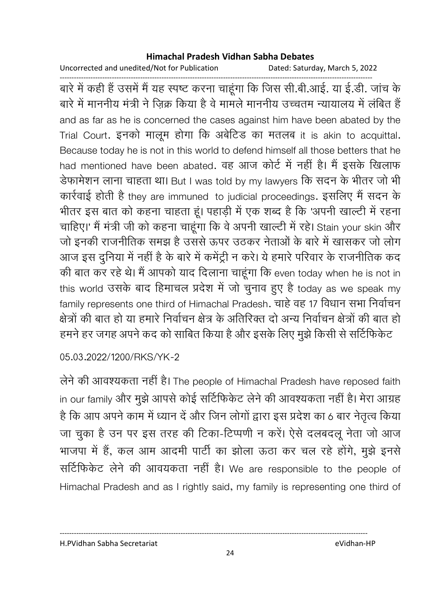Uncorrected and unedited/Not for Publication Dated: Saturday, March 5, 2022

------------------------------------------------------------------------------------------------------------------------------------ बारे में कहीं है उसमें मैं यह स्पष्ट करना चाहूंगा कि जिस सी.बी.आई. या ई.डी. जांच के .<br>बारे में माननीय मंत्री ने जिक्र किया है वे मामले माननीय उच्चतम न्यायालय में लंबित हैं and as far as he is concerned the cases against him have been abated by the Trial Court. इनको मालूम होगा कि अबेटिंड का मतलब it is akin to acquittal. Because today he is not in this world to defend himself all those betters that he had mentioned have been abated. वह आज कोर्ट में नहीं है। मैं इसके खिलाफ डेफामेशन लाना चाहता था। But I was told by my lawyers कि सदन के भीतर जो भी कार्रवाई होती है they are immuned to judicial proceedings. इसलिए मैं सदन के भीतर इस बात को कहना चाहता हूं। पहाड़ी में एक शब्द है कि 'अपनी खाल्टी में रहना चाहिए।' मैं मंत्री जी को कहना चाहूँगा कि वे अपनी खाल्टी में रहे। Stain your skin और जो इनकी राजनीतिक समझ है उससे ऊपर उठकर नेताओं के बारे में खासकर जो लोग आज इस दुनिया में नहीं है के बारे में कमेंट्री न करे। ये हमारे परिवार के राजनीतिक कद की बात कर रहे थे। मैं आपको याद दिलाना चाहूंगा कि even today when he is not in this world उसके बाद हिमाचल प्रदेश में जो चुनाव हुए है today as we speak my family represents one third of Himachal Pradesh, चाहे वह 17 विधान सभा निर्वाचन क्षेत्रों की बात हो या हमारे निर्वाचन क्षेत्र के अतिरिक्त दो अन्य निर्वाचन क्षेत्रों की बात हो हमने हर जगह अपने कद को साबित किया है और इसके लिए मुझे किसी से सर्टिफिकेट

05.03.2022/1200/RKS/YK-2

लेने की आवश्यकता नहीं है। The people of Himachal Pradesh have reposed faith in our family और मुझे आपसे कोई सर्टिफिकेट लेने की आवश्यकता नहीं है। मेरा आग्रह है कि आप अपने काम में ध्यान दें और जिन लोगों द्वारा इस प्रदेश का 6 बार नेतृत्व किया जा चुका है उन पर इस तरह की टिका-टिप्पणी न करें। ऐसे दलबदलू नेता जो आज भाजपा में हैं, कल आम आदमी पार्टी का झोला ऊठा कर चल रहे होंगे, मुझे इनसे सर्टिफिकेट लेने की आवयकता नहीं है। We are responsible to the people of Himachal Pradesh and as I rightly said, my family is representing one third of

H.PVidhan Sabha Secretariat eVidhan-HP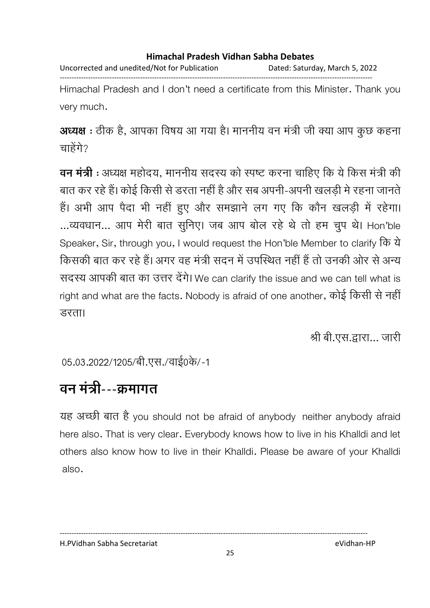Uncorrected and unedited/Not for Publication Dated: Saturday, March 5, 2022 ------------------------------------------------------------------------------------------------------------------------------------

Himachal Pradesh and I don't need a certificate from this Minister. Thank you very much.

अध्यक्ष : ठीक है, आपका विषय आ गया है। माननीय वन मंत्री जी क्या आप कुछ कहना चाहेंगे?

**वन मंत्री** : अध्यक्ष महोदय, माननीय सदस्य को स्पष्ट करना चाहिए कि ये किस मंत्री की बात कर रहे हैं। कोई किसी से डरता नहीं है और सब अपनी-अपनी खलड़ी में रहना जानते हैं। अभी आप पैदा भी नहीं हुए और समझाने लग गए कि कौन खलड़ी में रहेगा। ...व्यवधान... आप मेरी बात सुनिए। जब आप बोल रहे थे तो हम चुप थे। Hon'ble Speaker, Sir, through you, I would request the Hon'ble Member to clarify किसकी बात कर रहे हैं। अगर वह मंत्री सदन में उपस्थित नहीं है तो उनकी ओर से अन्य सदस्य आपकी बात का उत्तर देंगे। We can clarify the issue and we can tell what is right and what are the facts. Nobody is afraid of one another, कोई किसी से नहीं उरता।

श्री बी.एस.द्वारा... जारी

05.03.2022/1205/बी.एस./वाई0के/-1

# वन मंत्री---क्रमागत

यह अच्छी बात है you should not be afraid of anybody neither anybody afraid here also. That is very clear. Everybody knows how to live in his Khalldi and let others also know how to live in their Khalldi. Please be aware of your Khalldi also.

---------------------------------------------------------------------------------------------------------------------------------- H.PVidhan Sabha Secretariat eVidhan-HP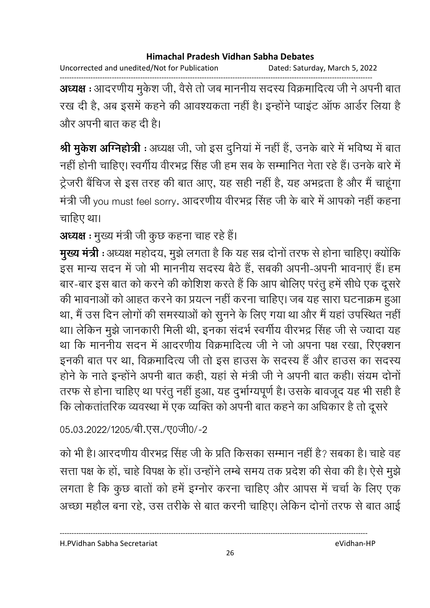Uncorrected and unedited/Not for Publication Dated: Saturday, March 5, 2022

------------------------------------------------------------------------------------------------------------------------------------ **अध्यक्ष** : आदरणीय मुकेश जी, वैसे तो जब माननीय सदस्य विक्रमादित्य जी ने अपनी बात रख दी है, अब इसमें कहने की आवश्यकता नहीं है। इन्होंने प्वाइट आफ आर्डर लिया है और अपनी बात कह दी है।

**श्री मुकेश अग्निहोत्री** : अध्यक्ष जी, जो इस दुनिया में नहीं है, उनके बारे में भविष्य में बात नहीं होनी चाहिए। स्वर्गीय वीरभद्र सिंह जी हम सब के सम्मानित नेता रहे हैं। उनके बारे में ट्रेजरी बैचिज से इस तरह की बात आए, यह सही नहीं है, यह अभद्रता है और मैं चाहूंगा मंत्री जी you must feel sorry. आदरणीय वीरभद्र सिंह जी के बारे में आपको नहीं कहना चाहिए था।

# **अध्यक्ष** : मुख्य मंत्री जी कुछ कहना चाह रहे हैं।

**मुख्य मंत्री** : अध्यक्ष महोदय, मुझे लगता है कि यह सब्र दोनों तरफ से होना चाहिए। क्योंकि इस मान्य सदन में जो भी माननीय सदस्य बैठे हैं, सबकी अपनी-अपनी भावनाए हैं। हम बार-बार इस बात को करने की कोशिश करते हैं कि आप बोलिए परंतु हमें सीधे एक दूसरे की भावनाओं को आहत करने का प्रयत्न नहीं करना चाहिए। जब यह सारा घटनाक्रम हुआ था, मैं उस दिन लोगों की समस्याओं को सूनने के लिए गया था और मैं यहां उपस्थित नहीं था। लेकिन मुझे जानकारी मिली थी, इनका संदर्भ स्वर्गीय वीरभद्र सिंह जी से ज्यादा यह था कि माननीय सदन में आदरणीय विक्रमादित्य जी ने जो अपना पक्ष रखा, रिएक्शन इनकी बात पर था, विक्रमादित्य जी तो इस हाउस के सदस्य हैं और हाउस का सदस्य होंने के नाते इन्होंने अपनी बात कहीं, यहां से मंत्री जी ने अपनी बात कहीं। सयम दोनों तरफ से होना चाहिए था परंतु नहीं हुआ, यह दुर्भाग्यपूर्ण है। उसके बावजूद यह भी सही है कि लोकतातरिक व्यवस्था में एक व्यक्ति को अपनी बात कहने का अधिकार है तो दूसरे

# 05.03.2022/1205/बी.एस./ए0जी0/-2

को भी है। आरदणीय वीरभद्र सिंह जी के प्रति किसका सम्मान नहीं है? सबका है। चाहे वह सत्ता पक्ष के हों, चाहे विपक्ष के हों। उन्होंने लम्बे समय तक प्रदेश की सेवा की है। ऐसे मुझे लगता है कि कुछ बातों को हमें इग्नोर करना चाहिए और आपस में चर्चा के लिए एक अच्छा महौल बना रहे, उस तरीके से बात करनी चाहिए। लेकिन दोनों तरफ से बात आई

H.PVidhan Sabha Secretariat eVidhan-HP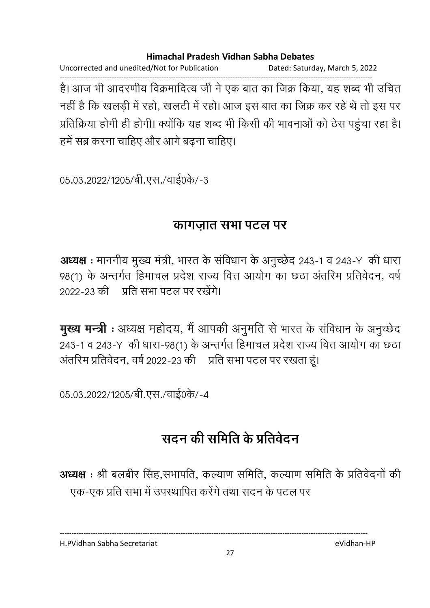Uncorrected and unedited/Not for Publication Dated: Saturday, March 5, 2022 ------------------------------------------------------------------------------------------------------------------------------------ है। आज भी आदरणीय विक्रमादित्य जी ने एक बात का जिक्र किया, यह शब्द भी उचित नहीं है कि खलड़ी में रहो, खलटी में रहो। आज इस बात का जिक्र कर रहे थे तो इस पर प्रतिक्रिया होगी ही होगी। क्योंकि यह शब्द भी किसी की भावनाओं को ठेस पहुंचा रहा है। हमें सब्र करना चाहिए और आगे बढना चाहिए।

05.03.2022/1205/बी.एस./वाई0के/-3

# <u>कांगजात सभा पटल पर</u>

**अध्यक्ष** : माननीय मुख्य मंत्री, भारत के सर्विधान के अनुच्छेद 243-1 व 243-Y की धारा 98(1) के अन्तर्गत हिमाचल प्रदेश राज्य वित्त आयोग का छंठा अंतरिम प्रतिवेदन, वर्षे 2022-23 की जिति सभा पटल पर रखेंगे।

**मुख्य मन्त्री** : अध्यक्ष महोदय, मैं आपकी अनुमति से भारत के सर्विधान के अनुच्छेद 243-1 व 243-Y) की धारा-98(1) के अन्तर्गत हिमाचल प्रदेश राज्य वित्त आयोग का छठा अतरिम प्रतिवेदन, वर्ष 2022-23 की । प्रति सभा पटल पर रखता हूं।

05.03.2022/1205/बी.एस./वाई0के/-4

# सदन की समिति के प्रतिवेदन

**अध्यक्ष**: श्री बलबीर सिंह,सभापति, कल्याण समिति, कल्याण समिति के प्रतिवेदनों की एक-एक प्रति सभा में उपस्थापित करेंगे तथा सदन के पटल पर

H.PVidhan Sabha Secretariat eVidhan-HP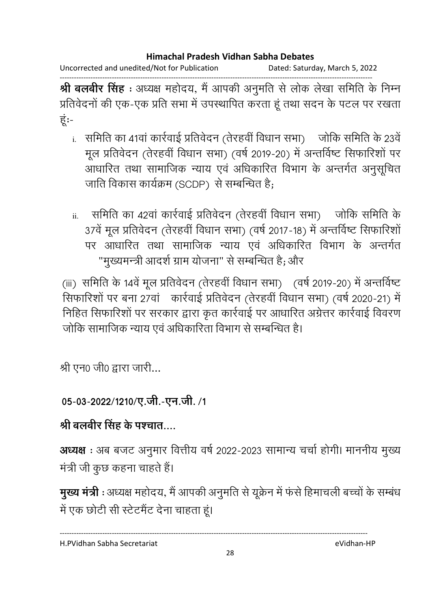Uncorrected and unedited/Not for Publication Dated: Saturday, March 5, 2022

------------------------------------------------------------------------------------------------------------------------------------ **श्री बलबीर सिंह** : अध्यक्ष महोदय, मैं आपकी अनुमति से लोक लेखा समिति के निम्न प्रतिवेदनों की एक-एक प्रति सभा में उपस्थापित करता हूं तथा सदन के पटल पर रखता ह:-

- i. समिति का 41वां कार्रवाई प्रतिवेदन (तेरहवीं विधान सभा) जोकि समिति के 23वें मूल प्रतिवेदन (तेरहवी विधान सभा) (वर्ष 2019-20) में अन्तविष्ट सिफारिशो पर आधारित तथा सामाजिक न्याय एव अधिकारित विभाग के अन्तर्गत अनुसूचित जाति विकास कार्यक्रम (SCDP) से सम्बन्धित है;
- ii. समिति का 42वां कार्रवाई प्रतिवेदन (तेरहवीं विधान सभा) जोकि समिति के 37वे मूल प्रतिवेदन (तेरहवी विधान सभा) (वर्ष 2017-18) में अन्तविष्ट सिफारिशो पर आधारित तथा सामाजिक न्याय एव अधिकारित विभाग के अन्तर्गत "मुख्यमन्त्री आदर्श ग्राम योजना" से सम्बन्धित है; और

(iii) समिति के 14वें मूल प्रतिवेदन (तेरहवीं विधान सभा) (वर्ष 2019-20) में अन्तविष्ट सिफारिशों पर बना 27वां कार्रवाई प्रतिवेदन (तेरहवीं विधान सभा) (वर्ष 2020-21) में निहित सिफारिशो पर सरकार द्वारा कृत कार्रवाई पर आधारित अंग्रेत्तर कार्रवाई विवरण जोकि सामाजिक न्याय एवं अधिकारिता विभाग से सम्बन्धित है।

श्री एन $0$  जी $0$  द्वारा जारी...

# 05-03-2022/1210/ए.जी.-एन.जी. /1

# श्री बलबीर सिंह के पश्चात….

**अध्यक्ष** : अब बजट अनुमार वित्तीय वर्ष 2022-2023 सामान्य चर्चा होगी। माननीय मुख्य मंत्री जी कुछ कहना चाहते हैं।

**मुख्य मंत्री** : अध्यक्ष महोदय, मैं आपकी अनुमति से यूक्रेन में फर्स हिमाचली बच्चों के सम्बंध में एक छोटी सी स्टेटमैंट देना चाहता हूं।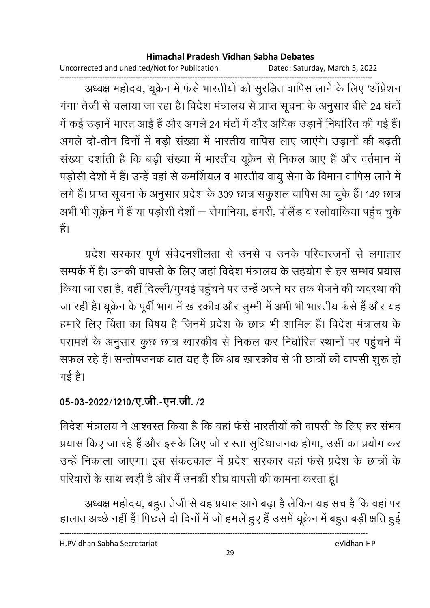Uncorrected and unedited/Not for Publication Dated: Saturday, March 5, 2022

------------------------------------------------------------------------------------------------------------------------------------ अध्यक्ष महोदय, यूक्रेन में फर्स भारतीयों को सुरक्षित वापिस लाने के लिए 'आप्रेशन' गंगा' तेजी से चलाया जा रहा है। विदेश मंत्रालय से प्राप्त सूचना के अनुसार बीते 24 घंटो में कई उड़ाने भारत आई है और अगले 24 घटों में और अधिक उड़ाने निर्धारित की गई है। अगले दो-तीन दिनों में बड़ी संख्या में भारतीय वापिस लाए जाएंगे। उड़ानों की बढ़ती संख्या दर्शाती है कि बड़ी संख्या में भारतीय यूक्रेन से निकल आए हैं और वर्तमान में पड़ोसी देशों में हैं। उन्हें वहां से कमर्शियल व भारतीय वायु सेना के विमान वापिस लाने में लगे हैं। प्राप्त सूचना के अनुसार प्रदेश के 309 छात्र सकुशल वापिस आ चुके हैं। 149 छात्र अभी भी यूक्रेन में है या पड़ोसी देशों — रोमानिया, हंगरी, पलिंड व स्लोवार्किया पहुंच चुकें | है।

प्रदेश सरकार पूर्ण संवेदनशीलता से उनसे व उनके परिवारजनों से लगातार सम्पर्क में है। उनकी वापसी के लिए जहां विदेश मंत्रालय के सहयोग से हर सम्भव प्रयास किया जा रहा है, वहीं दिल्ली/मुम्बई पहुचने पर उन्हें अपने घर तक भेजने की व्यवस्था की जा रही है। यूक्रेन के पूर्वी भाग में खारकीव और सुम्मी में अभी भी भारतीय फर्स है और यह हमारे लिए चिंता का विषय है जिनमें प्रदेश के छात्र भी शामिल हैं। विदेश मंत्रालय के परामर्श के अनुसार कुछ छात्र खारकीव से निकल कर निर्धारित स्थानों पर पहुंचने में सफल रहे हैं। सन्तोषजनक बात यह है कि अब खारकीव से भी छात्रों की वापसी शुरू हो गई है।

# 05-03-2022/1210/ए.जी.-एन.जी. /2

विदेश मंत्रालय ने आश्वस्त किया है कि वहां फंसे भारतीयों की वापसी के लिए हर संभव प्रयास किए जा रहे हैं और इसके लिए जो रास्ता सुविधाजनक होगा, उसी का प्रयोग कर उन्हें निकाला जाएगा। इस संकटकाल में प्रदेश सरकार वहां फंसे प्रदेश के छात्रों के परिवारों के साथ खड़ी है और मैं उनकी शीघ्र वापसी की कामना करता हूं।

अध्यक्ष महोदय, बहुत तेजी से यह प्रयास आगे बढ़ा है लेकिन यह सच है कि वहां पर हालात अच्छे नहीं है। पिछले दो दिनों में जो हमले हुए हैं उसमें यूक्रेन में बहुत बड़ी क्षति हुई

----------------------------------------------------------------------------------------------------------------------------------

H.PVidhan Sabha Secretariat eVidhan-HP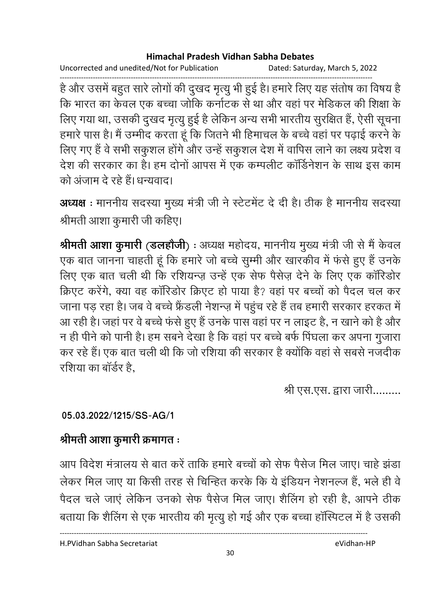Uncorrected and unedited/Not for Publication Dated: Saturday, March 5, 2022

------------------------------------------------------------------------------------------------------------------------------------ है और उसमें बहुत सारे लोगों की दुखद मृत्यु भी हुई है। हमारे लिए यह संतोष का विषय है कि भारत का केवल एक बच्चा जोकि कर्नाटक से था और वहां पर मेडिकल की शिक्षा के लिए गया था, उसकी दुखद मृत्यु हुई है लेकिन अन्य सभी भारतीय सुरक्षित है, ऐसी सूचना हमारे पास है। मैं उम्मीद करता हूं कि जितने भी हिमाचल के बच्चे वहां पर पढ़ाई करने के लिए गए हैं वे सभी सकुशल होंगे और उन्हें सकुशल देश में वापिस लाने का लक्ष्य प्रदेश व देश की सरकार का है। हम दोनों आपस में एक कम्पलीट कॉर्डिनेशन के साथ इस काम को अजाम दे रहे हैं। धन्यवाद।

अध्यक्ष : माननीय सदस्या मुख्य मंत्री जी ने स्टेटमेंट दे दी है। ठीक है माननीय सदस्या श्रीमती आशा कुमारी जी कहिए।

**श्रीमती आशा कुमारी (डलहौजी)** : अध्यक्ष महोदय, माननीय मुख्य मंत्री जी से मैं केवल एक बात जानना चाहती हूं कि हमारे जो बच्चे सुम्मी और खारकीव में फंसे हुए हैं उनके लिए एक बात चली थी कि रशियन्ज़ उन्हें एक सेफ पैसेज़ देने के लिए एक कॉरिडोर क्रिएट करेंगे, क्या वह कॉरिडोर क्रिएट हो पाया है? वहां पर बच्चों को पैदल चल कर जाना पड़ रहा है। जब वे बच्चे फ्रेंडली नेशन्ज़ में पहुंच रहे हैं तब हमारी सरकार हरकत में आ रही है। जहां पर वे बच्चे फंसे हुए हैं उनके पास वहां पर न लाइट है, न खाने को है और न ही पीने को पानी है। हम सबने देखा है कि वहां पर बच्चे बर्फ पिघला कर अपना गुजारा कर रहे हैं। एक बात चली थी कि जो रशिया की सरकार है क्योंकि वहां से सबसे नजदीक रशिया का बॉर्डर है.

श्री एस.एस. द्वारा जारी.........

# **05.03.2022/1215/SS-AG/1**

# श्रीमती आशा कुमारी क्रमागत**ः**

आप विदेश मंत्रालय से बात करें ताकि हमारे बच्चों को सेफ पैसेज मिल जाए। चाहे झंडा .<br> लेकर मिल जाए या किसी तरह से चिन्हित करके कि ये इंडियन नेशनल्ज हैं, भले ही वे पैदल चले जाएं लेकिन उनको सेफ पैसेज मिल जाए। शैलिंग हो रही है, आपने ठीक बताया कि शैलिंग से एक भारतीय की मृत्यू हो गई और एक बच्चा हॉस्पिटल में है उसकी

H.PVidhan Sabha Secretariat eVidhan-HP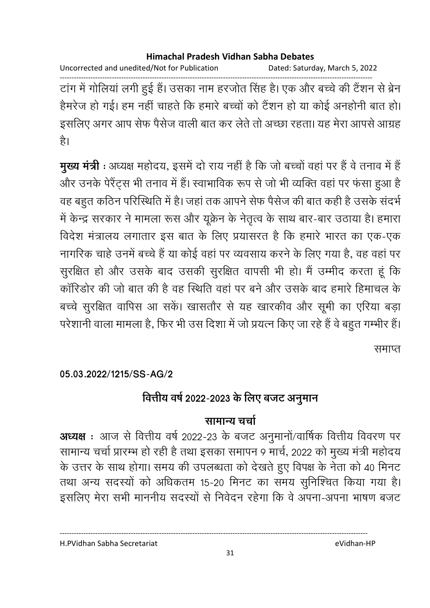Uncorrected and unedited/Not for Publication Dated: Saturday, March 5, 2022

------------------------------------------------------------------------------------------------------------------------------------ टांग में गोलिया लगी हुई है। उसका नाम हरजीत सिंह है। एक और बच्चे की टैशन से ब्रेन हैमरेज हो गई। हम नहीं चाहते कि हमारे बच्चों को टैशन हो या कोई अनहोंनी बात हो। इसलिए अगर आप सेफ पैसेज वाली बात कर लेते तो अच्छा रहता। यह मेरा आपसे आग्रह है।

**मुख्य मंत्री** : अध्यक्ष महोदय, इसमें दो राय नहीं है कि जो बच्चों वहां पर है वे तनाव में हैं : और उनके पेरैंट्स भी तनाव में हैं। स्वाभाविक रूप से जो भी व्यक्ति वहां पर फंसा हुआ है वह बहुत कठिन परिस्थिति में है। जहां तक आपने सेफ पैसेज की बात कही है उसके संदर्भ में केन्द्र सरकार ने मामला रूस और यूक्रेन के नेतृत्व के साथ बार-बार उठाया है। हमारा विदेश मंत्रालय लगातार इस बात के लिए प्रयासरत है कि हमारे भारत का एक-एक नागरिक चाहे उनमें बच्चे हैं या कोई वहां पर व्यवसाय करने के लिए गया है, वह वहां पर सुरक्षित हो और उसके बाद उसकी सुरक्षित वापसी भी हो। मैं उम्मीद करता हूं कि कॉरिडोर की जो बात की है वह स्थिति वहां पर बने और उसके बाद हमारे हिमाचल के बच्चे सुरक्षित वापिस आ सकें। खासतौर से यह खारकीव और सूमी का एरिया बड़ा परेशानी वाला मामला है, फिर भी उस दिशा में जो प्रयत्न किए जा रहे हैं वे बहुत गम्भीर हैं।

समाप्त

**05.03.2022/1215/SS-AG/2**

# वित्तीय वर्ष 2022-2023 के लिए बजट अनुमान

## सामान्य चर्चा

**अध्यक्ष** : आज से वित्तीय वर्ष 2022-23 के बजट अनुमानो/वार्षिक वित्तीय विवरण पर सामान्य चर्चा प्रारम्भ हो रही है तथा इसका समापन ९ मार्च, २०२२ को मुख्य मंत्री महोदय के उत्तर के साथ होगा। समय की उपलब्धता को देखते हुए विपक्ष के नेता को 40 मिनट तथा अन्य सदस्यों को अधिकतम 15-20 मिनट का समय सुनिश्चित किया गया है। इसलिए मेरा सभी माननीय सदस्यों से निवेदन रहेगा कि वे अपना-अपना भाषण बजट

H.PVidhan Sabha Secretariat eVidhan-HP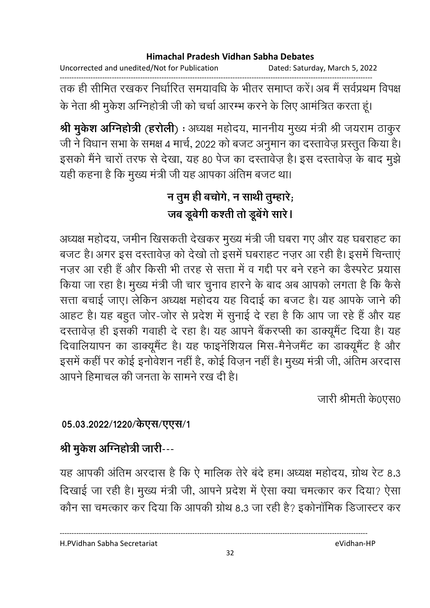Uncorrected and unedited/Not for Publication Dated: Saturday, March 5, 2022 ------------------------------------------------------------------------------------------------------------------------------------

तक ही सीमित रखकर निर्धारित समयावर्धि के भीतर समाप्त करें। अब मैं सर्वप्रथम विपक्ष के नेता श्री मुकेश ओग्नेहोत्री जी को चर्चा आरम्भ करने के लिए आमंत्रित करता हूं।

**श्री मुकेश अग्निहोत्री** (**हरोली**) : अध्यक्ष महोदय, माननीय मुख्य मंत्री श्री जयराम ठाकुर जी ने विधान सभा के समक्ष 4 मार्च, 2022 को बजट अनुमान का दस्तावेज़ प्रस्तुत किया है। इसको मैंने चारों तरफ से देखा, यह 80 पेज का दस्तावेज़ है। इस दस्तावेज़ के बाद मुझे यही कहना है कि मुख्य मंत्री जी यह आपका अतिम बजट था।

# न तुम ही बचोगे, न साथी तुम्हारे; जब डूबेगी कश्ती तो डूबेगे सारे।

अध्यक्ष महोदय, जमीन खिसकती देखकर मुख्य मंत्री जी घबरा गए और यह घबराहट का बजट है। अगर इस दस्तावेज़ को देखो तो इसमें घबराहट नज़र आ रही है। इसमें चिन्ताएं नज़र आ रही हैं और किसी भी तरह से सत्ता में व गद्दी पर बने रहने का डैस्परेट प्रयास किया जा रहा है। मुख्य मंत्री जी चार चुनाव हारने के बाद अब आपको लगता है कि कैसे सत्ता बचाई जाए। लेकिन अध्यक्ष महोदय यह विदाई का बजट है। यह आपके जाने की आहट है। यह बहुत जोर-जोर से प्रदेश में सुनाई दे रहा है कि आप जा रहे हैं और यह दस्तावेज़ ही इसकी गवाही दे रहा है। यह आपने बैंकरप्सी का डाक्यूमैंट दिया है। यह दिवालियापन का डाक्यूमैंट है। यह फाइनेंशियल मिस-मैनेजमैंट का डाक्यूमैंट है और इसमें कहीं पर कोई इनविशन नहीं हैं, कोई विज़न नहीं हैं। मुख्य मंत्री जी, अतिम अरदास आपने हिमाचल की जनता के सामने रख दी है।

.जारी श्रीमती के0एस0

# 05.03.2022/1220/केएस/एएस/1

# श्री मुकेश अग्निहोत्री जारी---

यह आपकी अतिम अरदास है कि ऐ मालिक तेरे बर्द हम। अध्यक्ष महोदय, ग्रोथ रेंट 8.3 दिखाई जा रही है। मुख्य मंत्री जी, आपने प्रदेश में ऐसा क्या चमत्कार कर दिया? ऐसा कौन सा चमत्कार कर दिया कि आपकी ग्रोथ 8.3 जा रही है? इकोनॉमिक डिजास्टर कर

H.PVidhan Sabha Secretariat eVidhan-HP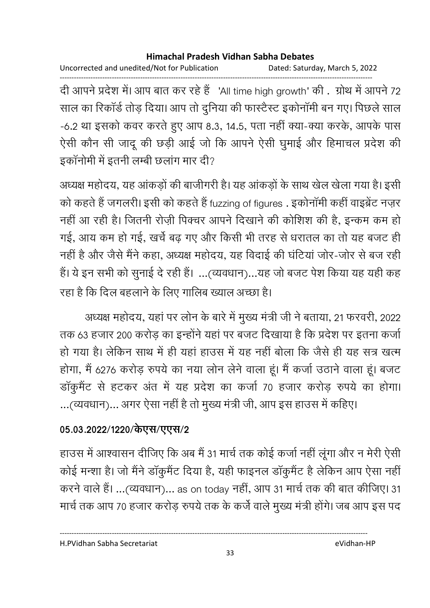Uncorrected and unedited/Not for Publication Dated: Saturday, March 5, 2022

------------------------------------------------------------------------------------------------------------------------------------ दी आपने प्रदेश में। आप बात कर रहे हैं 'All time high growth' की. ग्रोथ में आपने 72 साल का रिकॉर्ड तोड़ दिया। आप तो दुनिया की फास्टैस्ट इकोनॉमी बन गए। पिछले साल -6.2 था इसको कवर करते हुए आप 8.3, 14.5, पता नहीं क्या-क्या करके, आपके पास ऐसी कौन सी जादू की छड़ी आई जो कि आपने ऐसी घुमाई और हिमाचल प्रदेश की इकॉनोमी में इतनी लम्बी छलांग मार दी?

अध्यक्ष महोदय, यह आकड़ों की बाजीगरी है। यह आकड़ों के साथ खेल खेला गया है। इसी को कहते हैं जगलरी। इसी को कहते हैं fuzzing of figures . इकोनॉमी कहीं वाइब्रेंट नज़र नहीं आ रही है। जितनी रोज़ी पिक्चर आपने दिखाने की कोशिश की है, इन्कम कम हो गई, आय कम हो गई, खर्चे बढ़ गए और किसी भी तरह से धरातल का तो यह बजट ही नहीं है और जैसे मैंने कहा, अध्यक्ष महोदय, यह विदाई की घटिया जोर-जोर से बज रही हैं। ये इन सभी को सुनाई दे रही हैं। ...(व्यवधान)...यह जो बजट पेश किया यह यही कह रहा है कि दिल बहलाने के लिए गालिब ख्याल अच्छा है।

अध्यक्ष महोदय, यहां पर लोन के बारे में मुख्य मंत्री जी ने बताया, 21 फरवरी, 2022 तक 63 हजार 200 करोड़ का इन्होंने यहां पर बजट दिखाया है कि प्रदेश पर इतना कर्जा हो गया है। लेकिन साथ में ही यहां हाउस में यह नहीं बोला कि जैसे ही यह सत्र खत्म होगा, मैं 6276 करोड़ रुपये का नया लोन लेने वाला हूं। मैं कर्जा उठाने वाला हूं। बजट डाकुमैंट से हटकर अंत में यह प्रदेश का कर्जा 70 हजार करोड़ रुपये का होगा। …(व्यवधान)… अगर ऐसा नहीं है तो मुख्य मंत्री जी, आप इस हाउस में कहिए।

## 05.03.2022/1220/केएस**/एएस**/2

हाउस में आश्वासन दीजिए कि अब मैं 31 मार्च तक कोई कर्जा नहीं लूगा और न मेरी ऐसी. कोई मन्शा है। जो मैंने डॉकुमैंट दिया है, यही फाइनल डॉकुमैंट है लेकिन आप ऐसा नहीं करने वाले हैं। ...(व्यवधान)... as on today नहीं, आप 31 मार्च तक की बात कीजिए। 31 मार्च तक आप 70 हजार करोड़ रुपये तक के कर्जे वाले मुख्य मंत्री होंगे। जब आप इस पद

H.PVidhan Sabha Secretariat eVidhan-HP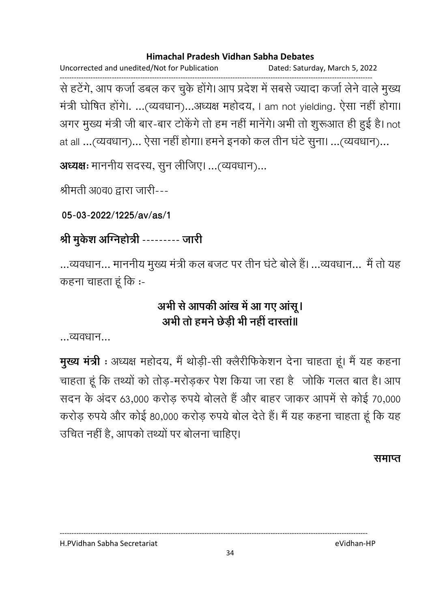Uncorrected and unedited/Not for Publication Dated: Saturday, March 5, 2022 ------------------------------------------------------------------------------------------------------------------------------------ से हटेंगे, आप कर्जा डबल कर चुके होंगे। आप प्रदेश में सबसे ज्यादा कर्जा लेने वाले मुख्य मत्री घोषित होंगे।. ...(व्यवधान)...अध्यक्ष महोदय, I am not yielding. ऐसा नहीं होंगा। अगर मुख्य मंत्री जी बार-बार टोकेंगे तो हम नहीं मानेंगे। अभी तो शुरूआत ही हुई है। not at all ...(व्यवधान)... ऐसा नहीं होगा। हमने इनको कल तीन घंटे सूना। ...(व्यवधान)...

**अध्यक्षः** माननीय सदस्य, सुन लीजिए। ...(व्यवधान)...

श्रीमती अ0व0 द्वारा जारी---

**05-03-2022/1225/av/as/1**

# श्री मुकेश अग्निहोत्री --------- जारी

...व्यवधान... माननीय मुख्य मंत्री कल बजट पर तीन घंटे बोले हैं। ...व्यवधान... मैं तो यह कहना चाहता हूं कि :-

# अभी से आपकी आख में आ गए आसू l अभी तो हमने छेड़ी भी नहीं दास्ता॥

...व्यवधान...

**मुख्य मंत्री** : अध्यक्ष महोदय, मैं थोड़ी-सी क्लैरीफिर्कशन देना चाहता हूं। मैं यह कहना चाहता हूं कि तथ्यों को तोड़-मरोड़कर पेश किया जा रहा है जोकि गलत बात है। आप सदन के अंदर 63,000 करोड़ रुपये बोलते हैं और बाहर जाकर आपमें से कोई 70,000 करोड़ रुपये और कोई 80,000 करोड़ रुपये बोल देते हैं। मैं यह कहना चाहता हूं कि यह उचित नहीं है, आपको तथ्यों पर बोलना चाहिए।

#### <u>समाप्त</u>

H.PVidhan Sabha Secretariat eVidhan-HP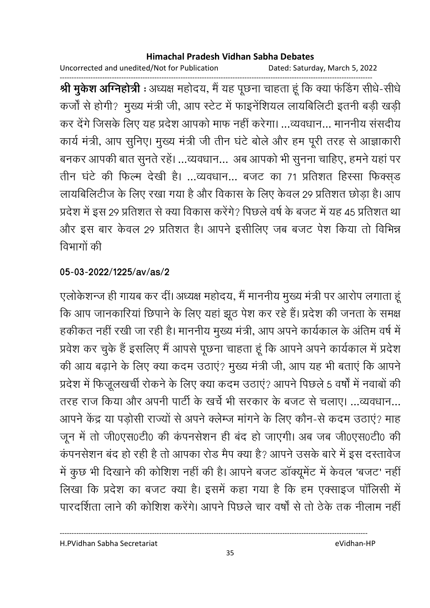Uncorrected and unedited/Not for Publication Dated: Saturday, March 5, 2022

------------------------------------------------------------------------------------------------------------------------------------ **श्री मुकेश अग्निहोत्री** : अध्यक्ष महोदय, मैं यह पूछना चाहता हूं कि क्या फर्डिंग सीधे-सीधे कर्जी से होगी? मुख्य मंत्री जी, आप स्टेट में फाइनेंशियल लायबिलिटी इतनी बड़ी खड़ी कर देंगे जिसके लिए यह प्रदेश आपको माफ नहीं करेगा। ...व्यवधान... माननीय संसदीय कार्य मंत्री, आप सुनिए। मुख्य मंत्री जी तीन घंटे बोले और हम पूरी तरह से आज्ञाकारी बनकर आपकी बात सुनते रहे। …व्यवधान… अब आपको भी सुनना चाहिए, हमने यहां पर तीन घंटे की फिल्म देखी है। ...व्यवधान... बजट का 71 प्रतिशत हिस्सा फिक्सड लायबिलिटीज के लिए रखा गया है और विकास के लिए केवल 29 प्रतिशत छोड़ा है। आप प्रदेश में इस 29 प्रतिशत से क्या विकास करेंगे? पिछले वर्ष के बजट में यह 45 प्रतिशत था और इस बार केवल 29 प्रतिशत है। आपने इसीलिए जब बजट पेश किया तो विभिन्न विभागों की

## **05-03-2022/1225/av/as/2**

एलोकेशन्ज ही गायब कर दी। अध्यक्ष महोदय, मैं माननीय मुख्य मंत्री पर आरोप लगाता हू कि आप जानकारियां छिपाने के लिए यहां झूठ पेश कर रहे हैं। प्रदेश की जनता के समक्ष हकीकत नहीं रखी जा रही है। माननीय मुख्य मंत्री, आप अपने कार्यकाल के अतिम वर्ष में प्रवेश कर चुके हैं इसलिए मैं आपसे पूछना चाहता हूं कि आपने अपने कार्यकाल में प्रदेश की आय बढ़ाने के लिए क्या कदम उठाएं? मुख्य मंत्री जी, आप यह भी बताएं कि आपने प्रदेश में फिजूलखर्ची रोकने के लिए क्या कदम उठाएं? आपने पिछले 5 वर्षों में नवाबों की तरह राज किया और अपनी पार्टी के खर्च भी सरकार के बजट से चलाए। …व्यवधान… आपने केंद्र या पड़ोसी राज्यों से अपने क्लेम्ज मांगने के लिए कौन-से कदम उठाए? माह जून में तो जी0एस0टी0 की कंपनसेशन ही बंद हो जाएगी। अब जब जी0एस0टी0 की कंपनसेशन बंद हो रही है तो आपका रोड मैप क्या है? आपने उसके बारे में इस दस्तावेज में कुछ भी दिखाने की कोशिश नहीं की है। आपने बजट डॉक्यूमेंट में केवल 'बजट' नहीं लिखा कि प्रदेश का बजट क्या है। इसमें कहा गया है कि हम एक्साइज पॉलिसी में पारदर्शिता लाने की कोशिश करेंगे। आपने पिछले चार वर्षों से तो तेके तक नीलाम नहीं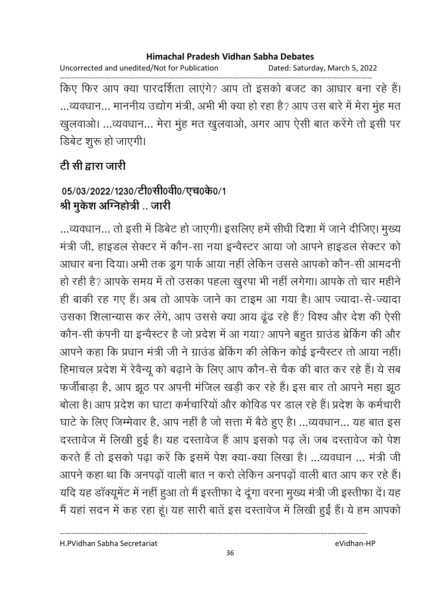Uncorrected and unedited/Not for Publication Dated: Saturday, March 5, 2022

------------------------------------------------------------------------------------------------------------------------------------ किए फिर आप क्या पारदर्शिता लाएंगे? आप तो इसको बजट का आधार बना रहे हैं। ...व्यवधान... माननीय उद्योग मंत्री, अभी भी क्या हो रहा है? आप उस बारे में मेरा मुह मत खुलवाओ। …व्यवधान… मेरा मुह मत खुलवाओ, अगर आप ऐसी बात करेंगे तो इसी पर डिबेट शुरू हो जाएगी।

# <u>टी सी द्वारा जारी</u>

# 05/03/2022/1230/टी0सी0वी0/एच0के0/1 श्री मुकेश अग्निहोत्री .. जारी

...व्यवधान... तो इसी में डिबेट हो जाएगी। इसलिए हमें सीधी दिशा में जाने दीजिए। मुख्य मंत्री जी, हाइडल सेक्टर में कौन-सा नया इन्वेस्टर आया जो आपने हाइडल सेक्टर को आधार बना दिया। अभी तक ड्रग पार्क आया नहीं लेकिन उससे आपको कौन-सी आमंदनी | हो रही है? आपके समय में तो उसका पहला खुरपा भी नहीं लगेगा। आपके तो चार महीने ही बाकी रह गए हैं। अब तो आपके जाने का टाइम आ गया है। आप ज्यादा-से-ज्यादा उसका शिलान्यास कर लेंगे, आप उससे क्या आय ढूंढ रहे हैं? विश्व और देश की ऐसी कौन-सी कंपनी या इन्वैस्टर है जो प्रदेश में आ गया? आपने बहुत ग्राउंड ब्रेकिंग की और आपने कहा कि प्रधान मंत्री जी ने ग्राउंड ब्रेकिंग की लेकिन कोई इन्वेस्टर तो आया नहीं। हिमाचल प्रदेश में रेवैन्यू को बढ़ाने के लिए आप कौन-से चैक की बात कर रहे हैं। ये सब फर्जीबाड़ा है, आप झूठ पर अपनी मर्जिल खड़ी कर रहे हैं। इस बार तो आपने महा झूठ बोला है। आप प्रदेश का घाटा कर्मचारियों और कोविड पर डाल रहे हैं। प्रदेश के कर्मचारी घाटे के लिए जिम्मेवार है, आप नहीं है जो सत्ता में बैठे हुए है। ...व्यवधान... यह बात इस दस्तावेज में लिखी हुई है। यह दस्तावेज हैं आप इसको पढ़ लें। जब दस्तावेज को पेश करते हैं तो इसको पढ़ा करें कि इसमें पेश क्या-क्या लिखा है। ...व्यवधान ... मंत्री जी आपने कहा था कि अनपढ़ों वाली बात न करों लेकिन अनपढ़ों वाली बात आप कर रहे हैं। यदि यह डॉक्यूमेंट में नहीं हुआ तो मैं इस्तीफा दे दूंगा वरना मुख्य मंत्री जी इस्तीफा दें। यह मैं यहां सदन में कह रहा हूं। यह सारी बातें इस दस्तावेज में लिखी हुईं हैं। ये हम आपको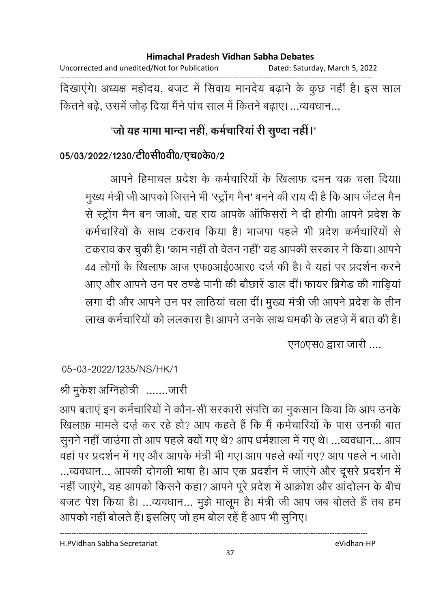## **Himachal Pradesh Vidhan Sabha Debates**  Uncorrected and unedited/Not for Publication Dated: Saturday, March 5, 2022 ------------------------------------------------------------------------------------------------------------------------------------ दिखाएंगे। अध्यक्ष महोदय, बजट में सिवाय मानदेय बढ़ाने के कुछ नहीं हैं। इस साल कितने बढ़े, उसमें जोड़ दिया मैंने पांच साल में कितने बढ़ाए। ...व्यवधान...

# 'जो यह मामा मान्दा नहीं, कर्मचारिया री सुण्दा नहीं।'

## 05/03/2022/1230/टी0सी0वी0/एच0के0/2

आपने हिमाचल प्रदेश के कर्मचारियों के खिलाफ दमन चक्र चला दिया। मुख्य मंत्री जी आपको जिसने भी 'स्ट्रोंग मैन' बनने की राय दी है कि आप जेंटल मैन से स्ट्रोंग मैन बन जाओ, यह राय आपके ऑफिसरों ने दी होगी। आपने प्रदेश के कर्मचारियों के साथ टकराव किया है। भाजपा पहले भी प्रदेश कर्मचारियों से टकराव कर चुकी है। 'काम नहीं तो वेतन नहीं' यह आपकी सरकार ने किया। आपने 44 लोगों के खिलाफ आज एफ0आई0आर0 दर्ज की है। वे यहां पर प्रदर्शन करने आए और आपने उन पर ठण्डे पानी की बौछारें डाल दीं। फायर ब्रिगेड की गाडियां लगा दी और आपने उन पर लाठियां चला दीं। मुख्य मंत्री जी आपने प्रदेश के तीन लाख कर्मचारियों को ललकारा है। आपने उनके साथ धमकी के लहजे में बात की है।

एन0एस0 द्वारा जारी ....

## 05-03-2022/1235/NS/HK/1

# श्री मुकेश ओग्नेहोत्री .......जारी

आप बताएं इन कर्मचारियों ने कौन-सी सरकारी संपत्ति का नुकसान किया कि आप उनके खिलाफ़ मामले दर्ज़ कर रहे हो? आप कहते हैं कि मैं कर्मचारियों के पास उनकी बात सुनने नहीं जाउंगा तो आप पहले क्यों गए थे? आप धर्मशाला में गए थे। ...व्यवधान... आप वहां पर प्रदर्शन में गए और आपके मंत्री भी गए। आप पहले क्यों गए? आप पहले न जाते। ...व्यवधान... आपकी दोगली भाषा है। आप एक प्रदर्शन में जाएंगे और दूसरे प्रदर्शन में नहीं जाएंगे, यह आपको किसने कहा? आपने पूरे प्रदेश में आक्रोश और आंदोलन के बीच बजट पेश किया है। ...व्यवधान... मुझे मालूम है। मंत्री जी आप जब बोलते हैं तब हम आपको नहीं बोलते हैं। इसलिए जो हम बोल रहें हैं आप भी सूनिए।

H.PVidhan Sabha Secretariat eVidhan-HP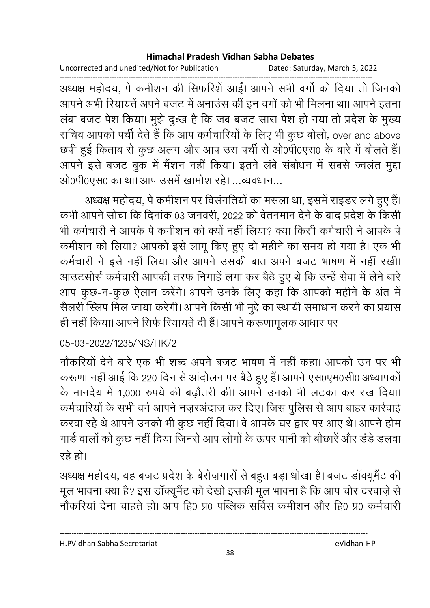Uncorrected and unedited/Not for Publication Dated: Saturday, March 5, 2022

------------------------------------------------------------------------------------------------------------------------------------ अध्यक्ष महोदय, पे कमीशन की सिफरिशे आई। आपने सभी वर्गा को दिया तो जिनको आपने अभी रियायतें अपने बजट में अनाउस की इन वर्गा को भी मिलना था। आपने इतना लंबा बजट पेश किया। मुझे दुःख है कि जब बजट सारा पेश हो गया तो प्रदेश के मुख्य सचिव आपको पर्ची देते हैं कि आप कर्मचारियों के लिए भी कुछ बोलो, over and above छपी हुई किताब से कुछ अलग और आप उस पर्ची से ओ0पी0एस0 के बारे में बोलते हैं। आपने इसे बजट बुक में मैंशन नहीं किया। इतने लंबे संबोधन में सबसे ज्वलंत मुद्दा ओ0पी0एस0 का था। आप उसमें खामोश रहे। व्यवधान

अध्यक्ष महोदय, पे कर्माशन पर विसंगतियों का मसला था, इसमें राइंडर लगे हुए हैं। कभी आपने सोचा कि दिनांक 03 जनवरी, 2022 को वेतनमान देने के बाद प्रदेश के किसी भी कर्मचारी ने आपके पे कमीशन को क्यों नहीं लिया? क्या किसी कर्मचारी ने आपके पे कमीशन को लिया? आपको इसे लागू किए हुए दो महीने का समय हो गया है। एक भी कर्मचारी ने इसे नहीं लिया और आपने उसकी बात अपने बजट भाषण में नहीं रखीं। आउटसोर्स कर्मचारी आपकी तरफ निगाहें लगा कर बैठे हुए थे कि उन्हें सेवा में लेने बारे आप कुछ-न-कुछ ऐलान करेंगे। आपने उनके लिए कहा कि आपको महीने के अंत में सैलरी स्लिप मिल जाया करेगी। आपने किसी भी मुद्दे का स्थायी समाधान करने का प्रयास ही नहीं किया। आपने सिर्फ रियायतें दी हैं। आपने करूणामूलक आधार पर

## 05-03-2022/1235/NS/HK/2

नोंकरियों देने बारे एक भी शब्द अपने बजट भाषण में नहीं कहा। आपको उन पर भी करूणा नहीं आई कि 220 दिन से आदोलन पर बैठे हुए हैं। आपने एस0एम0सी0 अध्यापको के मानदेय में 1,000 रुपये की बढ़ौतरी की। आपने उनको भी लटका कर रख दिया। कर्मचारियों के सभी वर्ग आपने नज़रअदाज कर दिए। जिस पुलिस से आप बाहर कार्रवाई करवा रहे थे आपने उनको भी कुछ नहीं दिया। वे आपके घर द्वार पर आए थे। आपने होम गार्ड वालों को कुछ नहीं दिया जिनसे आप लोगों के ऊपर पानी को बौछारें और डंडे डलवा रहे हो।

अध्यक्ष महोदय, यह बजट प्रदेश के बेरोज़गारों से बहुत बड़ा धोखा है। बजट डाक्यूमेंट की मूल भावना क्या है? इस डॉक्यूमैंट को देखो इसकी मूल भावना है कि आप चोर दरवाज़े से नौकरियां देना चाहते हो। आप हि0 प्र0 पब्लिक सर्विस कमीशन और हि0 प्र0 कर्मचारी

H.PVidhan Sabha Secretariat eVidhan-HP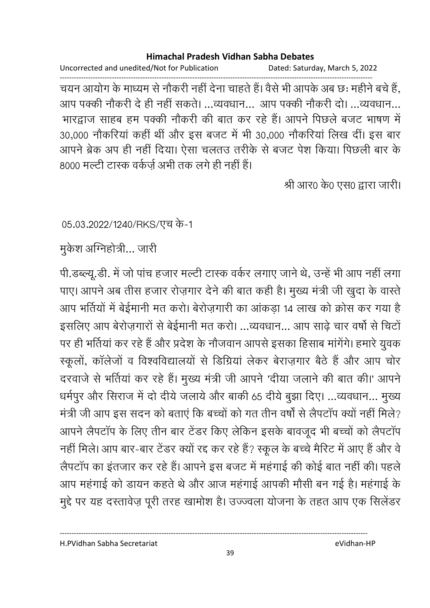Uncorrected and unedited/Not for Publication Dated: Saturday, March 5, 2022

------------------------------------------------------------------------------------------------------------------------------------ चयन आयोग के माध्यम से नौकरी नहीं देना चाहते हैं। वैसे भी आपके अब छः महीने बचे हैं, आप पक्की नौकरी दे ही नहीं सकते। ...व्यवधान... आप पक्की नौकरी दो। ...व्यवधान... भारद्वाज साहब हम पक्की नौकरी की बात कर रहे हैं। आपने पिछले बजट भाषण में 30,000 नौकरियां कहीं थीं और इस बजट में भी 30,000 नौकरियां लिख दीं। इस बार आपने ब्रेक अप ही नहीं दिया। ऐसा चलतउ तरीके से बजट पेश किया। पिछली बार के 8000 मल्टी टास्क वर्कज़े अभी तक लगे ही नहीं है।

श्री आर0 के0 एस0 द्वारा जारी।

05.03.2022/1240/RKS/एच के-1

मुकेश अग्निहोत्री… जारी

पी.डब्ल्यू.डी. में जो पांच हजार मल्टी टास्क वर्कर लगाए जाने थे, उन्हें भी आप नहीं लगा पाए। आपने अब तीस हजार रोज़गार देने की बात कही हैं। मुख्य मंत्री जी खुदा के वास्ते | आप भर्तियों में बेईमानी मत करो। बेरोज़गारी का आंकड़ा 14 लाख को क्रोस कर गया है इसलिए आप बेरोज़गारों से बेईमानी मत करो। ...व्यवधान... आप साढ़े चार वर्षों से चिटों पर ही भर्तियां कर रहे हैं और प्रदेश के नौजवान आपसे इसका हिसाब मांगेंगे। हमारे युवक स्कूलों, कॉलेजों व विश्वविद्यालयों से डिग्रियां लेकर बेराज़गार बैठे हैं और आप चोर दरवाजे से भर्तियां कर रहे हैं। मुख्य मंत्री जी आपने 'दीया जलाने की बात की।' आपने धर्मपुर और सिराज में दो दीये जलाये और बाकी 65 दीये बुझा दिए। ...व्यवधान... मुख्य मंत्री जी आप इस सदन को बताएं कि बच्चों को गत तीन वर्षों से लैपटॉप क्यों नहीं मिले? आपने लैपटॉप के लिए तीन बार टेंडर किए लेकिन इसके बावजूद भी बच्चों को लैपटॉप नहीं मिले। आप बार-बार टेंडर क्यों रद्द कर रहे हैं? स्कूल के बच्चे मैरिट में आए हैं और वे लैपटॉप का इंतजार कर रहे हैं। आपने इस बजट में महंगाई की कोई बात नहीं की। पहले आप महंगाई को डायन कहते थे और आज महंगाई आपकी मौसी बन गई है। महंगाई के मुद्दे पर यह दस्तावेज़ पूरी तरह खामोश है। उज्ज्वला योजना के तहत आप एक सिलेंडर

H.PVidhan Sabha Secretariat eVidhan-HP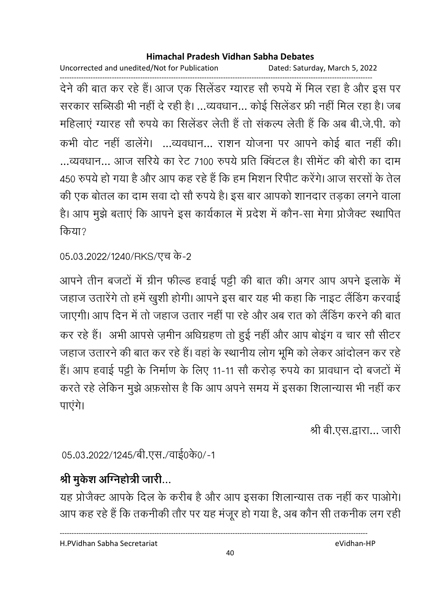Uncorrected and unedited/Not for Publication Dated: Saturday, March 5, 2022

------------------------------------------------------------------------------------------------------------------------------------ देने की बात कर रहे हैं। आज एक सिलेंडर ग्यारह सौ रुपये में मिल रहा है और इस पर सरकार सब्सिडी भी नहीं दे रही है। ...व्यवधान... कोई सिलेंडर फ्री नहीं मिल रहा है। जब महिलाए ग्यारह सौ रुपर्य का सिलेंडर लेती है तो सकल्प लेती है कि अब बी.जे.पी. को कभी वोट नहीं डालेंगे। ...व्यवधान... राशन योजना पर आपने कोई बात नहीं की। ...व्यवधान... आज सरिये का रेट 7100 रुपये प्रति क्विंटल है। सीमेंट की बोरी का दाम 450 रुपये हो गया है और आप कह रहे हैं कि हम मिशन रिपीट करेंगे। आज सरसों के तेल की एक बोतल का दाम सवा दो सौ रुपये है। इस बार आपको शानदार तड़का लगने वाला है। आप मुझे बताएं कि आपने इस कार्यकाल में प्रदेश में कौन-सा मेगा प्रोजैक्ट स्थापित किया?

```
05.03.2022/1240/RKS/एच के-2
```
आपने तीन बजटों में ग्रीन फॉल्ड हवाई पट्टी की बात की। अगर आप अपने इलाके में जहाज उतारेंगे तो हमें खुशी होगी। आपने इस बार यह भी कहा कि नाइट लैंडिंग करवाई जाएगी। आप दिन में तो जहाज उतार नहीं पा रहे और अब रात को लैंडिंग करने की बात कर रहे हैं। अभी आपसे ज़मीन अधिग्रहण तो हुई नहीं और आप बोइंग व चार सौ सीटर जहाज उतारने की बात कर रहे हैं। वहां के स्थानीय लोग भूमि को लेकर आंदोलन कर रहे हैं। आप हवाई पट्टी के निर्माण के लिए 11-11 सौ करोड़ रुपये का प्रावधान दो बजटों में करते रहे लेकिन मुझे अफ़सोस है कि आप अपने समय में इसका शिलान्यास भी नहीं कर पाएंगे।

श्री बी.एस.द्वारा... जारी

05.03.2022/1245/बी.एस./वाई0के0/-1

# श्री मुर्कश **अग्निहोत्री जारी.**..

यह प्रोजैक्ट आपके दिल के करीब है और आप इसका शिलान्यास तक नहीं कर पाओगे। आप कह रहे हैं कि तकनीकी तौर पर यह मजूर हो गया है, अब कौन सी तकनीक लग रही

H.PVidhan Sabha Secretariat eVidhan-HP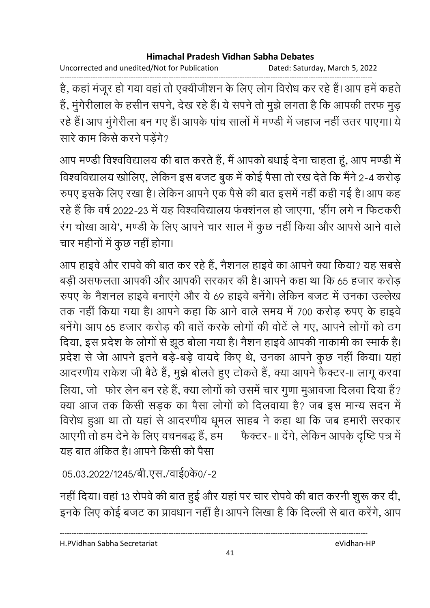Uncorrected and unedited/Not for Publication Dated: Saturday, March 5, 2022

------------------------------------------------------------------------------------------------------------------------------------ है, कहा मजूर हो गया वहां तो एक्यीजीशन के लिए लोग विरोध कर रहे हैं। आप हमें कहते | हैं, मुंगेरीलाल के हसीन सपने, देख रहे हैं। ये सपने तो मुझे लगता है कि आपकी तरफ मुड़ रहे हैं। आप मूंगेरीला बन गए हैं। आपके पांच सालों में मण्डी में जहाज नहीं उतर पाएगा। ये सारे काम किसे करने पडेंगे?

आप मण्डी विश्वविद्यालय की बात करते हैं, मैं आपको बधाई देना चाहता हूं, आप मण्डी में विश्वविद्यालय खोलिए, लेकिन इस बजट बुक में कोई पैसा तो रख देते कि मैंने 2-4 करोड़ रुपए इसके लिए रखा है। लेकिन आपने एक पैसे की बात इसमें नहीं कही गई है। आप कह रहे हैं कि वर्ष 2022-23 में यह विश्वविद्यालय फंक्शंनल हो जाएगा. 'हींग लगे न फिटकरी रंग चोखा आये', मण्डी के लिए आपने चार साल में कुछ नहीं किया और आपसे आने वाले चार महीनों में कुछ नहीं होगा।

आप हाइवे और रापवे की बात कर रहे हैं, नैशनल हाइवे का आपने क्या किया? यह सबसे बड़ी असफलता आपकी और आपकी सरकार की है। आपने कहा था कि 65 हजार करोड़ रुपए के नैशनल हाइवे बनाएंगे और ये 69 हाइवे बनेंगे। लेकिन बजट में उनका उल्लेख तक नहीं किया गया है। आपने कहा कि आने वाले समय में 700 करोड़ रुपए के हाइवे बनेंगे। आप 65 हजार करोड़ की बातें करके लोगों की वोटें ले गए, आपने लोगों को ठग दिया, इस प्रदेश के लोगों से झूठ बोला गया है। नैशन हाइवे आपकी नाकामी का स्मार्क है। प्रदेश से जेा आपने इतने बड़े-बड़े वायदे किए थे, उनका आपने कुछ नहीं किया। यहां आदरणीय राकेश जी बैठे हैं, मुझे बोलते हुए टोकते हैं, क्या आपने फैक्टर-II लागू करवा लिया, जो फोर लेन बन रहे हैं, क्या लोगों को उसमें चार गुणा मुआवजा दिलवा दिया हैं? क्या आज तक किसी सड़क का पैसा लोगों को दिलवाया है? जब इस मान्य सदन में विरोध हुआ था तो यहां से आदरणीय धूमल साहब ने कहा था कि जब हमारी सरकार आएगी तो हम देने के लिए वचनबद्ध हैं, हम फैक्टर-॥ देंगे, लेकिन आपके दृष्टि पत्र में यह बात अंकित है। आपने किसी को पैसा

05.03.2022/1245/बी.एस./वाई0के0/-2

नहीं दिया। वहां 13 रोपवे की बात हुई और यहां पर चार रोपवे की बात करनी शुरू कर दी, इनके लिए कोई बजट का प्रावधान नहीं है। आपने लिखा है कि दिल्ली से बात करेंगे, आप

H.PVidhan Sabha Secretariat eVidhan-HP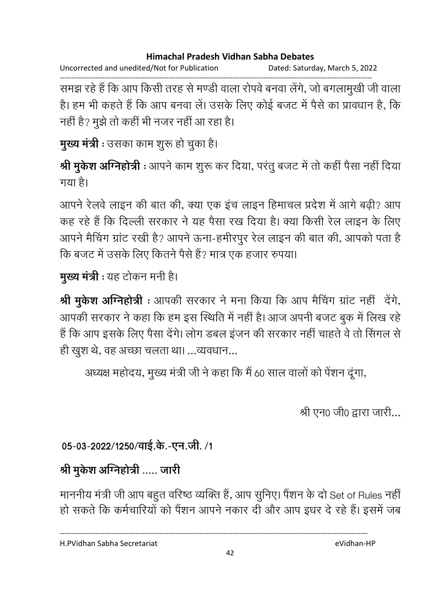Uncorrected and unedited/Not for Publication Dated: Saturday, March 5, 2022

------------------------------------------------------------------------------------------------------------------------------------ समझ रहे हैं कि आप किसी तरह से मण्डी वाला रोपर्व बनवा लेंगे, जो बंगलामुखी जी वाला है। हम भी कहते हैं कि आप बनवा लें। उसके लिए कोई बजट में पैसे का प्रावधान है, कि नहीं है? मुझे तो कहीं भी नजर नहीं आ रहा है।

**मुख्य मंत्री :** उसका काम शुरू हो चुका है।

**श्री मुकेश अग्निहोत्री** : आपने काम शुरू कर दिया, परतु बजट में तो कहीं पैसा नहीं दिया गया है।

आपने रेलवे लाइन की बात की, क्या एक इंच लाइन हिमाचल प्रदेश में आगे बढ़ी? आप कह रहे हैं कि दिल्ली सरकार ने यह पैसा रख दिया है। क्या किसी रेल लाइन के लिए आपने मैचिंग ग्रांट रखी है? आपने ऊना-हमीरपुर रेल लाइन की बात की, आपको पता है कि बजट में उसके लिए कितने पैसे हैं? मात्र एक हजार रुपया।

**मुख्य मंत्री :** यह टोकन मनी है।

**श्री मुकेश ओग्नेहोत्री** : आपकी सरकार ने मना किया कि आप मैचिंग ग्राट नहीं -देंगे, आपकी सरकार ने कहा कि हम इस स्थिति में नहीं है। आज अपनी बजट बुक में लिख रहें हैं कि आप इसके लिए पैसा देंगे। लोग डबल इंजन की सरकार नहीं चाहते वे तो सिंगल से ही खुश थे, वह अच्छा चलता था। ...व्यवधान...

अध्यक्ष महोदय, मुख्य मंत्री जी ने कहा कि मैं 60 साल वालों को पेशन दूंगा,

श्री एन $\alpha$  जी $\alpha$  द्वारा जारी...

05-03-2022/1250/वाई.के.-एन.जी. /1

# श्री मुकेश अग्निहोत्री ..... जारी

माननीय मंत्री जी आप बहुत वरिष्ठ व्यक्ति हैं, आप सुनिए। पैंशन के दो Set of Rules नहीं हो सकते कि कर्मचारियों को पैंशन आपने नकार दी और आप इधर दे रहे हैं। इसमें जब

H.PVidhan Sabha Secretariat eVidhan-HP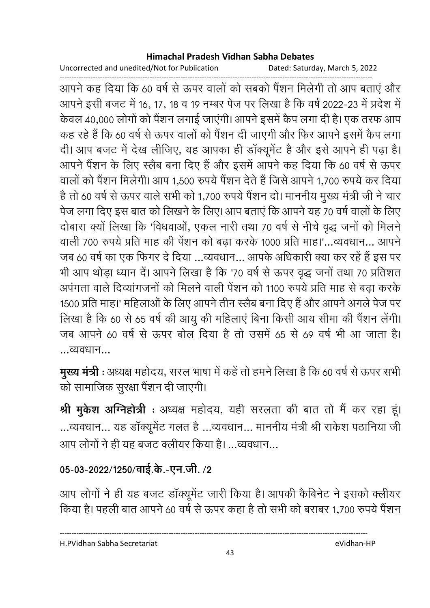Uncorrected and unedited/Not for Publication Dated: Saturday, March 5, 2022

------------------------------------------------------------------------------------------------------------------------------------ आपने कह दिया कि 60 वर्ष से ऊपर वालों को सबको पैंशन मिलेगी तो आप बताएं और आपने इसी बजट में 16, 17, 18 व 19 नम्बर पेज पर लिखा है कि वर्ष 2022-23 में प्रदेश में केवल 40,000 लोगों को पैंशन लगाई जाएंगी। आपने इसमें कैप लगा दी है। एक तरफ आप कह रहे हैं कि 60 वर्ष से ऊपर वालों को पैंशन दी जाएगी और फिर आपने इसमें कैप लगा दी। आप बजट में देख लीजिए, यह आपका ही डॉक्यूमेंट है और इसे आपने ही पढ़ा है। आपने पैंशन के लिए स्लैब बना दिए हैं और इसमें आपने कह दिया कि 60 वर्ष से ऊपर वालों को पैंशन मिलेगी। आप 1,500 रुपये पैंशन देते हैं जिसे आपने 1,700 रुपये कर दिया है तो 60 वर्ष से ऊपर वाले सभी को 1,700 रुपये पैंशन दो। माननीय मुख्य मंत्री जी ने चार पेज लगा दिए इस बात को लिखने के लिए। आप बताएं कि आपने यह 70 वर्ष वालों के लिए दोबारा क्यों लिखा कि 'विधवाओं, एकल नारी तथा 70 वर्ष से नीचे वृद्ध जनों को मिलने वाली 700 रुपये प्रति माह की पेंशन को बढ़ा करके 1000 प्रति माह।'...व्यवधान... आपने जब 60 वर्ष का एक फिगर दे दिया …व्यवधान… आपके अधिकारी क्या कर रहे हैं इस पर भी आप थोड़ा ध्यान दें। आपने लिखा है कि '70 वर्ष से ऊपर वृद्ध जनों तथा 70 प्रतिशत अपगता वाले दिव्यागजनों को मिलने वाली पेशन को 1100 रुपये प्रति माह से बढ़ा करके 1500 प्रति माह।' महिलाओं के लिए आपने तीन स्लैब बना दिए हैं और आपने अगले पेज पर लिखा है कि 60 से 65 वर्ष की आयु की महिलाएं बिना किसी आय सीमा की पैंशन लेंगी। जब आपने 60 वर्ष से ऊपर बोल दिया है तो उसमें 65 से 69 वर्ष भी आ जाता है। ...व्यवधान...

**मुख्य मंत्री** : अध्यक्ष महोदय, सरल भाषा में कहें तो हमने लिखा है कि 60 वर्ष से ऊपर सभी को सामाजिक सुरक्षा पैंशन दी जाएगी।

**श्री मुकेश ओग्नेहोत्री** : अध्यक्ष महोदय, यही सरलता की बात तो मैं कर रहा हूं। ...व्यवधान... यह डॉक्यूमेंट गलत है ...व्यवधान... माननीय मंत्री श्री राकेश पठानिया जी आप लोगों ने ही यह बजट क्लीयर किया है। ...व्यवधान...

# 05-03-2022/1250/वाई.के.-एन.जी. /2

आप लोगों ने ही यह बजट डॉक्यूमेंट जारी किया है। आपकी कैबिनेट ने इसको क्लीयर किया है। पहली बात आपने 60 वर्ष से ऊपर कहा है तो सभी को बराबर 1,700 रुपये पैंशन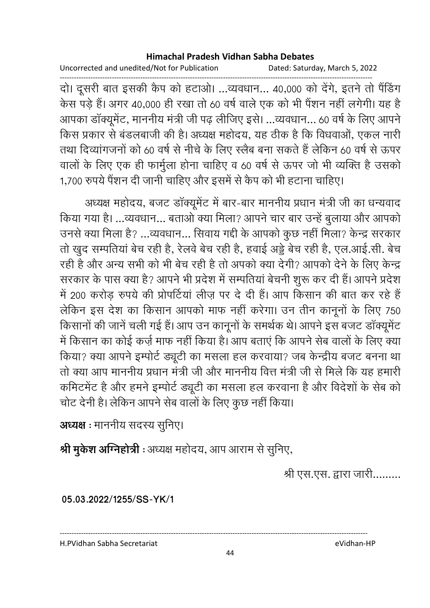Uncorrected and unedited/Not for Publication Dated: Saturday, March 5, 2022

------------------------------------------------------------------------------------------------------------------------------------ दो। दूसरी बात इसकी कैप को हटाओ। …व्यवधान… 40,000 को देंगे, इतने तो पैंडिंग केस पड़े हैं। अगर 40,000 ही रखा तो 60 वर्ष वाले एक को भी पैशन नहीं लगेगी। यह है आपका डॉक्यूमेंट, माननीय मंत्री जी पढ़ लीजिए इसे। ...व्यवधान... 60 वर्ष के लिए आपने किस प्रकार से बंडलबाजी की है। अध्यक्ष महोदय, यह ठीक है कि विधवाओं, एकल नारी तथा दिव्यांगजनों को 60 वर्ष से नीचे के लिए स्लैब बना सकते हैं लेकिन 60 वर्ष से ऊपर वालों के लिए एक ही फार्मुला होना चाहिए व 60 वर्ष से ऊपर जो भी व्यक्ति है उसको 1,700 रुपये पैंशन दी जानी चाहिए और इसमें से कैप को भी हटाना चाहिए।

अध्यक्ष महोदय, बजट डाक्यूमेंट में बार-बार माननीय प्रधान मंत्री जी का धन्यवाद किया गया है। ...व्यवधान... बताओ क्या मिला? आपने चार बार उन्हें बुलाया और आपको उनसे क्या मिला है? ...व्यवधान... सिवाय गद्दी के आपको कुछ नहीं मिला? केन्द्र सरकार तो खुद सम्पतिया बेच रही है, रेलवे बेच रही है, हवाई अड्डे बेच रही है, एल.आई.सी. बेच रही है और अन्य सभी को भी बेच रही है तो अपको क्या देंगी? आपको देने के लिए केन्द्र सरकार के पास क्या है? आपने भी प्रदेश में सम्पतियां बेचनी शुरू कर दी हैं। आपने प्रदेश में 200 करोड़ रुपये की प्रोपर्टियां लीज़ पर दे दी हैं। आप किसान की बात कर रहे हैं लेकिन इस देश का किसान आपको माफ नहीं करेगा। उन तीन कानूनों के लिए 750 किसानों की जानें चली गई हैं। आप उन कानूनों के समर्थक थे। आपने इस बजट डॉक्यूमेंट में किसान का कोई कर्ज़ माफ नहीं किया है। आप बताएं कि आपने सेब वालों के लिए क्या किया? क्या आपने इम्पोर्ट ड्यूटी का मसला हल करवाया? जब केन्द्रीय बजट बनना था तो क्या आप माननीय प्रधान मंत्री जी और माननीय वित्त मंत्री जी से मिले कि यह हमारी कमिटमेंट है और हमने इम्पोर्ट ड्यूटी का मसला हल करवाना है और विदेशों के सेब को चोट देनी है। लेकिन आपने सेब वालों के लिए कुछ नहीं किया।

**अध्यक्ष** : माननीय सदस्य सुनिए।

**श्री मुकेश अग्निहोत्री** : अध्यक्ष महोदय, आप आराम से सुनिए,

श्री एस.एस. द्वारा जारी.........

**05.03.2022/1255/SS-YK/1**

H.PVidhan Sabha Secretariat eVidhan-HP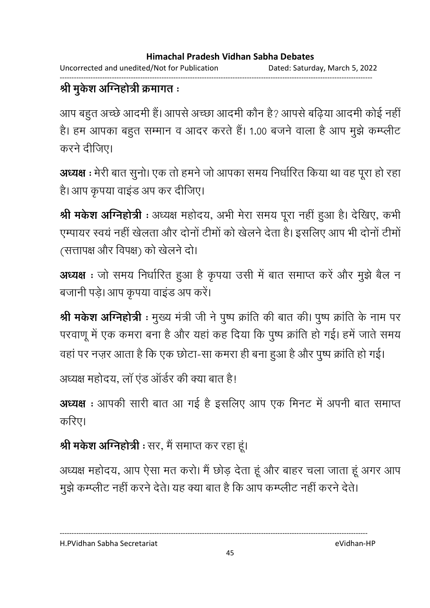Uncorrected and unedited/Not for Publication Dated: Saturday, March 5, 2022

#### ------------------------------------------------------------------------------------------------------------------------------------ श्री मुकेश अग्निहोत्री क्रमागत **:**

आप बहुत अच्छे आदमी है। आपसे अच्छा आदमी कौन है? आपसे बढ़िया आदमी कोई नहीं | है। हम आपका बहुत सम्मान व आदर करते हैं। 1.00 बजने वाला है आप मुझे कम्प्लीट करने दीजिए।

अध्यक्ष : मेरी बात सुनो। एक तो हमने जो आपका समय निर्धारित किया था वह पूरा हो रहा हैं। आप कृपया वाइंड अप कर दीजिए।

**श्री मर्कश अग्निहोत्री** : अध्यक्ष महोदय, अभी मेरा समय पूरा नहीं हुआ है। देखिए, कभी एम्पायर स्वयं नहीं खेलता और दोनों टीमों को खेलने देता है। इसलिए आप भी दोनों टीमों (सत्तापक्ष और विपक्ष) को खेलने दो।

अध्यक्ष : जो समय निर्धारित हुआ है कृपया उसी में बात समाप्त करें और मुझे बैल न बजानी पड़े। आप कृपया वाइंड अप करें।

**श्री मर्कश अग्निहोत्री** : मुख्य मंत्री जी ने पुष्प क्रांति की बात की। पुष्प क्रांति के नाम पर परवाणू में एक कमरा बना है और यहां कह दिया कि पुष्प क्रांति हो गई। हमें जाते समय वहां पर नज़र आता है कि एक छोटा-सा कमरा ही बना हुआ है और पुष्प क्रांति हो गई।

अध्यक्ष महोदय, ला एड आर्डर की क्या बात है।

**अध्यक्ष** : आपकी सारी बात आ गई है इसलिए आप एक मिनट में अपनी बात समाप्त करिए।

**श्री मर्कश ओग्नेहोत्री** : सर, मैं समाप्त कर रहा हूं।

अध्यक्ष महोदय, आप ऐसा मत करो। मैं छोड़ देता हूं और बाहर चला जाता हूं अगर आप मुझे कम्प्लीट नहीं करने देते। यह क्या बात है कि आप कम्प्लीट नहीं करने देते।

45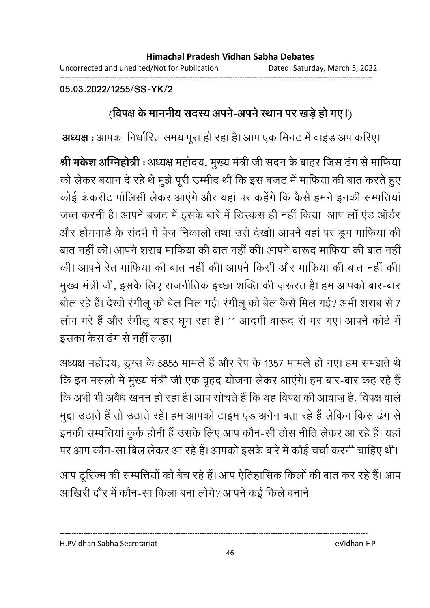------------------------------------------------------------------------------------------------------------------------------------

**05.03.2022/1255/SS-YK/2**

# <u>(विपक्ष के माननीय सदस्य अपने-अपने स्थान पर खड़े हो गए।)</u>

**अध्यक्ष** : आपका निर्धारित समय पूरा हो रहा है। आप एक मिनट में वाइंड अप करिए।

**श्री मर्कश अग्निहोत्री** : अध्यक्ष महोदय, मुख्य मंत्री जी सदन के बाहर जिस ढंग से माफिया को लेकर बयान दे रहे थे मुझे पूरी उम्मीद थी कि इस बजट में माफिया की बात करते हुए कोई कंकरीट पॉलिसी लेकर आएंगे और यहां पर कहेंगे कि कैसे हमने इनकी सम्पत्तियां जब्त करनी है। आपने बजट में इसके बारे में डिस्कस ही नहीं किया। आप लॉ एंड ऑर्डर और होमगार्ड के संदर्भ में पेज निकालो तथा उसे देखो। आपने वहां पर डुग माफिया की बात नहीं की। आपने शराब माफिया की बात नहीं की। आपने बारूद माफिया की बात नहीं की। आपने रेत माफिया की बात नहीं की। आपने किसी और माफिया की बात नहीं की। मुख्य मंत्री जी, इसके लिए राजनीतिक इच्छा शक्ति की ज़रूरत है। हम आपको बार-बार बोल रहे हैं। देखो रंगीलू को बेल मिल गई। रंगीलू को बेल कैसे मिल गई? अभी शराब से 7 लोग मरे हैं और रंगीलू बाहर घूम रहा है। 11 आदमी बारूद से मर गए। आपने कोर्ट में इसका केस ढंग से नहीं लड़ा।

अध्यक्ष महोदय, ड्रग्स के 5856 मामले हैं और रेप के 1357 मामले हो गए। हम समझते थे कि इन मसलों में मुख्य मंत्री जी एक वृहद योजना लेकर आएंगे। हम बार-बार कह रहे हैं कि अभी भी अवैध खनन हो रहा है। आप सोचते हैं कि यह विपक्ष की आवाज़ है, विपक्ष वाले मुद्दा उठाते हैं तो उठाते रहे। हम आपको टाइम एंड अंगेन बता रहे हैं लेकिन किस ढंग से इनकी सम्पत्तियां कुर्क होनी हैं उसके लिए आप कौन-सी ठोस नीति लेकर आ रहे हैं। यहां पर आप कौन-सा बिल लेकर आ रहे हैं। आपको इसके बारे में कोई चर्चा करनी चाहिए थी।

आप टूरिज्म की सम्पत्तियों को बेच रहे हैं। आप ऐतिहासिक किलों की बात कर रहे हैं। आप आखिरी दौर में कौन-सा किला बना लोगे? आपने कई किले बनाने

H.PVidhan Sabha Secretariat eVidhan-HP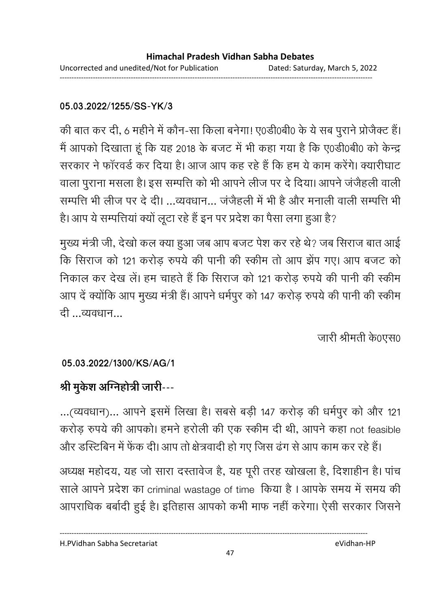## **05.03.2022/1255/SS-YK/3**

की बात कर दी, 6 महीने में कौन-सा किला बनेगा! ए0डी0बी0 के ये सब पुराने प्रोजैक्ट हैं। मैं आपको दिखाता हूं कि यह 2018 के बजट में भी कहा गया है कि ए0डी0बी0 को केन्द्र सरकार ने फॉरवर्ड कर दिया है। आज आप कह रहे हैं कि हम ये काम करेंगे। क्यारीघाट वाला पुराना मसला है। इस सम्पत्ति को भी आपने लीज पर दे दिया। आपने जंजैहली वाली सम्पत्ति भी लीज पर दे दी। ...व्यवधान... जंजेहली में भी है और मनाली वाली सम्पत्ति भी है। आप ये सम्पत्तियां क्यों लूटा रहे हैं इन पर प्रदेश का पैसा लगा हुआ है?

मुख्य मंत्री जी, देखो कल क्या हुआ जब आप बजट पेश कर रहे थे? जब सिराज बात आई कि सिराज को 121 करोड़ रुपये की पानी की स्कीम तो आप झेंप गए। आप बजट को निकाल कर देख लें। हम चाहते हैं कि सिराज को 121 करोड़ रुपये की पानी की स्कीम आप दें क्योंकि आप मुख्य मंत्री हैं। आपने धर्मपूर को 147 करोड़ रुपये की पानी की स्कीम दी ...व्यवधान...

जारी श्रीमती के0एस0

## **05.03.2022/1300/KS/AG/1**

# श्री मुकेश अग्निहोत्री जारी---

...(व्यवधान)... आपने इसमें लिखा है। सबसे बड़ी 147 करोड़ की धर्मपुर को और 121 करोड़ रुपये की आपको। हमने हरोली की एक स्कीम दी थी, आपने कहा not feasible और डस्टिबिन में फेंक दी। आप तो क्षेत्रवादी हो गए जिस ढंग से आप काम कर रहे हैं।

अध्यक्ष महोदय, यह जो सारा दस्तावेज है, यह पूरी तरह खोखला है, दिशाहीन है। पांच साले आपने प्रदेश का criminal wastage of time किया है। आपके समय में समय की आपराधिक बर्बादी हुई है। इतिहास आपको कभी माफ नहीं करेगा। ऐसी सरकार जिसने

H.PVidhan Sabha Secretariat eVidhan-HP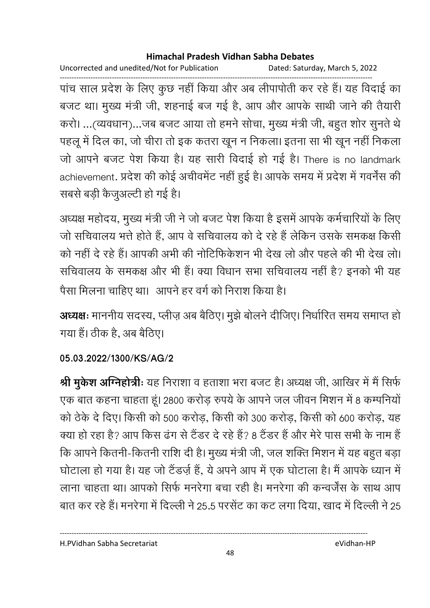Uncorrected and unedited/Not for Publication Dated: Saturday, March 5, 2022

------------------------------------------------------------------------------------------------------------------------------------ पांच साल प्रदेश के लिए कुछ नहीं किया और अब लीपापीती कर रहे हैं। यह विदाई का बजट था। मुख्य मंत्री जी, शहनाई बज गई है, आप और आपके साथी जाने की तैयारी करो। ...(व्यवधान)...जब बजट आया तो हमने सोचा, मुख्य मंत्री जी, बहुत शोर सुनते थे पहलू में दिल का, जो चीरा तो इक कतरा खून न निकला। इतना सा भी खून नहीं निकला जो आपने बजट पेश किया है। यह सारी विदाई हो गई है। There is no landmark achievement. प्रदेश की कोई अचीवर्मेंट नहीं हुई है। आपके समय में प्रदेश में गवर्नेस की सबसे बड़ी कैजुअल्टी हो गई है।

अध्यक्ष महोदय, मुख्य मंत्री जी ने जो बजट पेश किया है इसमें आपके कर्मचारियों के लिए जो सचिवालय भत्ते होते हैं, आप वे सचिवालय को दे रहे हैं लेकिन उसके समकक्ष किसी को नहीं दे रहे हैं। आपकी अभी की नोटिफिर्कशन भी देख लो और पहले की भी देख लो। सचिवालय के समकक्ष और भी हैं। क्या विधान सभा सचिवालय नहीं है? इनको भी यह पैसा मिलना चाहिए था। आपने हर वर्ग को निराश किया है।

**अध्यक्षः** माननीय सदस्य, प्लीज़ अब बैठिए। मुझे बोलने दीजिए। निर्धारित समय समाप्त हो | गया है। ठीक है, अब बैठिए।

## **05.03.2022/1300/KS/AG/2**

**श्री मुकेश अग्निहोत्रीः** यह निराशा व हताशा भरा बजट है। अध्यक्ष जी, आखिर में मैं सिर्फ एक बात कहना चाहता हूं। 2800 करोड़ रुपये के आपने जल जीवन मिशन में 8 कम्पनियों को ठेके दे दिए। किसी को 500 करोड, किसी को 300 करोड, किसी को 600 करोड, यह क्या हो रहा है? आप किस ढंग से टैंडर दे रहे हैं? 8 टैंडर हैं और मेरे पास सभी के नाम हैं कि आपने कितनी-कितनी राशि दी है। मुख्य मंत्री जी, जल शक्ति मिशन में यह बहुत बड़ा घोटाला हो गया है। यह जो टैंडज़े हैं, ये अपने आप में एक घोटाला है। मैं आपके ध्यान में लाना चाहता था। आपको सिर्फ मनरेगा बचा रही है। मनरेगा की कन्वर्जेंस के साथ आप बात कर रहे हैं। मनरेगा में दिल्ली ने 25.5 परसेंट का कट लगा दिया, खाद में दिल्ली ने 25

H.PVidhan Sabha Secretariat eVidhan-HP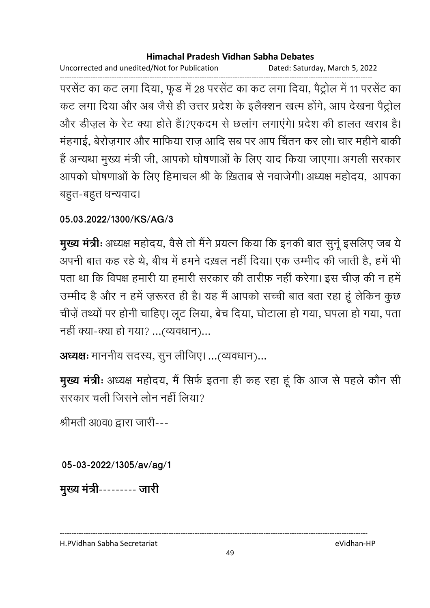Uncorrected and unedited/Not for Publication Dated: Saturday, March 5, 2022

------------------------------------------------------------------------------------------------------------------------------------ परसेंट का कट लगा दिया, फूंड में 28 परसेंट का कट लगा दिया, पैट्रोल में 11 परसेंट का कट लगा दिया और अब जैसे ही उत्तर प्रदेश के इलैक्शन खत्म होंगे, आप देखना पैट्रोल और डीज़ल के रेट क्या होते हैं।?एकदम से छलांग लगाएंगे। प्रदेश की हालत खराब है। मंहगाई, बेरोज़गार और माफिया राज़ आदि सब पर आप चिंतन कर लो। चार महीने बाकी है अन्यथा मुख्य मंत्री जी, आपको घोषणाओं के लिए याद किया जाएगा। अगली सरकार आपको घोषणाओं के लिए हिमाचल श्री के ख़िताब से नवाजेगी। अध्यक्ष महोदय, आपका बहुत-बहुत धन्यवाद।

**05.03.2022/1300/KS/AG/3**

**मुख्य मंत्रीः** अध्यक्ष महोदय, वैसे तो मैंने प्रयत्न किया कि इनकी बात सुनू इसलिए जब ये अपनी बात कह रहे थे, बीच में हमने दख़ल नहीं दिया। एक उम्मीद की जाती है, हमें भी पता था कि विपक्ष हमारी या हमारी सरकार की तारीफ़ नहीं करेगा। इस चीज़ की न हमें उम्मीद है और न हमें ज़रूरत ही है। यह मैं आपको सच्ची बात बता रहा हूं लेकिन कुछ चीज़ें तथ्यों पर होनी चाहिए। लूट लिया, बेच दिया, घोटाला हो गया, घपला हो गया, पता नहीं क्या-क्या हो गया? ...(व्यवधान)...

**अध्यक्षः** माननीय सदस्य, सुन लीजिए। ...(व्यवधान)...

**मुख्य मंत्रीः** अध्यक्ष महोदय, मैं सिर्फ इतना ही कह रहा हूं कि आज से पहले कौन सी सरकार चली जिसने लोन नहीं लिया?

श्रीमती अ0व0 द्वारा जारी---

**05-03-2022/1305/av/ag/1**

मुख्य मंत्री--------- जारी

H.PVidhan Sabha Secretariat eVidhan-HP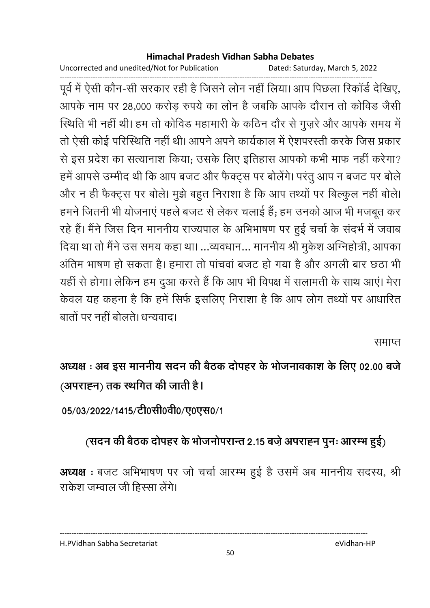Uncorrected and unedited/Not for Publication Dated: Saturday, March 5, 2022

------------------------------------------------------------------------------------------------------------------------------------ पूर्व में ऐसी कौन-सी सरकार रही है जिसने लोन नहीं लिया। आप पिछला रिकार्ड देखिए, आपके नाम पर 28,000 करोड़ रुपये का लोन है जबकि आपके दौरान तो कोविड जैसी स्थिति भी नहीं थी। हम तो कोविड महामारी के कठिन दौर से गुज़रे और आपके समय में तो ऐसी कोई परिस्थिति नहीं थी। आपने अपने कार्यकाल में ऐशपरस्ती करके जिस प्रकार से इस प्रदेश का सत्यानाश किया; उसके लिए इतिहास आपको कभी माफ नहीं करेगा? हमें आपसे उम्मीद थी कि आप बजट और फैक्ट्स पर बोलेंगे। परंतु आप न बजट पर बोले और न ही फैक्ट्स पर बोले। मुझे बहुत निराशा है कि आप तथ्यों पर बिल्कुल नहीं बोले। हमने जितनी भी योजनाएं पहले बजट से लेकर चलाई हैं; हम उनको आज भी मजबूत कर रहे हैं। मैंने जिस दिन माननीय राज्यपाल के अभिभाषण पर हुई चर्चा के सदर्भ में जवाब दिया था तो मैंने उस समय कहा था। …व्यवधान… माननीय श्री मुकेश अग्निहोत्री, आपका आंतेम भाषण हो सकता है। हमारा तो पांचवा बजट हो गया है और अंगली बार छंठा भी यहीं से होगा। लेकिन हम दुआ करते हैं कि आप भी विपक्ष में सलामती के साथ आएं। मेरा केवल यह कहना है कि हमें सिर्फ इसलिए निराशा है कि आप लोग तथ्यों पर आधारित बातों पर नहीं बोलते। धन्यवाद।

समाप्त

अध्यक्ष : अब इस माननीय सदन की बैठक दोपहर के भोजनावकाश के लिए 02.00 बजे (अपराहन) तक स्थगित की जाती है**।** 

05/03/2022/1415/टी0सी0वी0/ए0एस0/1

# (सदन की बैठक दोपहर के भोजनोपरान्त 2.15 बज़े अपराह्न पुनः आरम्भ हुई)

**अध्यक्ष** : बजट अभिभाषण पर जो चर्चा आरम्भ हुई है उसमें अब माननीय सदस्य, श्री राकेश जम्वाल जी हिस्सा लेंगे।

---------------------------------------------------------------------------------------------------------------------------------- H.PVidhan Sabha Secretariat eVidhan-HP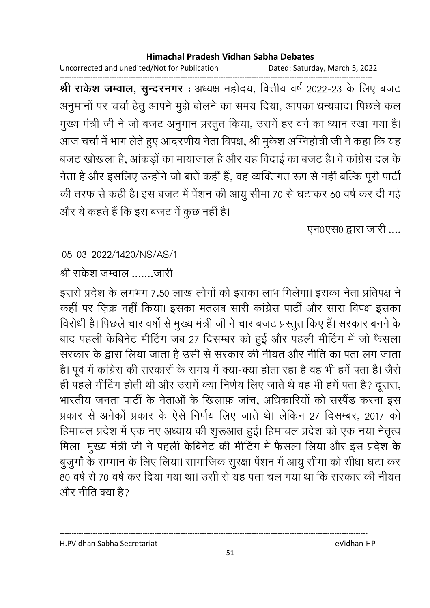Uncorrected and unedited/Not for Publication Dated: Saturday, March 5, 2022

------------------------------------------------------------------------------------------------------------------------------------ **श्री राकेश जम्वाल, सुन्दरनगर :** अध्यक्ष महोदय, वित्तीय वर्ष 2022-23 के लिए बजट अनुमानों पर चर्चा हेतु आपने मुझे बोलने का समय दिया, आपका धन्यवाद। पिछले कल मुख्य मंत्री जी ने जो बजट अनुमान प्रस्तुत किया, उसमें हर वर्ग का ध्यान रखा गया है। आज चर्चा में भाग लेते हुए आदरणीय नेता विपक्ष, श्री मुकेश ओग्नेहोत्री जी ने कहा कि यह बजट खोखला है, आंकड़ों का मायाजाल है और यह विदाई का बजट है। वे कांग्रेस दल के नेता है और इसलिए उन्होंने जो बातें कहीं हैं, वह व्यक्तिगत रूप से नहीं बल्कि पूरी पार्टी की तरफ से कही है। इस बजट में पेंशन की आयु सीमा 70 से घटाकर 60 वर्ष कर दी गई और ये कहते हैं कि इस बजट में कुछ नहीं है।

एन0एस0 द्वारा जारी ....

## 05-03-2022/1420/NS/AS/1

श्री राकेश जम्वाल जारी

इससे प्रदेश के लगभग 7.50 लाख लोगों को इसका लाभ मिलेगा। इसका नेता प्रतिपक्ष ने कहीं पर ज़िक्र नहीं किया। इसका मतलब सारी कांग्रेस पार्टी और सारा विपक्ष इसका विरोधी है। पिछले चार वर्षों से मुख्य मंत्री जी ने चार बजट प्रस्तूत किए हैं। सरकार बनने के बाद पहली केबिनेट मीटिंग जब 27 दिसम्बर को हुई और पहली मीटिंग में जो फैसला सरकार के द्वारा लिया जाता है उसी से सरकार की नीयत और नीति का पता लग जाता है। पूर्व में कांग्रेस की सरकारों के समय में क्या-क्या होता रहा है वह भी हमें पता है। जैसे ही पहले मीटिंग होती थी और उसमें क्या निर्णय लिए जाते थे वह भी हमें पता है? दूसरा, भारतीय जनता पार्टी के नेताओं के खिलाफ़ जांच, अधिकारियों को सस्पेंड करना इस प्रकार से अनेको प्रकार के ऐसे निर्णय लिए जाते थे। लेकिन 27 दिसम्बर, 2017 को हिमाचल प्रदेश में एक नए अध्याय की शुरूआत हुई। हिमाचल प्रदेश को एक नया नेतृत्व मिला। मुख्य मंत्री जी ने पहली केबिनेट की मीटिंग में फैसला लिया और इस प्रदेश के बुजुर्गों के सम्मान के लिए लिया। सामाजिक सूरक्षा पेंशन में आयु सीमा को सीधा घटा कर 80 वर्ष से 70 वर्ष कर दिया गया था। उसी से यह पता चल गया था कि सरकार की नीयत और नीति क्या है?

H.PVidhan Sabha Secretariat eVidhan-HP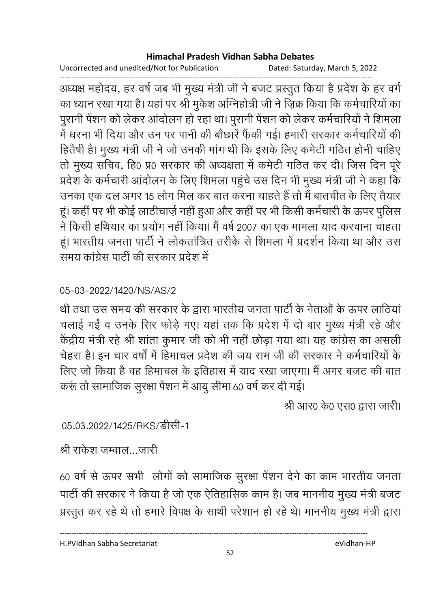Uncorrected and unedited/Not for Publication Dated: Saturday, March 5, 2022

------------------------------------------------------------------------------------------------------------------------------------ अध्यक्ष महोदय, हर वर्ष जब भी मुख्य मंत्री जी ने बजट प्रस्तुत किया है प्रदेश के हर वर्ग का ध्यान रखा गया है। यहां पर श्री मुकेश ओग्नेहोत्री जी ने ज़िक्र किया कि कर्मचारियों का पुरानी पेंशन को लेकर आंदोलन हो रहा था। पुरानी पेंशन को लेकर कर्मचारियों ने शिमला में धरना भी दिया और उन पर पानी की बौछारें फैंकी गई। हमारी सरकार कर्मचारियों की हितैषी है। मुख्य मंत्री जी ने जो उनकी मांग थी कि इसके लिए कमेटी गठित होनी चाहिए तो मुख्य सचिव, हि0 प्र0 सरकार की अध्यक्षता में कर्मेंटी गठित कर दी। जिस दिन पूरे प्रदेश के कर्मचारी आंदोलन के लिए शिमला पहुंचे उस दिन भी मुख्य मंत्री जी ने कहा कि उनका एक दल अगर 15 लोग मिल कर बात करना चाहते हैं तो मैं बातचीत के लिए तैयार हूं। कहीं पर भी कोई लाठीचार्ज़ नहीं हुआ और कहीं पर भी किसी कर्मचारी के ऊपर पुलिस ने किसी हथियार का प्रयोग नहीं किया। मैं वर्ष 2007 का एक मामला याद करवाना चाहता हूं। भारतीय जनता पार्टी ने लोकतांत्रित तरीके से शिमला में प्रदर्शन किया था और उस समय कांग्रेस पार्टी की सरकार प्रदेश में

## 05-03-2022/1420/NS/AS/2

थी तथा उस समय की सरकार के द्वारा भारतीय जनता पार्टी के नेताओं के ऊपर लाठियां चलाई गईं व उनके सिर फोड़े गए। यहां तक कि प्रदेश में दो बार मुख्य मंत्री रहे और केंद्रीय मंत्री रहे श्री शाता कुमार जी को भी नहीं छोड़ा गया था। यह कांग्रेस का असली चेहरा है। इन चार वर्षों में हिमाचल प्रदेश की जय राम जी की सरकार ने कर्मचारियों के लिए जो किया है वह हिमाचल के इतिहास में याद रखा जाएगा। मैं अगर बजट की बात करूं तो सामाजिक सुरक्षा पेंशन में आयु सीमा 60 वर्ष कर दी गई।

श्री आर0 के0 एस0 द्वारा जारी।

05.03.2022/1425/RKS/डीसी-1

श्री राकेश जम्वाल…जारी

60 वर्ष से ऊपर सभी लोगों को सामाजिक सूरक्षा पेंशन देने का काम भारतीय जनता पार्टी की सरकार ने किया है जो एक ऐतिहासिक काम है। जब माननीय मुख्य मंत्री बजट प्रस्तुत कर रहे थे तो हमारे विपक्ष के साथी परेशान हो रहे थे। माननीय मुख्य मंत्री द्वारा

H.PVidhan Sabha Secretariat eVidhan-HP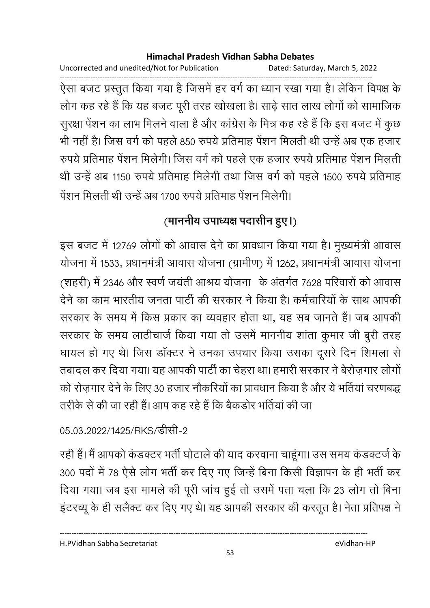Uncorrected and unedited/Not for Publication Dated: Saturday, March 5, 2022

------------------------------------------------------------------------------------------------------------------------------------ ऐसा बजट प्रस्तुत किया गया है जिसमें हर वर्ग का ध्यान रखा गया है। लेकिन विपक्ष के लोग कह रहे हैं कि यह बजट पूरी तरह खोखला है। साढ़े सात लाख लोगों को सामाजिक सुरक्षा पेंशन का लाभ मिलने वाला है और कांग्रेस के मित्र कह रहे हैं कि इस बजट में कुछ भी नहीं हैं। जिस वर्ग को पहले 850 रुपये प्रतिमाह पेशन मिलती थी उन्हें अब एक हजार रुपये प्रतिमाह पेंशन मिलेगी। जिस वर्ग को पहले एक हजार रुपये प्रतिमाह पेंशन मिलती थी उन्हें अब 1150 रुपये प्रतिमाह मिलेगी तथा जिस वर्ग को पहले 1500 रुपये प्रतिमाह पेशन मिलती थी उन्हें अब 1700 रुपये प्रतिमाह पेशन मिलेगी।

# (माननीय उपाध्यक्ष पदासीन हुए।<sub>)</sub>

इस बजट में 12769 लोगों को आवास देने का प्रावधान किया गया है। मुख्यमंत्री आवास योजना में 1533, प्रधानमंत्री आवास योजना (ग्रामीण) में 1262, प्रधानमंत्री आवास योजना (शहरी) में 2346 और स्वर्ण जयती आश्रय योजना के अंतर्गत 7628 परिवारों को आवास देने का काम भारतीय जनता पार्टी की सरकार ने किया है। कर्मचारियों के साथ आपकी सरकार के समय में किस प्रकार का व्यवहार होता था, यह सब जानते हैं। जब आपकी सरकार के समय लाठीचार्ज किया गया तो उसमें माननीय शांता कुमार जी बुरी तरह घायल हो गए थे। जिस डॉक्टर ने उनका उपचार किया उसका दूसरे दिन शिमला से तबादल कर दिया गया। यह आपकी पार्टी का चेहरा था। हमारी सरकार ने बेरोज़गार लोगों को रोज़गार देने के लिए 30 हजार नौकरियों का प्रावधान किया है और ये भर्तियां चरणबद्ध तरीके से की जा रही हैं। आप कह रहे हैं कि बैकड़ोर भर्तियां की जा

# 05.03.2022/1425/RKS/सीसी-2

रही हैं। मैं आपको कंडक्टर भर्ती घोटाले की याद करवाना चाहूंगा। उस समय कंडक्टर्ज के 300 पदों में 78 ऐसे लोग भर्ती कर दिए गए जिन्हें बिना किसी विज्ञापन के ही भर्ती कर दिया गया। जब इस मामले की पूरी जांच हुई तो उसमें पता चला कि 23 लोग तो बिना इंटरव्यू के ही सलैक्ट कर दिए गए थे। यह आपकी सरकार की करतूत है। नेता प्रतिपक्ष ने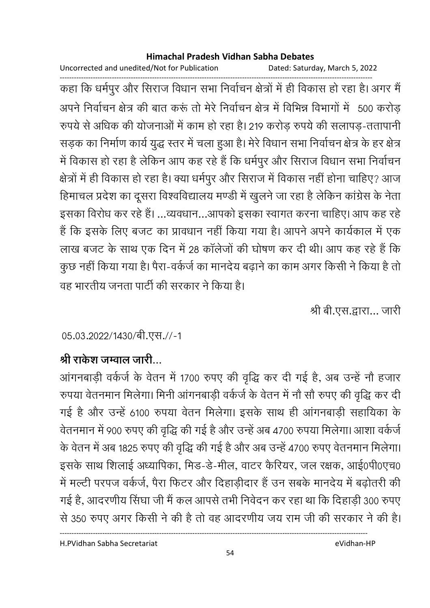Uncorrected and unedited/Not for Publication Dated: Saturday, March 5, 2022

------------------------------------------------------------------------------------------------------------------------------------ कहा कि धर्मपुर और सिराज विधान सभा निर्वाचन क्षेत्रों में ही विकास हो रहा है। अगर मैं अपने निर्वाचन क्षेत्र की बात करू तो मेरे निर्वाचन क्षेत्र में विभिन्न विभागों में -500 करोड़ रुपर्य से अधिक की योजनाओं में काम हो रहा है। 219 करोड़ रुपर्य की सलापड़-ततापानी सड़क का निर्माण कार्य युद्ध स्तर में चला हुआ है। मेरे विधान सभा निर्वाचन क्षेत्र के हर क्षेत्र में विकास हो रहा है लेकिन आप कह रहे हैं कि धर्मपुर और सिराज विधान सभा निर्वाचन क्षेत्रों में ही विकास हो रहा है। क्या धर्मपुर और सिराज में विकास नहीं होना चाहिए? आज हिमाचल प्रदेश का दूसरा विश्वविद्यालय मण्डी में खुलने जा रहा है लेकिन कांग्रेस के नेता इसका विरोध कर रहे हैं। ...व्यवधान...आपको इसका स्वागत करना चाहिए। आप कह रहे है कि इसके लिए बजट का प्रावधान नहीं किया गया है। आपने अपने कार्यकाल में एक लाख बजट के साथ एक दिन में 28 कॉलेजों की घोषण कर दी थी। आप कह रहे हैं कि कुछ नहीं किया गया है। पैरा-वर्कर्ज का मानदेय बढ़ाने का काम अगर किसी ने किया है तो वह भारतीय जनता पार्टी की सरकार ने किया है।

श्री बी.एस.द्वारा... जारी

## 05.03.2022/1430/बी.एस.//-1

# श्री राकेश जम्वाल जारी...

आगनबाड़ी वर्कज के वेतन में 1700 रुपए की वृद्धि कर दी गई है, अब उन्हें नौ हजार रुपया वेतनमान मिलेगा। मिनी आंगनबाड़ी वर्कर्ज के वेतन में नौ सौ रुपए की वृद्धि कर दी गई है और उन्हें 6100 रुपया वेतन मिलेगा। इसके साथ ही आंगनबाड़ी सहायिका के वेतनमान में 900 रुपए की वृद्धि की गई है और उन्हें अब 4700 रुपया मिलेगा। आशा वर्कजे के वेतन में अब 1825 रुपए की वृद्धि की गई है और अब उन्हें 4700 रुपए वेतनमान मिलेगा। इसके साथ शिलाई अध्यापिका, मिंड-डे-मील, वाटर कैरियर, जल रक्षक, आई0पी0एच0 में मल्टी परपज वर्कर्ज, पैरा फिटर और दिहाडीदार हैं उन सबके मानदेय में बढ़ोतरी की गई है, आदरणीय सिंघा जी मैं कल आपसे तभी निवेदन कर रहा था कि दिहाड़ी 300 रुपए से 350 रुपए अगर किसी ने की है तो वह आदरणीय जय राम जी की सरकार ने की है।

H.PVidhan Sabha Secretariat eVidhan-HP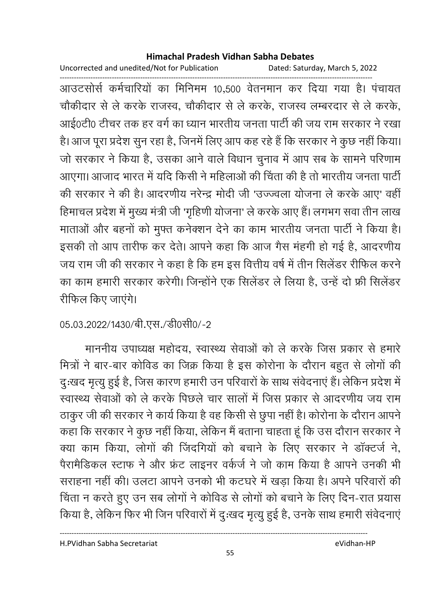Uncorrected and unedited/Not for Publication Dated: Saturday, March 5, 2022

------------------------------------------------------------------------------------------------------------------------------------ आउटसोर्स कर्मचारियों का मिनिमम 10,500 वेतनमान कर दिया गया है। पंचायत चौकीदार से ले करके राजस्व, चौकीदार से ले करके, राजस्व लम्बरदार से ले करके, आई0टी0 टीचर तक हर वर्ग का ध्यान भारतीय जनता पार्टी की जय राम सरकार ने रखा है। आज पूरा प्रदेश सुन रहा है, जिनमें लिए आप कह रहे हैं कि सरकार ने कुछ नहीं किया। जो सरकार ने किया है, उसका आने वाले विधान चुनाव में आप सब के सामने परिणाम आएगा। आजाद भारत में यदि किसी ने महिलाओं की चिंता की है तो भारतीय जनता पार्टी की सरकार ने की है। आदरणीय नरेन्द्र मोदी जी 'उज्ज्वला योजना ले करके आए' वहीं हिमाचल प्रदेश में मुख्य मंत्री जी 'गृहिणी योजना' ले करके आए हैं। लगभग सवा तीन लाख माताओं और बहनों को मुफ्त कनेक्शन देने का काम भारतीय जनता पार्टी ने किया है। इसकी तो आप तारीफ कर देते। आपने कहा कि आज गैस मंहगी हो गई है, आदरणीय जय राम जी की सरकार ने कहा है कि हम इस वित्तीय वर्ष में तीन सिलेंडर रीफिल करने का काम हमारी सरकार करेगी। जिन्होंने एक सिलेंडर ले लिया है. उन्हें दो फ्री सिलेंडर रीफिल किए जाएंगे।

# 05.03.2022/1430/बी.एस./डी0सी0/-2

माननीय उपाध्यक्ष महोदय, स्वास्थ्य सेवाओं को ले करके जिस प्रकार से हमारे मित्रों ने बार-बार कोविड का जिक्र किया है इस कोरोना के दौरान बहुत से लोगों की दुःखद मृत्यू हुई है, जिस कारण हमारी उन परिवारों के साथ संवेदनाएं हैं। लेकिन प्रदेश में स्वास्थ्य सेवाओं को ले करके पिछले चार सालों में जिस प्रकार से आदरणीय जय राम ठाकुर जी की सरकार ने कार्य किया है वह किसी से छूपा नहीं है। कोरोना के दौरान आपने कहा कि सरकार ने कुछ नहीं किया, लेकिन मैं बताना चाहता हूं कि उस दौरान सरकार ने क्या काम किया. लोगों की जिंदगियों को बचाने के लिए सरकार ने डॉक्टर्ज ने. पैरामैडिकल स्टाफ ने और फ्रंट लाइनर वर्कर्ज ने जो काम किया है आपने उनकी भी सराहना नहीं की। उलटा आपने उनको भी कटघरे में खड़ा किया है। अपने परिवारों की विंता न करते हुए उन सब लोगों ने कोविड से लोगों को बचाने के लिए दिन-रात प्रयास किया है, लेकिन फिर भी जिन परिवारों में दुःखद मृत्यु हुई है, उनके साथ हमारी संवेदनाएं

H.PVidhan Sabha Secretariat eVidhan-HP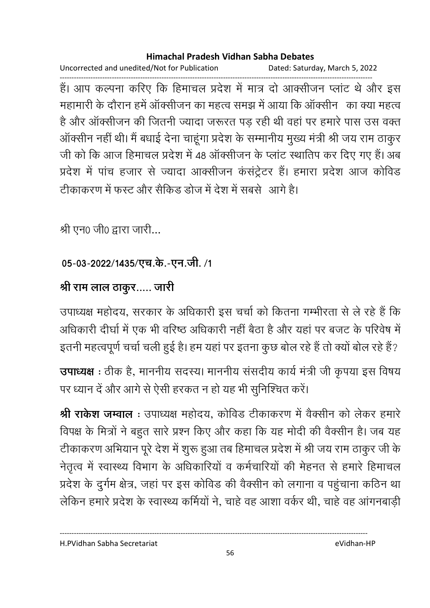Uncorrected and unedited/Not for Publication Dated: Saturday, March 5, 2022

------------------------------------------------------------------------------------------------------------------------------------ है। आप कल्पना करिए कि हिमाचल प्रदेश में मात्र दो आक्सीजन प्लाट थे और इस .<br>महामारी के दौरान हमें ऑक्सीजन का महत्व समझ में आया कि ऑक्सीन का क्या महत्व है और ऑक्सीजन की जितनी ज्यादा जरूरत पड रही थी वहां पर हमारे पास उस वक्त ऑक्सीन नहीं थी। मैं बधाई देना चाहूंगा प्रदेश के सम्मानीय मुख्य मंत्री श्री जय राम ठाकुर जी को कि आज हिमाचल प्रदेश में 48 आक्सीजन के प्लाट स्थातिप कर दिए गए हैं। अब प्रदेश में पांच हजार से ज्यादा आक्सीजन कंसंट्रेटर हैं। हमारा प्रदेश आज कोविड टीकाकरण में फस्ट और सैकिड डोज में देश में सबसे आगे है।

श्री एन0 जी0 द्वारा जारी...

## 05-03-2022/1435/एच.के.-एन.जी. /1

# श्री राम लाल ठाकुर..... जारी

उपाध्यक्ष महोदय, सरकार के अधिकारी इस चर्चा को कितना गम्भीरता से ले रहे हैं कि आंधकारी दीर्घा में एक भी वरिष्ठ अधिकारी नहीं बैठा है और यहां पर बजट के परिवेष में इतनी महत्वपूर्ण चर्चा चली हुई है। हम यहां पर इतना कुछ बोल रहे हैं तो क्यों बोल रहे हैं?

उपाध्यक्ष : ठीक है, माननीय सदस्य। माननीय संसदीय कार्य मंत्री जी कृपया इस विषय पर ध्यान दें और आगे से ऐसी हरकत न हो यह भी सुनिश्चित करें।

**श्री रार्कश जम्वाल** : उपाध्यक्ष महोदय, कोविड टीकाकरण में वैक्सीन को लेकर हमारे विपक्ष के मित्रों ने बहुत सारे प्रश्न किए और कहा कि यह मोदी की वैक्सीन है। जब यह टीकाकरण अभियान पूरे देश में शुरू हुआ तब हिमाचल प्रदेश में श्री जय राम ठाकुर जी के नेतृत्व में स्वास्थ्य विभाग के अधिकारियों व कर्मचारियों की मेहनत से हमारे हिमाचल प्रदेश के दुर्गम क्षेत्र, जहां पर इस कोविड की वैक्सीन को लगाना व पहुंचाना कठिन था लेकिन हमारे प्रदेश के स्वास्थ्य कर्मियों ने. चाहे वह आशा वर्कर थी. चाहे वह आंगनबाड़ी

----------------------------------------------------------------------------------------------------------------------------------

H.PVidhan Sabha Secretariat eVidhan-HP

56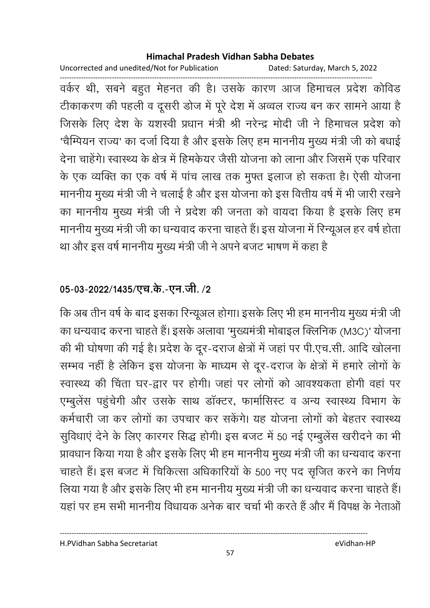Uncorrected and unedited/Not for Publication Dated: Saturday, March 5, 2022

------------------------------------------------------------------------------------------------------------------------------------ वर्कर थी, सबने बहुत मेहनत की है। उसके कारण आज हिमाचल प्रदेश कोविड टीकाकरण की पहली व दूसरी डोज में पूरे देश में अव्वल राज्य बन कर सामने आया है जिसके लिए देश के यशस्वी प्रधान मंत्री श्री नरेन्द्र मोदी जी ने हिमाचल प्रदेश को 'चैम्पियन राज्य' का दर्जा दिया है और इसके लिए हम माननीय मुख्य मंत्री जी को बधाई देना चाहेंगे। स्वास्थ्य के क्षेत्र में हिमकेयर जैसी योजना को लाना और जिसमें एक परिवार के एक व्यक्ति का एक वर्ष में पांच लाख तक मुफ्त इलाज हो सकता है। ऐसी योजना माननीय मुख्य मंत्री जी ने चलाई है और इस योजना को इस वित्तीय वर्ष में भी जारी रखने का माननीय मुख्य मंत्री जी ने प्रदेश की जनता को वायदा किया है इसके लिए हम माननीय मुख्य मंत्री जी का धन्यवाद करना चाहते हैं। इस योजना में रिन्यूअल हर वर्ष होता था और इस वर्ष माननीय मुख्य मंत्री जी ने अपने बजट भाषण में कहा हैं।

## 05-03-2022/1435/एच.के.-एन.जी. **/2**

कि अब तीन वर्ष के बाद इसका रिन्यूअल होगा। इसके लिए भी हम माननीय मुख्य मंत्री जी का धन्यवाद करना चाहते हैं। इसके अलावा 'मुख्यमंत्री मोबाइल क्लिनिक (M3C)' योजना की भी घोषणा की गई है। प्रदेश के दूर-दराज क्षेत्रों में जहां पर पी.एच.सी. आदि खोलना सम्भव नहीं है लेकिन इस योजना के माध्यम से दूर-दराज के क्षेत्रों में हमारे लोगों के स्वास्थ्य की चिंता घर-द्वार पर होगी। जहां पर लोगों को आवश्यकता होगी वहां पर एम्बुलेस पहुंचेगी और उसके साथ डाक्टर, फामोसिस्ट व अन्य स्वास्थ्य विभाग के कर्मचारी जा कर लोगों का उपचार कर सकेंगे। यह योजना लोगों को बेहतर स्वास्थ्य सुविधाएं देने के लिए कारगर सिद्ध होगी। इस बजट में 50 नई एम्बुलेंस खरीदने का भी प्रावधान किया गया है और इसके लिए भी हम माननीय मुख्य मंत्री जी का धन्यवाद करना चाहते हैं। इस बजट में चिकित्सा अधिकारियों के 500 नए पद सृजित करने का निर्णय लिया गया है और इसके लिए भी हम माननीय मुख्य मंत्री जी का धन्यवाद करना चाहते हैं। यहाँ पर हम सभी माननीय विधायक अनेक बार चर्चा भी करते हैं और मैं विपक्ष के नेताओं |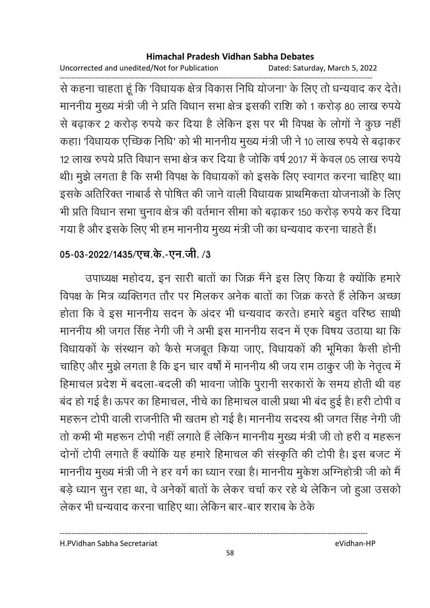Uncorrected and unedited/Not for Publication Dated: Saturday, March 5, 2022

------------------------------------------------------------------------------------------------------------------------------------ से कहना चाहता हूं कि 'विधायक क्षेत्र विकास निधि योजना' के लिए तो धन्यवाद कर देते। माननीय मुख्य मंत्री जी ने प्रति विधान सभा क्षेत्र इसकी राशि को १ करोड़ 80 लाख रुपये से बढ़ाकर 2 करोड़ रुपये कर दिया है लेकिन इस पर भी विपक्ष के लोगों ने कुछ नहीं कहा। 'विधायक एच्छिक निधि' को भी माननीय मुख्य मंत्री जी ने 10 लाख रुपये से बढ़ाकर 12 लाख रुपये प्रति विधान सभा क्षेत्र कर दिया है जोकि वर्ष 2017 में केवल 05 लाख रुपये थी। मुझे लगता है कि सभी विपक्ष के विधायकों को इसके लिए स्वागत करना चाहिए था। इसके अतिरिक्त नाबार्ड से पोषित की जाने वाली विधायक प्राथमिकता योजनाओं के लिए भी प्रति विधान सभा चुनाव क्षेत्र की वर्तमान सीमा को बढ़ाकर 150 करोड़ रुपये कर दिया गया है और इसके लिए भी हम माननीय मुख्य मंत्री जी का धन्यवाद करना चाहते हैं।

## 05-03-2022/1435/एच.के.-एन.जी. /3

उपाध्यक्ष महोदय, इन सारी बातों का जिक्र मैंने इस लिए किया है क्योंकि हमारे विपक्ष के मित्र व्यक्तिगत तौर पर मिलकर अनेक बातों का जिक्र करते हैं लेकिन अच्छा होता कि वे इस माननीय सदन के अंदर भी धन्यवाद करते। हमारे बहुत वरिष्ठ साथी माननीय श्री जगत सिंह नेगी जी ने अभी इस माननीय सदन में एक विषय उठाया था कि विधायकों के संस्थान को कैसे मजबूत किया जाए, विधायकों की भूमिका कैसी होनी चाहिए और मुझे लगता है कि इन चार वर्षों में माननीय श्री जय राम ठाकुर जी के नेतृत्व में हिमाचल प्रदेश में बदला-बदली की भावना जोकि पुरानी सरकारों के समय होती थी वह बंद हो गई है। ऊपर का हिमाचल, नीचे का हिमाचल वाली प्रथा भी बंद हुई है। हरी टोपी व महरून टोपी वाली राजनीति भी खतम हो गई है। माननीय सदस्य श्री जगत सिंह नेगी जी तो कभी भी महरून टोपी नहीं लगाते हैं लेकिन माननीय मुख्य मंत्री जी तो हरी व महरून दोनों टोपी लगाते हैं क्योंकि यह हमारे हिमाचल की संस्कृति की टोपी है। इस बजट में माननीय मुख्य मंत्री जी ने हर वर्ग का ध्यान रखा है। माननीय मुकेश ओग्नेहोत्री जी को मैं बड़े ध्यान सुन रहा था, वे अनेको बातों के लेकर चर्चा कर रहे थे लेकिन जो हुआ उसको लेकर भी धन्यवाद करना चाहिए था। लेकिन बार-बार शराब के ठेके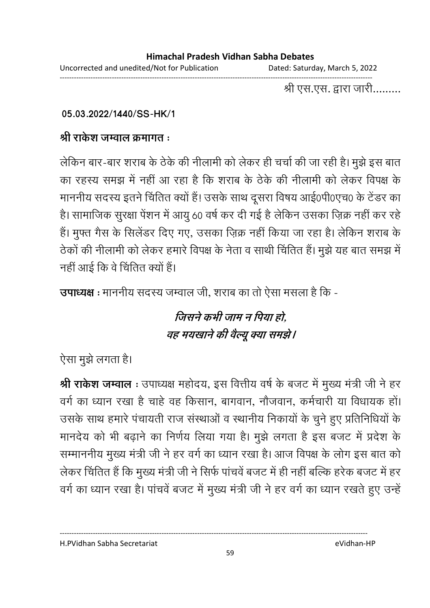श्री एस.एस. द्वारा जारी.........

## **05.03.2022/1440/SS-HK/1**

## श्री राकेश जम्वाल क्रमागत <del>:</del>

लेकिन बार-बार शराब के ठेके की नीलामी को लेकर ही चर्चा की जा रही है। मुझे इस बात का रहस्य समझ में नहीं आ रहा है कि शराब के ठेके की नीलामी को लेकर विपक्ष के माननीय सदस्य इतने चिंतित क्यों हैं! उसके साथ दूसरा विषय आई0पी0एच0 के टेंडर का है। सामाजिक सुरक्षा पेंशन में आयु 60 वर्ष कर दी गई है लेकिन उसका ज़िक्र नहीं कर रहे हैं। मुफ्त गैस के सिलेंडर दिए गए, उसका ज़िक्र नहीं किया जा रहा है। लेकिन शराब के ठेकों की नीलामी को लेकर हमारे विपक्ष के नेता व साथी चिंतित हैं। मुझे यह बात समझ में नहीं आई कि वे चिंतित क्यों हैं।

**उपाध्यक्ष** : माननीय सदस्य जम्वाल जी, शराब का तो ऐसा मसला है कि -

# *जिसने कभी जाम न पिया हो,* वह मयखाने की वैल्यू क्या समझे।

ऐसा मुझे लगता है।

**श्री राकेश जम्वाल** : उपाध्यक्ष महोदय, इस वित्तीय वर्ष के बजट में मुख्य मंत्री जी ने हर वर्ग का ध्यान रखा है चाहे वह किसान, बागवान, नौजवान, कर्मचारी या विधायक हों। उसके साथ हमारे पंचायती राज संस्थाओं व स्थानीय निकायों के चुने हुए प्रतिनिधियों के मानदेय को भी बढ़ाने का निर्णय लिया गया है। मुझे लगता है इस बजट में प्रदेश के सम्माननीय मुख्य मंत्री जी ने हर वर्ग का ध्यान रखा है। आज विपक्ष के लोग इस बात को लेकर चिंतित हैं कि मुख्य मंत्री जी ने सिर्फ पांचवें बजट में ही नहीं बल्कि हरेक बजट में हर वर्ग का ध्यान रखा है। पांचवें बजट में मुख्य मंत्री जी ने हर वर्ग का ध्यान रखते हुए उन्हें

H.PVidhan Sabha Secretariat eVidhan-HP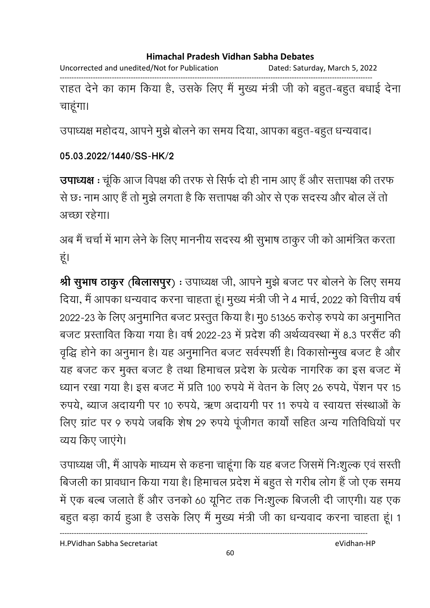Uncorrected and unedited/Not for Publication Dated: Saturday, March 5, 2022 ------------------------------------------------------------------------------------------------------------------------------------ राहत देने का काम किया है, उसके लिए मैं मुख्य मंत्री जी को बहुत-बहुत बंधाई देना

चाहूंगा।

उपाध्यक्ष महोदय, आपने मुझे बोलने का समय दिया, आपका बहुत-बहुत धन्यवाद।

## **05.03.2022/1440/SS-HK/2**

उपाध्यक्ष : चूंकि आज विपक्ष की तरफ से सिर्फ दो ही नाम आए हैं और सत्तापक्ष की तरफ से छः नाम आए हैं तो मुझे लगता है कि सत्तापक्ष की ओर से एक सदस्य और बोल लें तो अच्छा रहेगा।

अब मैं चर्चा में भाग लेने के लिए माननीय सदस्य श्री सुभाष ठाकुर जी को आमंत्रित करता हूं।

**श्री सुभाष ठाकुर (बिलासपुर) :** उपाध्यक्ष जी, आपने मुझे बजट पर बोलने के लिए समय दिया, मैं आपका धन्यवाद करना चाहता हूं। मुख्य मंत्री जी ने 4 मार्च, 2022 को वित्तीय वर्ष 2022-23 के लिए अनुमानित बजट प्रस्तुत किया है। मु0 51365 करोड़ रुपये का अनुमानित बजट प्रस्तावित किया गया है। वर्ष 2022-23 में प्रदेश की अर्थव्यवस्था में 8.3 परसैंट की वृद्धि होने का अनुमान है। यह अनुमानित बजट सर्वस्पर्शी है। विकासन्मिुख बजट है और यह बजट कर मुक्त बजट है तथा हिमाचल प्रदेश के प्रत्येक नागरिक का इस बजट में ध्यान रखा गया है। इस बजट में प्रति 100 रुपये में वेतन के लिए 26 रुपये, पेंशन पर 15 रुपर्य, ब्याज अदायगी पर 10 रुपर्य, ऋण अदायगी पर 11 रुपर्य व स्वायत्त संस्थाओं के लिए ग्रांट पर 9 रुपये जबकि शेष 29 रुपये पूजीगत कार्या सहित अन्य गतिविधियो पर व्यय किए जाएंगे।

उपाध्यक्ष जी, मैं आपके माध्यम से कहना चाहूंगा कि यह बजट जिसमें निःशुल्क एवं सस्ती बिजली का प्रावधान किया गया है। हिमाचल प्रदेश में बहुत से गरीब लोग हैं जो एक समय में एक बल्ब जलाते हैं और उनको 60 यूनिट तक निःशुल्क बिजली दी जाएगी। यह एक बहुत बड़ा कार्य हुआ है उसके लिए मैं मुख्य मंत्री जी का धन्यवाद करना चाहता हूं। 1

H.PVidhan Sabha Secretariat eVidhan-HP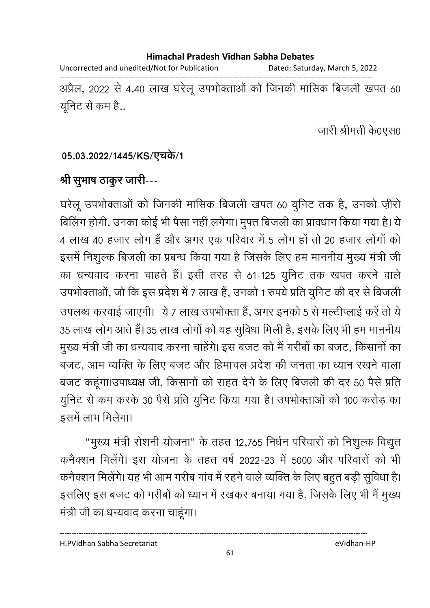Uncorrected and unedited/Not for Publication Dated: Saturday, March 5, 2022 ------------------------------------------------------------------------------------------------------------------------------------ अप्रैल, 2022 से 4.40 लाख घरेलू उपभोक्ताओं को जिनकी मासिक बिजली खपत 60

यूनिट से कम है..

जारी श्रीमती के0एस0

## 05.03.2022/1445/KS/एचके/1

# श्री सूभाष ठाकूर जारी---

घरेलू उपभोक्ताओं को जिनकी मासिक बिजली खपत 60 युनिट तक है, उनको ज़ीरो बिलिंग होगी, उनका कोई भी पैसा नहीं लगेगा। मुफ्त बिजली का प्रावधान किया गया है। ये 4 लाख 40 हजार लोग है और अगर एक परिवार में 5 लोग हो तो 20 हजार लोगों को इसमें निशुल्क बिजली का प्रबन्ध किया गया है जिसके लिए हम माननीय मुख्य मंत्री जी का धन्यवाद करना चाहते हैं। इसी तरह से 61-125 युनिट तक खपत करने वाले उपभोक्ताओं, जो कि इस प्रदेश में 7 लाख हैं, उनको 1 रुपये प्रति युनिट की दर से बिजली उपलब्ध करवाई जाएगी। ये 7 लाख उपभोक्ता है, अगर इनको 5 से मल्टीप्लाई करें तो ये 35 लाख लोग आते हैं। 35 लाख लोगों को यह सुविधा मिली है, इसके लिए भी हम माननीय मुख्य मंत्री जी का धन्यवाद करना चाहेंगे। इस बजट को मैं गरीबों का बजट, किसानों का बजट, आम व्यक्ति के लिए बजट और हिमाचल प्रदेश की जनता का ध्यान रखने वाला बजट कहूंगा।उपाध्यक्ष जी, किसानों को राहत देने के लिए बिजली की दर 50 पैसे प्रति यूनिट से कम करके 30 पैसे प्रति यूनिट किया गया है। उपभोक्ताओं को 100 करोड़ का इसमें लाभ मिलेगा।

"मुख्य मंत्री रोशनी योजना" के तहत 12,765 निर्धन परिवारों को निशुल्क विद्युत कनैक्शन मिलेंगे। इस योजना के तहत वर्ष 2022-23 में 5000 और परिवारों को भी कनैक्शन मिलेंगे। यह भी आम गरीब गांव में रहने वाले व्यक्ति के लिए बहुत बड़ी सुविधा है। इसलिए इस बजट को गरीबों को ध्यान में रखकर बनाया गया है, जिसके लिए भी मैं मुख्य मंत्री जी का धन्यवाद करना चाहूंगा।

H.PVidhan Sabha Secretariat eVidhan-HP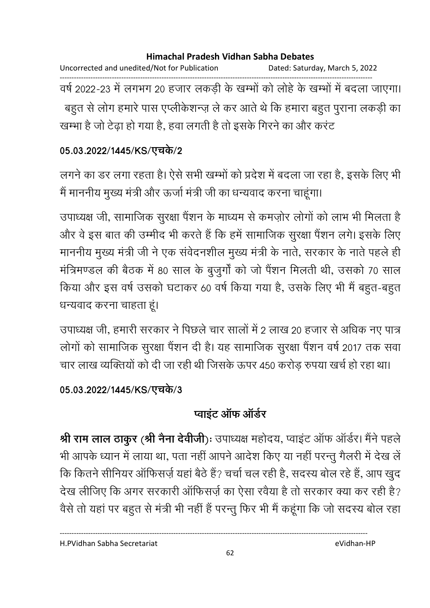Uncorrected and unedited/Not for Publication Dated: Saturday, March 5, 2022 ------------------------------------------------------------------------------------------------------------------------------------ वर्ष 2022-23 में लगभग 20 हजार लकड़ी के खम्भी को लोहे के खम्भों में बदला जाएगा। बहुत से लोग हमारे पास एप्लीकेशन्ज़ ले कर आते थे कि हमारा बहुत पुराना लकड़ी का खम्भा है जो टेढ़ा हो गया है, हवा लगती है तो इसके गिरने का और करंट

## 05.03.2022/1445/KS/एचर्क/2

लगने का डर लगा रहता है। ऐसे सभी खम्भों को प्रदेश में बदला जा रहा है, इसके लिए भी मैं माननीय मुख्य मंत्री और ऊर्जा मंत्री जी का धन्यवाद करना चाहूंगा।

उपाध्यक्ष जी, सामाजिक सुरक्षा पैंशन के माध्यम से कमज़ोर लोगों को लाभ भी मिलता है और वे इस बात की उम्मीद भी करते हैं कि हमें सामाजिक सुरक्षा पैंशन लगे। इसके लिए माननीय मुख्य मंत्री जी ने एक संवेदनशील मुख्य मंत्री के नाते, सरकार के नाते पहले ही मंत्रिमण्डल की बैठक में 80 साल के बुजुर्गों को जो पैंशन मिलती थी, उसको 70 साल किया और इस वर्ष उसको घटाकर 60 वर्ष किया गया है, उसके लिए भी मैं बहुत-बहुत धन्यवाद करना चाहता हूं।

उपाध्यक्ष जी, हमारी सरकार ने पिछले चार सालों में 2 लाख 20 हजार से अधिक नए पात्र लोगों को सामाजिक सुरक्षा पैंशन दी है। यह सामाजिक सुरक्षा पैंशन वर्ष 2017 तक सवा चार लाख व्यक्तियों को दी जा रही थी जिसके ऊपर 450 करोड़ रुपया खर्च हो रहा था।

## 05.03.2022/1445/KS/एचर्क/3

# **प्वाइंट ऑफ ऑर्डर**

**श्री राम लाल ठाकुर (श्री नैना देवीजी)ः** उपाध्यक्ष महोदय, प्वाइट आफ आर्डर। मैंने पहले | भी आपके ध्यान में लाया था, पता नहीं आपने आदेश किए या नहीं परन्तु गैलरी में देख लें कि कितने सीनियर ऑफिसर्ज़ यहां बैठे हैं? चर्चा चल रही है, सदस्य बोल रहे हैं, आप खुद देख लीजिए कि अगर सरकारी आफिसज़े का ऐसा रवैया है तो सरकार क्या कर रही है? वैसे तो यहां पर बहुत से मंत्री भी नहीं हैं परन्तु फिर भी मैं कहूंगा कि जो सदस्य बोल रहा

H.PVidhan Sabha Secretariat eVidhan-HP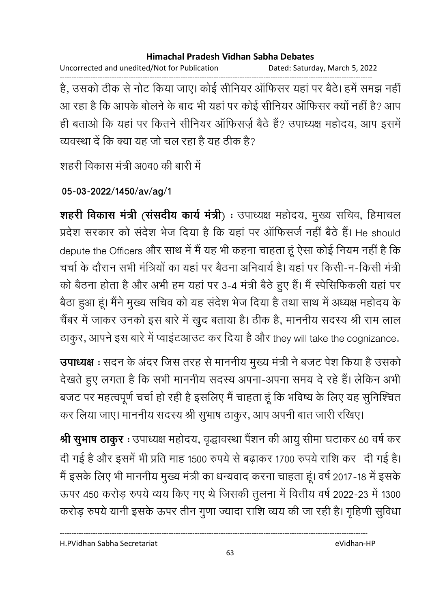Uncorrected and unedited/Not for Publication Dated: Saturday, March 5, 2022

------------------------------------------------------------------------------------------------------------------------------------ हैं, उसको ठीक से नोट किया जाए। कोई सीनियर आफिसर यहां पर बैठे। हमें समझ नहीं आ रहा है कि आपके बोलने के बाद भी यहां पर कोई सीनियर ऑफिसर क्यों नहीं है? आप ही बताओ कि यहां पर कितने सीनियर ऑफिसर्ज़ बैठे हैं? उपाध्यक्ष महोदय, आप इसमें व्यवस्था दें कि क्या यह जो चल रहा है यह ठीक है?

शहरी विकास मंत्री अ0व0 की बारी में

**05-03-2022/1450/av/ag/1**

**शहरी विकास मंत्री (संसदीय कार्य मंत्री**) : उपाध्यक्ष महोदय, मुख्य सचिव, हिमाचल प्रदेश सरकार को संदेश भेज दिया है कि यहां पर ऑफिसर्ज नहीं बैठे हैं। He should depute the Officers और साथ में मैं यह भी कहना चाहता हूं ऐसा कोई नियम नहीं है कि चर्चा के दौरान सभी मंत्रियों का यहां पर बैठना अनिवार्य है। यहां पर किसी-न-किसी मंत्री को बैठना होता है और अभी हम यहां पर 3-4 मंत्री बैठे हुए हैं। मैं स्पीसेफिकली यहां पर बैठा हुआ हूं। मैंने मुख्य सचिव को यह सर्दश भेज दिया है तथा साथ में अध्यक्ष महोदय के चैंबर में जाकर उनको इस बारे में खुद बताया है। ठीक है, माननीय सदस्य श्री राम लाल ठाकुर, आपने इस बारे में प्वाइंटआउट कर दिया है और they will take the cognizance.

**उपाध्यक्ष** : सदन के अंदर जिस तरह से माननीय मुख्य मंत्री ने बजट पेश किया है उसको देखते हुए लगता है कि सभी माननीय सदस्य अपना-अपना समय दे रहे हैं। लेकिन अभी बजट पर महत्वपूर्ण चर्चा हो रही है इसलिए मैं चाहता हूं कि भविष्य के लिए यह सुनिश्चित कर लिया जाए। माननीय सदस्य श्री सुभाष ठाकुर, आप अपनी बात जारी रखिए।

श्री सुभाष ठाकुर : उपाध्यक्ष महोदय, वृद्धावस्था पैंशन की आयु सीमा घटाकर 60 वर्ष कर दी गई है और इसमें भी प्रति माह 1500 रुपये से बढ़ाकर 1700 रुपये राशि कर दी गई है। मैं इसके लिए भी माननीय मुख्य मंत्री का धन्यवाद करना चाहता हूं। वर्ष 2017-18 में इसके ऊपर 450 करोड़ रुपये व्यय किए गए थे जिसकी तुलना में वित्तीय वर्ष 2022-23 में 1300 करोड़ रुपये यानी इसके ऊपर तीन गुणा ज्यादा राशि व्यय की जा रही है। गृहिणी सुविधा

H.PVidhan Sabha Secretariat eVidhan-HP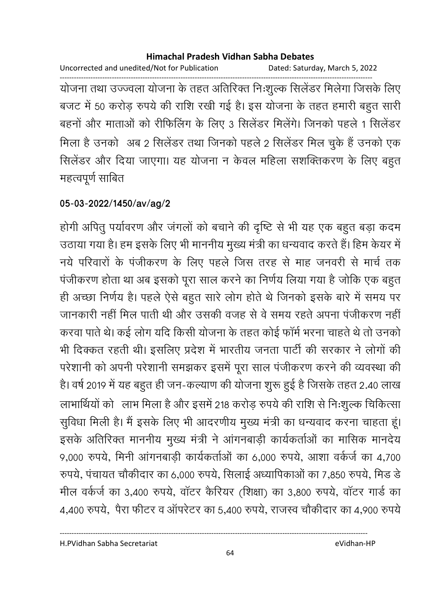Uncorrected and unedited/Not for Publication Dated: Saturday, March 5, 2022

------------------------------------------------------------------------------------------------------------------------------------ योजना तथा उज्ज्वला योजना के तहत अतिरिक्त निःशुल्क सिलेंडर मिलेगा जिसके लिए बजट में 50 करोड़ रुपये की राशि रखी गई है। इस योजना के तहत हमारी बहुत सारी बहनों और माताओं को रीफिलिंग के लिए 3 सिलेंडर मिलेंगे। जिनको पहले 1 सिलेंडर मिला है उनको अब 2 सिलेंडर तथा जिनको पहले 2 सिलेंडर मिल चुके है उनको एक सिलेंडर और दिया जाएगा। यह योजना न केवल महिला सशक्तिकरण के लिए बहुत महत्वपूर्ण साबित

## **05-03-2022/1450/av/ag/2**

होगी अपितु पर्यावरण और जगलों को बचाने की दृष्टि से भी यह एक बहुत बड़ा कदम उठाया गया है। हम इसके लिए भी माननीय मुख्य मंत्री का धन्यवाद करते हैं। हिम केयर में नये परिवारों के पंजीकरण के लिए पहले जिस तरह से माह जनवरी से मार्च तक पंजीकरण होता था अब इसको पूरा साल करने का निर्णय लिया गया है जोकि एक बहुत ही अच्छा निर्णय है। पहले ऐसे बहुत सारे लोग होते थे जिनको इसके बारे में समय पर जानकारी नहीं मिल पार्ती थी और उसकी वजह से वे समय रहते अपना पंजीकरण नहीं | करवा पाते थे। कई लोग यदि किसी योजना के तहत कोई फॉर्म भरना चाहते थे तो उनको भी दिक्कत रहती थी। इसलिए प्रदेश में भारतीय जनता पार्टी की सरकार ने लोगों की परेशांनी को अपनी परेशांनी समझकर इसमें पूरा साल पंजीकरण करने की व्यवस्था की है। वर्ष 2019 में यह बहुत ही जन-कल्याण की योजना शुरू हुई है जिसके तहत 2.40 लाख लाभार्थियों को लाभ मिला है और इसमें 218 करोड़ रुपये की राशि से निःशुल्क चिकित्सा सुविधा मिली है। मैं इसके लिए भी आदरणीय मुख्य मंत्री का धन्यवाद करना चाहता हूं। इसके अतिरिक्त माननीय मुख्य मंत्री ने आगनबाड़ी कार्यकर्ताओं का मासिक मानदेय 9,000 रुपये, मिनी आंगनबाड़ी कार्यकर्ताओं का 6,000 रुपये, आशा वर्कर्ज का 4,700 रुपर्य, पंचायत चौकीदार का 6,000 रुपर्य, सिलाई अध्यापिकाओं का 7,850 रुपर्य, मिंड डे मील वर्कर्ज का 3,400 रुपये, वॉटर कैरियर (शिक्षा) का 3,800 रुपये, वॉटर गार्ड का 4,400 रुपये, पैरा फीटर व ऑपरेटर का 5,400 रुपये, राजस्व चौकीदार का 4,900 रुपये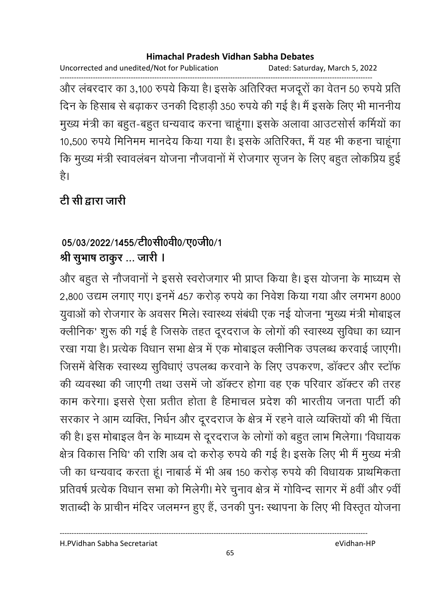Uncorrected and unedited/Not for Publication Dated: Saturday, March 5, 2022

------------------------------------------------------------------------------------------------------------------------------------ और लंबरदार का 3,100 रुपये किया है। इसके अतिरिक्त मजदूरों का वेतन 50 रुपये प्रति दिन के हिसाब से बढ़ाकर उनकी दिहाड़ी 350 रुपये की गई है। मैं इसके लिए भी माननीय मुख्य मंत्री का बहुत-बहुत धन्यवाद करना चाहूगा। इसके अलावा आउटसोर्स कमियों का 10,500 रुपये मिनिमम मानदेय किया गया है। इसके अतिरिक्त, मैं यह भी कहना चाहूंगा कि मुख्य मंत्री स्वावलंबन योजना नौजवानों में रोजगार सृजन के लिए बहुत लोकप्रिय हुई है।

# <u>टी सी द्वारा जारी</u>

# 05/03/2022/1455/टी0सी0वी0/ए0जी0/1 श्री सुभाष ठाकुर ... जारी ।

और बहुत से नौजवानों ने इससे स्वरोजगार भी प्राप्त किया है। इस योजना के माध्यम से 2,800 उद्यम लगाए गए। इनमें 457 करोड़ रुपये का निवेश किया गया और लगभग 8000 युवाओं को रोजगार के अवसर मिले। स्वास्थ्य सबधी एक नई योजना 'मुख्य मंत्री मोबाइल क्लीनिक' शुरू की गई है जिसके तहत दूरदराज के लोगों की स्वास्थ्य सुविधा का ध्यान रखा गया है। प्रत्येक विधान सभा क्षेत्र में एक मोबाइल क्लीनिक उपलब्ध करवाई जाएगी। जिसमें बेसिक स्वास्थ्य सुविधाएं उपलब्ध करवाने के लिए उपकरण, डॉक्टर और स्टॉफ की व्यवस्था की जाएगी तथा उसमें जो डॉक्टर होगा वह एक परिवार डॉक्टर की तरह काम करेगा। इससे ऐसा प्रतीत होता है हिमाचल प्रदेश की भारतीय जनता पार्टी की सरकार ने आम व्यक्ति, निर्धन और दूरदराज के क्षेत्र में रहने वाले व्यक्तियों की भी चिंता की है। इस मोबाइल वैन के माध्यम से दूरदराज के लोगों को बहुत लाभ मिलेगा। 'विधायक क्षेत्र विकास निधि' की राशि अब दो करोड़ रुपये की गई है। इसके लिए भी मैं मुख्य मंत्री जी का धन्यवाद करता हूं। नाबार्ड में भी अब 150 करोड़ रुपये की विधायक प्राथमिकता प्रतिवर्ष प्रत्येक विधान सभा को मिलेगी। मेरे चुनाव क्षेत्र में गोविन्द सागर में 8वीं और 9वीं शताब्दी के प्राचीन मंदिर जलमग्न हुए हैं, उनकी पुनः स्थापना के लिए भी विस्तृत योजना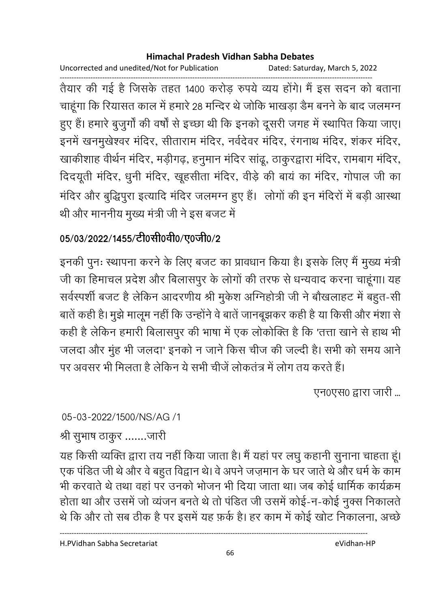Uncorrected and unedited/Not for Publication Dated: Saturday, March 5, 2022

------------------------------------------------------------------------------------------------------------------------------------ तैयार की गई है जिसके तहत 1400 करोड़ रुपये व्यय होंगे। मैं इस सदन को बताना चाहूंगा कि रियासत काल में हमारे 28 मन्दिर थे जोकि भाखड़ा डैम बनने के बाद जलमग्न हुए हैं। हमारे बुजुर्गों की वर्षों से इच्छा थी कि इनको दूसरी जगह में स्थापित किया जाए। इनमें खनमुखेश्वर मंदिर, सीताराम मंदिर, नर्वदेवर मंदिर, रंगनाथ मंदिर, शंकर मंदिर, खाकीशाह वीर्थन मंदिर, मड़ीगढ़, हनुमान मंदिर सांढू, ठाकुरद्वारा मंदिर, रामबाग मंदिर, दिदयूती मंदिर, धुनी मंदिर, खूहसीता मंदिर, वीड़े की बायं का मंदिर, गोपाल जी का मंदिर और बुद्धिपूरा इत्यादि मंदिर जलमग्न हुए हैं। लोगों की इन मंदिरों में बड़ी आस्था थी और माननीय मुख्य मंत्री जी ने इस बजट में

# 05/03/2022/1455/टी0सी0वी0/ए0जी0/2

इनकी पुनः स्थापना करने के लिए बजट का प्रावधान किया है। इसके लिए मैं मुख्य मंत्री जी का हिमाचल प्रदेश और बिलासपुर के लोगों की तरफ से धन्यवाद करना चाहूंगा। यह सर्वस्पर्शी बजट है लेकिन आदरणीय श्री मुकेश ओग्नेहोत्री जी ने बौखलाहट में बहुत-सी बातें कही है। मुझे मालूम नहीं कि उन्होंने वे बातें जानबूझकर कही है या किसी और मंशा से कही है लेकिन हमारी बिलासपुर की भाषा में एक लोकोक्ति है कि 'तत्ता खाने से हाथ भी जलदा और मुंह भी जलदा' इनको न जाने किस चीज की जल्दी है। सभी को समय आने पर अवसर भी मिलता है लेकिन ये सभी चीजे लोकतंत्र में लोग तय करते हैं।

एन0एस0 द्वारा जारी ...

05-03-2022/1500/NS/AG /1

श्री सुभाष ठाकुर .......जारी

यह किसी व्यक्ति द्वारा तय नहीं किया जाता है। मैं यहां पर लघु कहानी सुनाना चाहता हूं। एक पंडित जी थे और वे बहुत विद्वान थे। वे अपने जज़मान के घर जाते थे और धर्म के काम भी करवाते थे तथा वहां पर उनको भोजन भी दिया जाता था। जब कोई धार्मिक कार्यक्रम होता था और उसमें जो व्यंजन बनते थे तो पंडित जी उसमें कोई-न-कोई नुक्स निकालते थे कि और तो सब ठीक है पर इसमें यह फ़र्क है। हर काम में कोई खोट निकालना, अच्छे

H.PVidhan Sabha Secretariat eVidhan-HP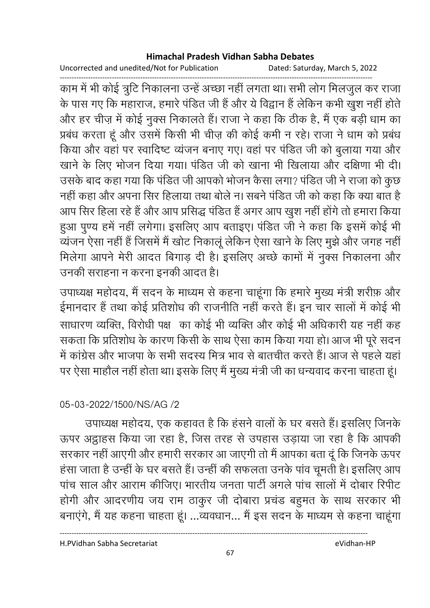Uncorrected and unedited/Not for Publication Dated: Saturday, March 5, 2022

------------------------------------------------------------------------------------------------------------------------------------ काम में भी कोई त्रुटि निकालना उन्हें अच्छा नहीं लगता था। सभी लोग मिलजुल कर राजा के पास गए कि महाराज, हमारे पंडित जी हैं और ये विद्वान हैं लेकिन कभी खुश नहीं होते और हर चीज़ में कोई नुक्स निकालते हैं। राजा ने कहा कि ठीक है, मैं एक बड़ी धाम का प्रबंध करता हूं और उसमें किसी भी चीज़ की कोई कमी न रहे। राजा ने धाम को प्रबंध किया और वहां पर स्वादिष्ट व्यंजन बनाए गए। वहां पर पंडित जी को बुलाया गया और खाने के लिए भोजन दिया गया। पंडित जी को खाना भी खिलाया और दक्षिणा भी दी। उसके बाद कहा गया कि पंडित जी आपको भोजन कैसा लगा? पंडित जी ने राजा को कुछ नहीं कहा और अपना सिर हिलाया तथा बोले न। सबने पंडित जी को कहा कि क्या बात है आप सिर हिला रहे हैं और आप प्रसिद्ध पंडित है अगर आप खुश नहीं होंगे तो हमारा किया हुआ पुण्य हमें नहीं लगेगा। इसलिए आप बताइए। पंडित जी ने कहा कि इसमें कोई भी व्यंजन ऐसा नहीं हैं जिसमें मैं खोट निकालूं लेकिन ऐसा खाने के लिए मूझे और जगह नहीं मिलेगा आपने मेरी आदत बिगाड़ दी है। इसलिए अच्छे कामों में नुक्स निकालना और उनकी सराहना न करना इनकी आदत है।

उपाध्यक्ष महोदय, मैं सदन के माध्यम से कहना चाहूंगा कि हमारे मुख्य मंत्री शरीफ़ और ईमानदार हैं तथा कोई प्रतिशोध की राजनीति नहीं करते हैं। इन चार सालों में कोई भी साधारण व्यक्ति, विरोधी पक्ष का कोई भी व्यक्ति और कोई भी अधिकारी यह नहीं कह सकता कि प्रतिशोध के कारण किसी के साथ ऐसा काम किया गया हो। आज भी पूरे सदन में कांग्रेस और भाजपा के सभी सदस्य मित्र भाव से बातचीत करते हैं। आज से पहले यहां पर ऐसा माहौल नहीं होता था। इसके लिए मैं मुख्य मंत्री जी का धन्यवाद करना चाहता हूं।

## 05-03-2022/1500/NS/AG /2

उपाध्यक्ष महोदय, एक कहावत है कि हंसने वालों के घर बसते हैं। इसलिए जिनके ऊपर अट्ठाहंस किया जा रहा है, जिस तरह से उपहास उड़ाया जा रहा है कि आपकी सरकार नहीं आएगी और हमारी सरकार आ जाएगी तो मैं आपका बता दूं कि जिनके ऊपर हंसा जाता है उन्हीं के घर बसते हैं। उन्हीं की सफलता उनके पांव चूमती है। इसलिए आप पांच साल और आराम कीजिए। भारतीय जनता पार्टी अंगले पांच सालों में दोबार रिपीट होगी और आदरणीय जय राम ठाकुर जी दोबारा प्रचंड बहुमत के साथ सरकार भी बनाएंगे, मैं यह कहना चाहता हूं। ...व्यवधान... मैं इस सदन के माध्यम से कहना चाहूंगा

H.PVidhan Sabha Secretariat eVidhan-HP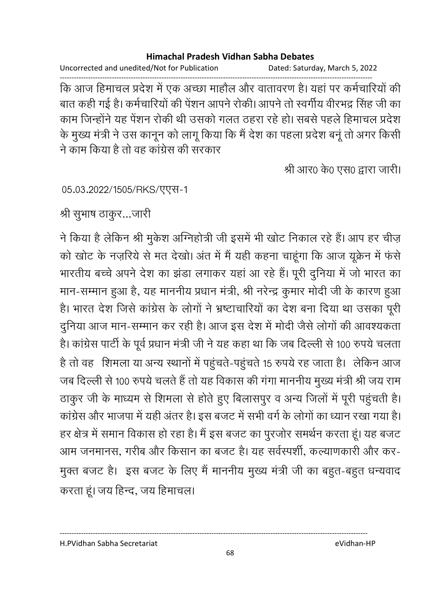Uncorrected and unedited/Not for Publication Dated: Saturday, March 5, 2022 ------------------------------------------------------------------------------------------------------------------------------------

कि आज हिमाचल प्रदेश में एक अच्छा माहौल और वातावरण है। यहां पर कर्मचारियों की बात कही गई है। कर्मचारियों की पेंशन आपने रोकी। आपने तो स्वर्गीय वीरभद्र सिंह जी का काम जिन्होंने यह पेंशन रोकी थी उसको गलत ठहरा रहे हो। सबसे पहले हिमाचल प्रदेश के मुख्य मंत्री ने उस कानून को लागू किया कि मैं देश का पहला प्रदेश बनू तो अगर किसी ने काम किया है तो वह कांग्रेस की सरकार

श्री आर0 के0 एस0 द्वारा जारी।

05.03.2022/1505/RKS/एएस-1

श्री सुभाष ठाकुर…जारी

ने किया है लेकिन श्री मुकेश ओग्नेहोत्री जी इसमें भी खोट निकाल रहे हैं। आप हर चीज़ को खोट के नज़रिये से मत देखो। अंत में मैं यही कहना चाहूंगा कि आज यूक्रेन में फर्स भारतीय बच्चे अपने देश का झंडा लगाकर यहां आ रहे हैं। पूरी दुनिया में जो भारत का मान-सम्मान हुआ है, यह माननीय प्रधान मंत्री, श्री नरेन्द्र कुमार मोदी जी के कारण हुआ है। भारत देश जिसे कांग्रेस के लोगों ने भ्रष्टाचारियों का देश बना दिया था उसका पूरी दुनिया आज मान-सम्मान कर रही है। आज इस देश में मोदी जैसे लोगों की आवश्यकता है। कांग्रेस पार्टी के पूर्व प्रधान मंत्री जी ने यह कहा था कि जब दिल्ली से 100 रुपये चलता है तो वह शिमला या अन्य स्थानों में पहुचते-पहुचते 15 रुपये रह जाता है। लेकिन आज जब दिल्ली से 100 रुपये चलते हैं तो यह विकास की गंगा माननीय मुख्य मंत्री श्री जय राम ठाकुर जी के माध्यम से शिमला से होते हुए बिलासपुर व अन्य जिलों में पूरी पहुंचती हैं। कांग्रेस और भाजपा में यही अंतर है। इस बजट में सभी वर्ग के लोगों का ध्यान रखा गया है। हर क्षेत्र में समान विकास हो रहा है। मैं इस बजट का पुरजोर समर्थन करता हूं। यह बजट आम जनमानस, गरीब और किसान का बजट है। यह सर्वस्पर्शी, कल्याणकारी और कर-मुक्त बजट है। इस बजट के लिए मैं माननीय मुख्य मंत्री जी का बहुत-बहुत धन्यवाद करता हूं। जय हिन्द, जय हिमाचल।

H.PVidhan Sabha Secretariat eVidhan-HP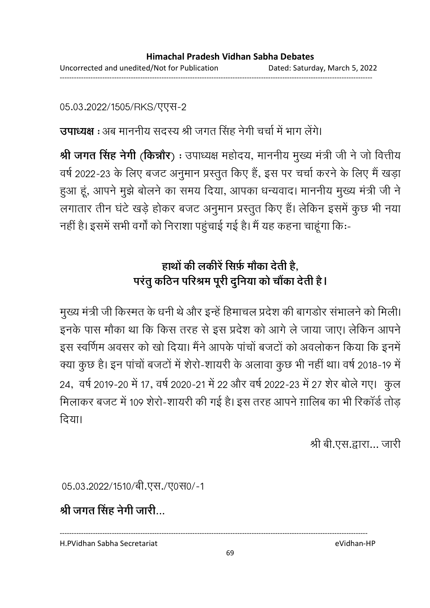05.03.2022/1505/RKS/एएस-2

**उपाध्यक्ष** : अब माननीय सदस्य श्री जगत सिंह नेगी चर्चा में भाग लेगे।

**श्री जगत सिंह नेगी (किन्नौर) :** उपाध्यक्ष महोदय, माननीय मुख्य मंत्री जी ने जो वित्तीय वर्ष 2022-23 के लिए बजट अनुमान प्रस्तुत किए हैं, इस पर चर्चा करने के लिए मैं खड़ा हुआ हूं, आपने मुझे बोलने का समय दिया, आपका धन्यवाद। माननीय मुख्य मंत्री जी ने लगातार तीन घंटे खड़े होकर बजट अनुमान प्रस्तुत किए हैं। लेकिन इसमें कुछ भी नया नहीं है। इसमें सभी वर्गों को निराशा पहुंचाई गई है। मैं यह कहना चाहूंगा कि:-

# हाथों की लकीरें सिर्फ़ मौका देती हैं, परंतु कठिन परिश्रम पूरी दुनिया को चौंका देती है।

मुख्य मंत्री जी किस्मत के धनी थे और इन्हें हिमाचल प्रदेश की बागडोर संभालने को मिली। इनके पास मौका था कि किस तरह से इस प्रदेश को आगे ले जाया जाए। लेकिन आपने इस स्वर्णिम अवसर को खो दिया। मैंने आपके पाचों बजटों को अवलोकन किया कि इनमें क्या कुछ है। इन पांचों बजटों में शेरों-शायरी के अलावा कुछ भी नहीं था। वर्ष 2018-19 में 24, वर्ष 2019-20 में 17, वर्ष 2020-21 में 22 और वर्ष 2022-23 में 27 शेर बोले गए। कुल मिलाकर बजट में 109 शेरो-शायरी की गई है। इस तरह आपने ग़ालिब का भी रिकॉर्ड तोड दिया।

श्री बी.एस.द्वारा... जारी

05.03.2022/1510/बी.एस./ए0स0/-1

श्री जगत सिंह नेगी जारी...

H.PVidhan Sabha Secretariat eVidhan-HP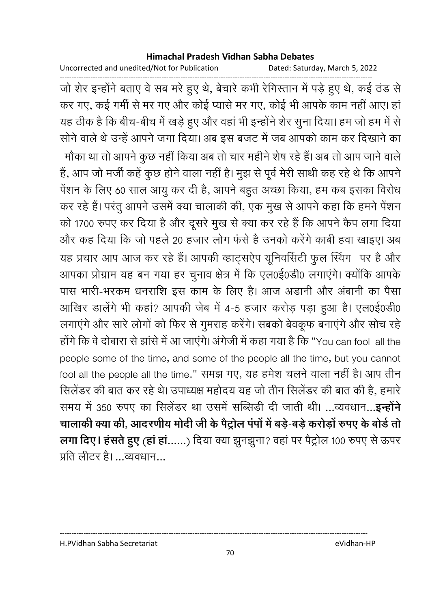Uncorrected and unedited/Not for Publication Dated: Saturday, March 5, 2022

------------------------------------------------------------------------------------------------------------------------------------ जो शेर इन्होंने बताए वे सब मरे हुए थे, बेचारे कभी रेगिस्तान में पड़े हुए थे, कई ठंड से कर गए, कई गर्मी से मर गए और कोई प्यासे मर गए, कोई भी आपके काम नहीं आए। हां यह ठीक है कि बीच-बीच में खड़े हुए और वहां भी इन्होंने शेर सुना दिया। हम जो हम में से सनि वाले थे उन्हें आपने जगा दिया। अब इस बजट में जब आपको काम कर दिखाने का मोंका था तो आपने कुछ नहीं किया अब तो चार महीने शेष रहे हैं। अब तो आप जाने वालें हैं, आप जो मर्जी कहें कुछ होने वाला नहीं है। मुझ से पूर्व मेरी साथी कह रहे थे कि आपने पेशन के लिए 60 साल आयु कर दी है, आपने बहुत अच्छा किया, हम कब इसका विरोध कर रहे हैं। परंतु आपने उसमें क्या चालाकी की, एक मुख से आपने कहा कि हमने पेंशन को 1700 रुपए कर दिया है और दूसरे मुख से क्या कर रहे हैं कि आपने कैप लगा दिया और कह दिया कि जो पहले 20 हजार लोग फर्स है उनको करेंगे कार्बी हवा खाइए। अब यह प्रचार आप आज कर रहे हैं। आपकी व्हाट्सऐप यूनिवर्सिटी फुल स्विंग पर है और आपका प्रोग्राम यह बन गया हर चुनाव क्षेत्र में कि एल0ई0डी0 लगाएंगे। क्योंकि आपके पास भारी-भरकम धनराशि इस काम के लिए हैं। आज अंडानी और अबानी का पैसा आखिर डालेंगे भी कहां? आपकी जेब में 4-5 हजार करोड़ पड़ा हुआ है। एल0ई0डी0 लगाएंगे और सारे लोगों को फिर से गुमराह करेंगे। सबको बेवकूफ बनाएंगे और सोच रहे होंगे कि वे दोबारा से झासे में आ जाएंगे। अंगेजी में कहा गया है कि "You can fool all the people some of the time, and some of the people all the time, but you cannot fool all the people all the time." समझ गए, यह हमेश चलने वाला नहीं है। आप तीन सिलेंडर की बात कर रहे थे। उपाध्यक्ष महोदय यह जो तीन सिलेंडर की बात की है, हमारे समय में 350 रुपए का सिलेंडर था उसमें सब्सिडी दी जाती थी। ...व्यवधान...**इन्होने** चालाकी क्या की, आदरणीय मोदी जी के पैट्रोल पर्पा में बड़े-बड़े करोड़ों रुपए के बोर्ड तो **लगा दिए। हसते हुए (हा हा......)** दिया क्या झुनझुना? वहा पर पैट्रोल 100 रुपए से ऊपर प्रति लीटर है। ...व्यवधान...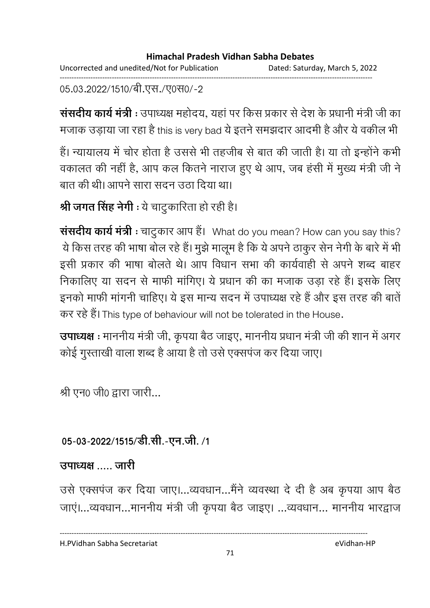#### **Himachal Pradesh Vidhan Sabha Debates**  Uncorrected and unedited/Not for Publication Dated: Saturday, March 5, 2022 ------------------------------------------------------------------------------------------------------------------------------------

05.03.2022/1510/बी.एस./ए0स0/-2

**संसदीय कार्य मंत्री** : उपाध्यक्ष महोदय, यहां पर किस प्रकार से देश के प्रधानी मंत्री जी का मजाक उड़ाया जा रहा है this is very bad ये इतने समझदार आदमी है और ये वकील भी

हैं। न्यायालय में चोर होता है उससे भी तहजीब से बात की जाती है। या तो इन्होंने कभी वकालत की नहीं है, आप कल कितने नाराज हुए थे आप, जब हंसी में मुख्य मंत्री जी ने बात की थी। आपने सारा सदन उठा दिया था।

**श्री जगत सिंह नेगी :** ये चांटुकारिता हो रही है।

**संसदीय कार्य मंत्री :** चाटुकार आप हैं। What do you mean? How can you say this? . ये किस तरह की भाषा बोल रहे हैं। मुझे मालूम है कि ये अपने ठाकुर सेन नेगी के बारे में भी इसी प्रकार की भाषा बोलते थे। आप विधान सभा की कार्यवाही से अपने शब्द बाहर निकालिए या सदन से माफी मांगिए। ये प्रधान की का मजाक उड़ा रहे हैं। इसके लिए इनको माफी मांगनी चाहिए। ये इस मान्य सदन में उपाध्यक्ष रहे हैं और इस तरह की बातें कर रहे हैं। This type of behaviour will not be tolerated in the House.

**उपाध्यक्ष** : माननीय मंत्री जी, कृपया बैठ जाइए, माननीय प्रधान मंत्री जी की शान में अगर कोई गुस्ताखी वाला शब्द है आया है तो उसे एक्सपंज कर दिया जाए।

श्री एन0 जी0 द्वारा जारी...

# 05-03-2022/1515/डी.सी.-एन.जी. /1

## *<u>REERES</u>*

उसे एक्सपंज कर दिया जाए।…व्यवधान…मैंने व्यवस्था दें दी है अब कृपया आप बैठ जाएं।...व्यवधान...माननीय मंत्री जी कृपया बैठ जाइए। ...व्यवधान... माननीय भारद्वाज

H.PVidhan Sabha Secretariat eVidhan-HP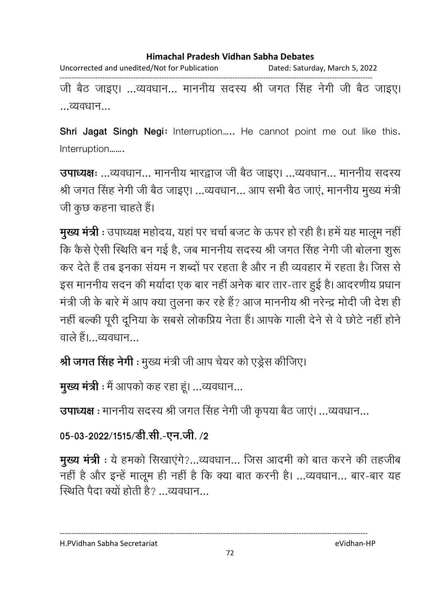Uncorrected and unedited/Not for Publication Dated: Saturday, March 5, 2022 ------------------------------------------------------------------------------------------------------------------------------------ जी बैठ जाइए। ...व्यवधान... माननीय सदस्य श्री जगत सिंह नेगी जी बैठ जाइए। ...व्यवधान...

**Shri Jagat Singh Negi:** Interruption….. He cannot point me out like this.

Interruption…….

**उपाध्यक्षः** ...व्यवधान... माननीय भारद्वाज जी बैठ जाइए। ...व्यवधान... माननीय सदस्य श्री जगत सिंह नेगी जी बैठ जाइए। ...व्यवधान... आप सभी बैठ जाएं, माननीय मुख्य मंत्री जी कुछ कहना चाहते हैं।

**मुख्य मंत्री** : उपाध्यक्ष महोदय, यहां पर चर्चा बजट के ऊपर हो रही है। हमें यह मालूम नहीं कि कैसे ऐसी स्थिति बन गई है, जब माननीय सदस्य श्री जगत सिंह नेगी जी बोलना शुरू कर देते हैं तब इनका संयम न शब्दों पर रहता है और न ही व्यवहार में रहता है। जिस से इस माननीय सदन की मयोदा एक बार नहीं अनेक बार तार-तार हुई है। आदरणीय प्रधान मंत्री जी के बारे में आप क्या तुलना कर रहे हैं? आज माननीय श्री नरेन्द्र मोदी जी देश ही नहीं बल्की पूरी दूनिया के सबसे लोकप्रिय नेता हैं। आपके गाली देने से वे छोटे नहीं होने वाले हैं।...व्यवधान $\ldots$ 

**श्री जगत सिंह नेगी** : मुख्य मंत्री जी आप चेयर को एंड्रेंस कीजिए।

मुख्य मंत्री : मैं आपको कह रहा हूं। ...व्यवधान...

उपाध्यक्ष : माननीय सदस्य श्री जगत सिंह नेगी जी कृपया बैठ जाएं। ...व्यवधान...

05-03-2022/1515/डी.सी.-एन.जी. /2

**मुख्य मंत्री** : ये हमको सिखाएंगे?...व्यवधान... जिस आदमी को बात करने की तहजीब नहीं है और इन्हें मालूम ही नहीं है कि क्या बात करनी है। ...व्यवधान... बार-बार यह <u>स्थिति पैदा क्यों होती है? त्यवधान प्र</u>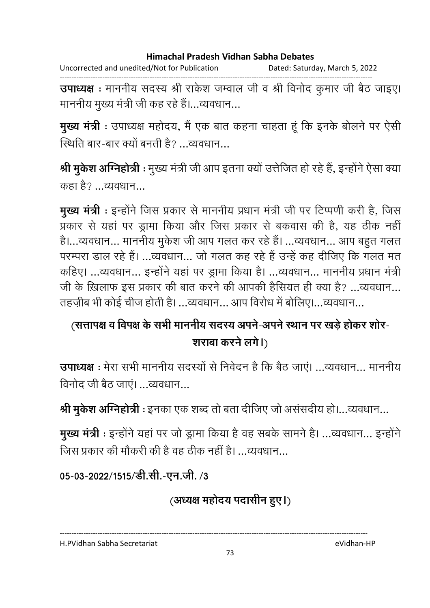Uncorrected and unedited/Not for Publication Dated: Saturday, March 5, 2022

------------------------------------------------------------------------------------------------------------------------------------ **उपाध्यक्ष** : माननीय सदस्य श्री राकेश जम्वाल जी व श्री विनोद कुमार जी बैठ जाइए। माननीय मुख्य मंत्री जी कह रहे हैं।...व्यवधान...

**मुख्य मंत्री** : उपाध्यक्ष महोदय, मैं एक बात कहना चाहता हूं कि इनके बोलने पर ऐसी स्थिति बार-बार क्यों बनती है $2 \overline{a}$  व्यवधान

**श्री मुर्कश अग्निहोत्री** : मुख्य मंत्री जी आप इतना क्यो उत्तीजत हो रहे हैं, इन्होंने ऐसा क्या कहा है? ...व्यवधान...

मुख्य मंत्री : इन्होंने जिस प्रकार से माननीय प्रधान मंत्री जी पर टिप्पणी करी है, जिस प्रकार से यहां पर ड्रामा किया और जिस प्रकार से बकवास की है, यह ठीक नहीं है।...व्यवधान... माननीय मुकेश जी आप गलत कर रहे हैं। ...व्यवधान... आप बहुत गलत परम्परा डाल रहे हैं। ...व्यवधान... जो गलत कह रहे हैं उन्हें कह दीजिए कि गलत मत कहिए। ...व्यवधान... इन्होंने यहां पर ड्रामा किया है। ...व्यवधान... माननीय प्रधान मंत्री जी के ख़िलाफ इस प्रकार की बात करने की आपकी हैसियत ही क्या है? ...व्यवधान... तहज़ीब भी कोई चीज होती है। ...व्यवधान... आप विरोध में बोलिए।...व्यवधान...

# (सत्तापक्ष व विपक्ष के सभी माननीय सदस्य अपने-अपने स्थान पर खड़े होकर शोर-शराबा करने लगे।)

**उपाध्यक्ष** : मेरा सभी माननीय सदस्यों से निवेदन है कि बैठ जाएं। ...व्यवधान... माननीय विनोद जी बेठ जाएं। ...व्यवधान...

**श्री मुर्कश अग्निहोत्री** : इनका एक शब्द तो बता दीजिए जो अससदीय हो।…व्यवधान…

**मुख्य मंत्री** : इन्होंने यहां पर जो ड्रामा किया है वह सबके सामने है। ...व्यवधान... इन्होंने जिस प्रकार की मौकरी की है वह तीक नहीं है। ...व्यवधान...

05-03-2022/1515/डी.सी.-एन.जी. /3

(अध्यक्ष महोदय पदासीन हुए।)

H.PVidhan Sabha Secretariat eVidhan-HP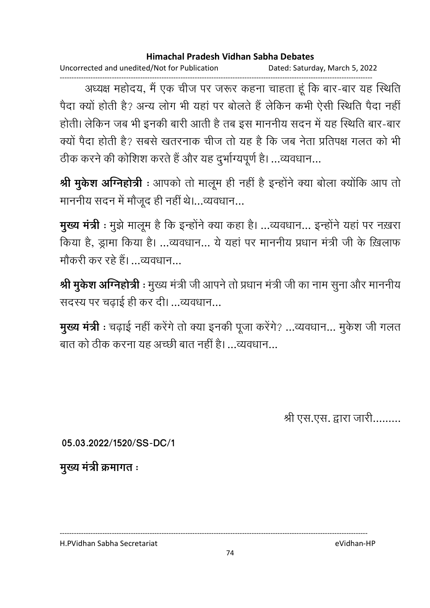Uncorrected and unedited/Not for Publication Dated: Saturday, March 5, 2022

------------------------------------------------------------------------------------------------------------------------------------ अध्यक्ष महोदय, मैं एक चीज पर जरूर कहना चाहता हूं कि बार-बार यह स्थिति पैदा क्यो होती है? अन्य लोग भी यहां पर बोलते हैं लेकिन कभी ऐसी स्थिति पैदा नहीं होती। लेकिन जब भी इनकी बारी आती है तब इस माननीय सदन में यह स्थिति बार-बार क्यों पैदा होती है? सबसे खतरनाक चीज तो यह है कि जब नेता प्रतिपक्ष गलत को भी ठीक करने की कोशिश करते हैं और यह दुर्भाग्यपूर्ण है। ...व्यवधान...

**श्री मुकेश अग्निहोत्री** : आपको तो मालूम ही नहीं है इन्होंने क्या बोला क्योंकि आप तो माननीय सदन में मौजूद ही नहीं थे।...व्यवधान...

**मुख्य मंत्री** : मुझे मालूम है कि इन्होंने क्या कहा है। ...व्यवधान... इन्होंने यहां पर नख़रा किया है, ड्रामा किया है। ...व्यवधान... ये यहां पर माननीय प्रधान मंत्री जी के ख़िलाफ गौकरी कर रहे हैं। ...व्यवधान...

**श्री मुकेश अग्निहोत्री** : मुख्य मंत्री जी आपने तो प्रधान मंत्री जी का नाम सुना और माननीय सदस्य पर चढ़ाई ही कर दी। ...व्यवधान...

**मुख्य मंत्री** : चढ़ाई नहीं करेंगे तो क्या इनकी पूजा करेंगे? ...व्यवधान... मुकेश जी गलत बात को ठीक करना यह अच्छी बात नहीं है। …व्यवधान…

श्री एस.एस. द्वारा जारी.........

**05.03.2022/1520/SS-DC/1**

**मुख्य मंत्री क्रमागत**:

H.PVidhan Sabha Secretariat eVidhan-HP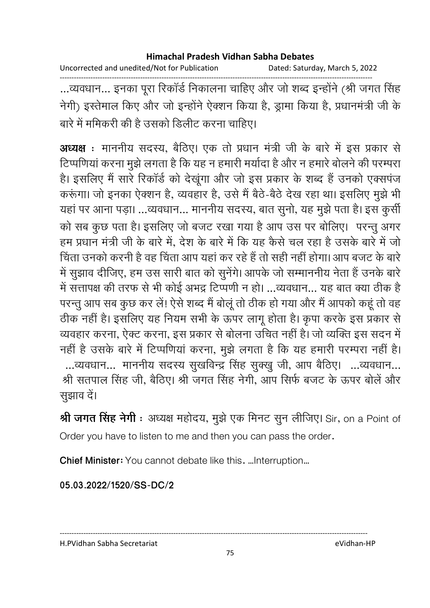Uncorrected and unedited/Not for Publication Dated: Saturday, March 5, 2022

------------------------------------------------------------------------------------------------------------------------------------ ...व्यवधान... इनका पूरा रिकार्ड निकालना चाहिए और जो शब्द इन्होंने (श्री जगत सिंह नेगी) इस्तेमाल किए और जो इन्होंने ऐक्शन किया है, ड्रामा किया है, प्रधानमंत्री जी के .<br>बारे में ममिकरी की है उसको डिलीट करना चाहिए।

**अध्यक्ष** : माननीय सदस्य, बैठिए। एक तो प्रधान मंत्री जी के बारे में इस प्रकार से टिप्पणियां करना मुझे लगता है कि यह न हमारी मर्यादा है और न हमारे बोलने की परम्परा है। इसलिए मैं सारे रिकॉर्ड को देखूंगा और जो इस प्रकार के शब्द हैं उनको एक्सपंज करूंगा। जो इनका ऐक्शन है, व्यवहार है, उसे मैं बैठे-बैठे देख रहा था। इसलिए मुझे भी यहां पर आना पड़ा। ...व्यवधान... माननीय सदस्य, बात सुनो, यह मुझे पता है। इस कुर्सी को सब कुछ पता है। इसलिए जो बजट रखा गया है आप उस पर बोलिए। परन्तु अगर हम प्रधान मंत्री जी के बारे में. देश के बारे में कि यह कैसे चल रहा है उसके बारे में जो चिंता उनको करनी है वह चिंता आप यहां कर रहे हैं तो सही नहीं होगा। आप बजट के बारे में सूझाव दीजिए, हम उस सारी बात को सूनेंगे। आपके जो सम्माननीय नेता हैं उनके बारे में सत्तापक्ष की तरफ से भी कोई अभद्र टिप्पणी न हो। …व्यवधान… यह बात क्या ठीक है परन्तु आप सब कुछ कर लें! ऐसे शब्द मैं बोलूं तो ठीक हो गया और मैं आपको कहूं तो वह ठीक नहीं है। इसलिए यह नियम सभी के ऊपर लागू होता है। कृपा करके इस प्रकार से व्यवहार करना, ऐक्ट करना, इस प्रकार से बोलना उचित नहीं है। जो व्यक्ति इस सदन में नहीं है उसके बारे में टिप्पणियां करना, मुझे लगता है कि यह हमारी परम्परा नहीं है। ...व्यवधान... माननीय सदस्य सुखविन्द्र सिंह सुक्खु जी, आप बैठिए। ...व्यवधान... श्री सतपाल सिंह जी, बैठिए। श्री जगत सिंह नेगी, आप सिर्फ बजट के ऊपर बोलें और सुझाव दें।

**श्री जगत सिंह नेगी** : अध्यक्ष महोदय, मुझे एक मिनट सुन लीजिए। Sir, on a Point of Order you have to listen to me and then you can pass the order.

**Chief Minister:** You cannot debate like this. …Interruption…

**05.03.2022/1520/SS-DC/2**

H.PVidhan Sabha Secretariat eVidhan-HP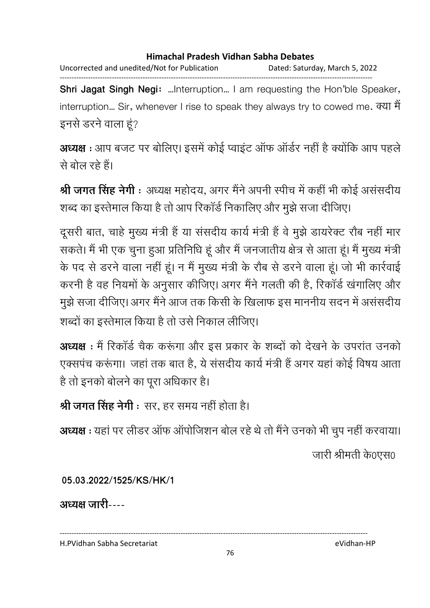Uncorrected and unedited/Not for Publication Dated: Saturday, March 5, 2022 ------------------------------------------------------------------------------------------------------------------------------------

**Shri Jagat Singh Negi:** …Interruption… I am requesting the Hon'ble Speaker, interruption... Sir, whenever I rise to speak they always try to cowed me. क्या मैं इनसे डरने वाला हूं?

अध्यक्ष : आप बजट पर बोलिए। इसमें कोई प्वाइंट ऑफ ऑर्डर नहीं है क्योंकि आप पहले से बोल रहे हैं।

**श्री जगत सिंह नेगी** : अध्यक्ष महोदय, अगर मैंने अपनी स्पीच में कहीं भी कोई असंसदीय शब्द का इस्तेमाल किया है तो आप रिकॉर्ड निकालिए और मुझे सजा दीजिए।

दूसरी बात, चाहे मुख्य मंत्री हैं या संसदीय कार्य मंत्री हैं वे मुझे डायरेक्ट रौब नहीं मार सकते। मैं भी एक चुना हुआ प्रतिनिधि हूं और मैं जनजातीय क्षेत्र से आता हूं। मैं मुख्य मंत्री के पद से डरने वाला नहीं हूं। न मैं मुख्य मंत्री के रौब से डरने वाला हूं। जो भी कार्रवाई करनी है वह नियमों के अनुसार कीजिए। अगर मैंने गलती की है, रिकार्ड खगालिए और मुझे सजा दीजिए। अगर मैंने आज तक किसी के खिलाफ इस माननीय सदन में असंसदीय शब्दों का इस्तेमाल किया है तो उसे निकाल लीजिए।

अध्यक्ष : मैं रिकॉर्ड चैक करूंगा और इस प्रकार के शब्दों को देखने के उपरांत उनको एक्सपंच करूंगा। जहाँ तक बात हैं, ये संसदीय कार्य मंत्री है अगर यहाँ कोई विषय आता है तो इनको बोलने का पूरा अधिकार है।

**श्री जगत सिंह नेगी** ः सर, हर समय नहीं होता है।

अध्यक्ष : यहां पर लीडर ऑफ ऑपोजिशन बोल रहे थे तो मैंने उनको भी चुप नहीं करवाया।

.जारी श्रीमती के0एस0

**05.03.2022/1525/KS/HK/1**

अध्यक्ष जारी----

H.PVidhan Sabha Secretariat eVidhan-HP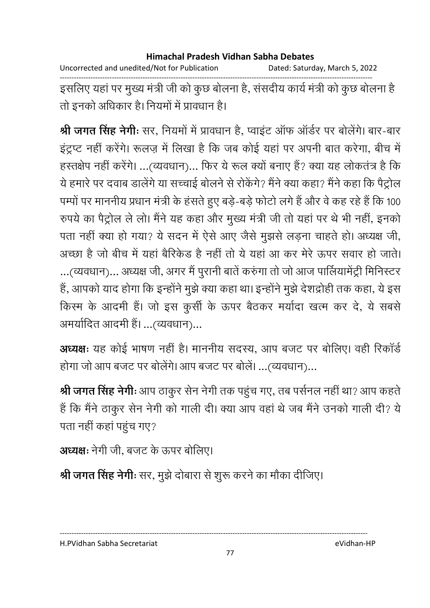Uncorrected and unedited/Not for Publication Dated: Saturday, March 5, 2022

------------------------------------------------------------------------------------------------------------------------------------ इसलिए यहां पर मुख्य मंत्री जी को कुछ बोलना है, संसदीय कार्य मंत्री को कुछ बोलना है। तो इनको अधिकार है। नियमों में प्रावधान हैं।

**श्री जगत सिंह नेगीः** सर, नियमों में प्रावधान है, प्वाइट आफ आर्डर पर बोलेंगे। बार-बार इंट्रप्ट नहीं करेंगे। रूलज़ में लिखा है कि जब कोई यहां पर अपनी बात करेंगा, बीच में हस्तक्षेप नहीं करेंगे। ...(व्यवधान)... फिर ये रूल क्यों बनाए हैं? क्या यह लोकतंत्र है कि ये हमारे पर दवाब डालेंगे या सच्चाई बोलने से रोकेंगे? मैंने क्या कहा? मैंने कहा कि पैट्रोल पम्पों पर माननीय प्रधान मंत्री के हंसते हुए बड़े-बड़े फोटो लगे हैं और वे कह रहे हैं कि 100 रुपये का पैट्रोल ले लो। मैंने यह कहा और मुख्य मंत्री जी तो यहां पर थे भी नहीं, इनको पता नहीं क्या हो गया? ये सदन में ऐसे आए जैसे मुझसे लड़ना चाहते हो। अध्यक्ष जी, अच्छा है जो बीच में यहां बैरिकेंड है नहीं तो ये यहां आ कर मेरे ऊपर सवार हो जाते। ...(व्यवधान)... अध्यक्ष जी, अगर मैं पुरानी बातें करुंगा तो जो आज पालियामेंट्री मिनिस्टर हैं, आपको याद होगा कि इन्होंने मुझे क्या कहा था। इन्होंने मूझे देशद्रोही तक कहा, ये इस किस्म के आदमी हैं। जो इस कुर्सी के ऊपर बैठकर मर्यादा खत्म कर दे, ये सबसे अमयोदित आदमी है। ...(व्यवधान)...

अध्यक्षः यह कोई भाषण नहीं है। माननीय सदस्य, आप बजट पर बोलिए। वही रिकॉर्ड होगा जो आप बजट पर बोलेंगे। आप बजट पर बोलें। ...(व्यवधान)...

**श्री जगत सिंह नेगीः** आप ठाकुर सेन नेगी तक पहुच गए, तब पर्सनल नहीं था? आप कहते | हैं कि मैंने ठाकुर सेन नेगी को गाली दी। क्या आप वहां थे जब मैंने उनको गाली दी? ये पता नहीं कहां पहुंच गए?

```
अध्यक्षः नेगी जी, बजट के ऊपर बोलिए।
```
**श्री जगत सिंह नेगीः** सर, मुझे दोबारा से शुरू करने का मौका दीजिए।

#### H.PVidhan Sabha Secretariat eVidhan-HP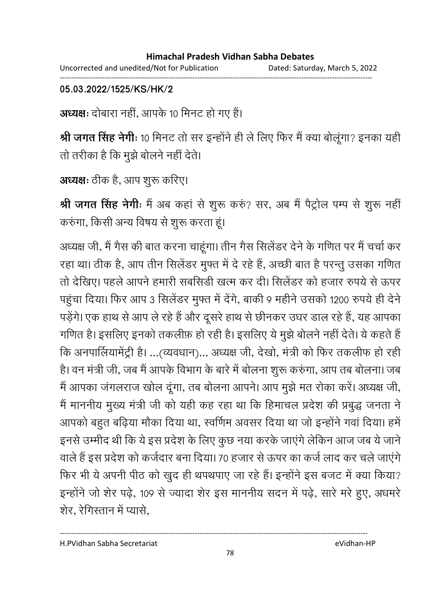#### **Himachal Pradesh Vidhan Sabha Debates**  Uncorrected and unedited/Not for Publication Dated: Saturday, March 5, 2022

------------------------------------------------------------------------------------------------------------------------------------

#### **05.03.2022/1525/KS/HK/2**

अध्यक्षः दोबारा नहीं, आपके 10 मिनट हो गए हैं।

**श्री जगत सिंह नेगीः** 10 मिनट तो सर इन्होंने ही ले लिए फिर मैं क्या बोलूगा? इनका यहीं | तो तरीका है कि मूझे बोलने नहीं देते।

अध्यक्षः ठीक है, आप शुरू करिए।

**श्री जगत सिंह नेगीः** मैं अब कहा से शुरू करु? सर, अब मैं पैट्रोल पम्प से शुरू नहीं करुंगा, किसी अन्य विषय से शुरू करता हूं।

अध्यक्ष जी, मैं गैस की बात करना चाहूंगा। तीन गैस सिलेंडर देने के गणित पर मैं चर्चा कर रहा था। ठीक है, आप तीन सिलेंडर मुफ्त में दे रहे हैं, अच्छी बात है परन्तु उसका गणित तो देखिए। पहले आपने हमारी सबसिडी खत्म कर दी। सिलेंडर को हजार रुपये से ऊपर पहुंचा दिया। फिर आप 3 सिलेंडर मुफ्त में देंगे, बाकी 9 महीने उसको 1200 रुपये ही देने पड़ेंगे। एक हाथ से आप ले रहे हैं और दूसरे हाथ से छीनकर उधर डाल रहे हैं, यह आपका गणित है। इसलिए इनको तकलीफ़ हो रही है। इसलिए ये मुझे बोलने नहीं देते। ये कहते हैं कि अनपालियामेट्री है। …(व्यवधान)… अध्यक्ष जी, देखो, मंत्री को फिर तकलीफ हो रही। है। वन मंत्री जी, जब मैं आपके विभाग के बारे में बोलना शुरू करुंगा, आप तब बोलना। जब मैं आपका जगलराज खोल दूँगा, तब बोलना आपने। आप मुझे मत रोका करें। अध्यक्ष जी, मैं माननीय मुख्य मंत्री जी को यही कह रहा था कि हिमाचल प्रदेश की प्रबुद्ध जनता ने आपको बहुत बढ़िया मौका दिया था, स्वर्णिम अवसर दिया था जो इन्होंने गवा दिया। हमें इनसे उम्मीद थी कि ये इस प्रदेश के लिए कुछ नया करके जाएंगे लेकिन आज जब ये जाने वाले हैं इस प्रदेश को कर्जदार बना दिया। 70 हजार से ऊपर का कर्ज लाद कर चले जाएंगे फिर भी ये अपनी पीठ को खुद ही थपथपाए जा रहे हैं। इन्होंने इस बजट में क्या किया? इन्होंने जो शेर पढ़े, 109 से ज्यादा शेर इस माननीय सदन में पढ़े, सारे मरे हुए, अधमरे शेर. रेगिस्तान में प्यासे,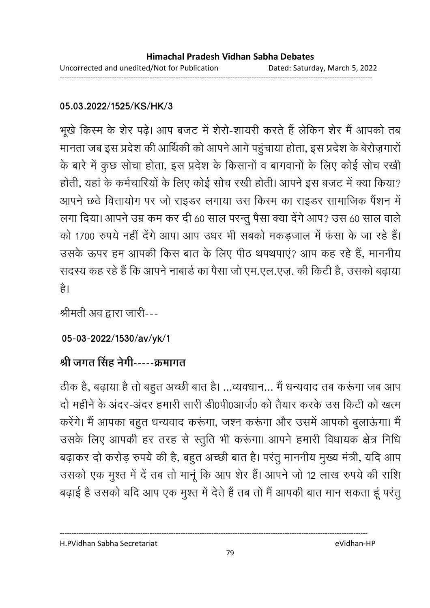### **05.03.2022/1525/KS/HK/3**

भूखे किस्म के शेर पढ़े। आप बजट में शेरो-शायरी करते हैं लेकिन शेर मैं आपको तब मानता जब इस प्रदेश की आर्थिकी को आपने आगे पहुंचाया होता, इस प्रदेश के बेरोज़गारों के बारे में कुछ सोचा होता, इस प्रदेश के किसानों व बागवानों के लिए कोई सोच रखी होती, यहां के कर्मचारियों के लिए कोई सोच रखी होती। आपने इस बजट में क्या किया? आपने छठे वित्तायोग पर जो राइडर लगाया उस किस्म का राइडर सामाजिक पैंशन में लगा दिया। आपने उम्र कम कर दी 60 साल परन्तु पैसा क्या देंगे आप? उस 60 साल वाले को 1700 रुपये नहीं देंगे आप। आप उधर भी सबको मकडजाल में फंसा के जा रहे हैं। उसके ऊपर हम आपकी किस बात के लिए पीठ थपथपाएं? आप कह रहे हैं, माननीय सदस्य कह रहे हैं कि आपने नाबार्ड का पैसा जो एम.एल.एज़. की किटी है, उसको बढ़ाया है।

श्रीमती अव द्वारा जारी---

**05-03-2022/1530/av/yk/1**

# श्री जगत सिंह नेगी-----क्रमांगत

ठीक है, बढ़ाया है तो बहुत अच्छी बात है। …व्यवधान… मैं धन्यवाद तब करूगा जब आप दो महीने के अदर-अंदर हमारी सारी डी0पी0आजे0 को तैयार करके उस किटी को खत्म करेंगे। मैं आपका बहुत धन्यवाद करूंगा, जश्न करूंगा और उसमें आपको बुलाऊंगा। मैं उसके लिए आपकी हर तरह से स्तुति भी करूंगा। आपने हमारी विधायक क्षेत्र निधि बढ़ाकर दो करोड़ रुपये की है, बहुत अच्छी बात है। परंतु माननीय मुख्य मंत्री, यदि आप उसको एक मुश्त में दें तब तो मानूं कि आप शेर हैं। आपने जो 12 लाख रुपये की राशि बढ़ाई है उसको यदि आप एक मुश्त में देते हैं तब तो मैं आपकी बात मान सकता हूं परंतु

----------------------------------------------------------------------------------------------------------------------------------

79

H.PVidhan Sabha Secretariat eVidhan-HP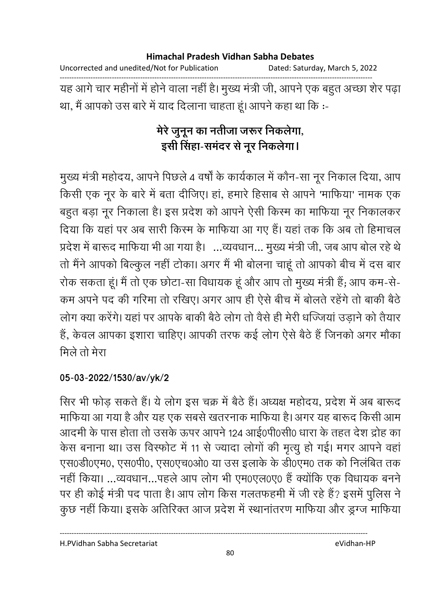Uncorrected and unedited/Not for Publication Dated: Saturday, March 5, 2022

यह आगे चार महीनों में होने वाला नहीं है। मुख्य मंत्री जी, आपने एक बहुत अच्छा शेर पढ़ा था, मैं आपको उस बारे में याद दिलाना चाहता हूं। आपने कहा था कि :-

# मेरे जुनून का नतीजा जरूर निकलेगा, इसी सिंहा-समंदर से नूर निकलेगा।

मुख्य मंत्री महोदय, आपने पिछले 4 वर्षों के कार्यकाल में कौन-सा नूर निकाल दिया, आप किसी एक नूर के बारे में बता दीजिए। हां, हमारे हिसाब से आपने 'माफिया' नामक एक बहुत बड़ा नूर निकाला है। इस प्रदेश को आपने ऐसी किस्म का माफिया नूर निकालकर दिया कि यहां पर अब सारी किस्म के माफिया आ गए हैं। यहां तक कि अब तो हिमाचल प्रदेश में बारूद माफिया भी आ गया है। ...व्यवधान... मुख्य मंत्री जी, जब आप बोल रहे थे तो मैंने आपको बिल्कुल नहीं टोका। अगर मैं भी बोलना चाहूं तो आपको बीच में दस बार रोक सकता हूं। मैं तो एक छोटा-सा विधायक हूं और आप तो मुख्य मंत्री हैं; आप कम-से-कम अपने पद की गरिमा तो रखिए। अगर आप ही ऐसे बीच में बोलते रहेंगे तो बाकी बैठे लोग क्या करेंगे। यहां पर आपके बाकी बैठे लोग तो वैसे ही मेरी धज्जियां उड़ाने को तैयार हैं, केवल आपका इशारा चाहिए। आपकी तरफ कई लोग ऐसे बैठे हैं जिनको अगर मौका मिले तो मेरा

### 05-03-2022/1530/av/yk/2

सिर भी फोड़ सकते हैं। ये लोग इस चक्र में बैठे हैं। अध्यक्ष महोदय, प्रदेश में अब बारूद माफिया आ गया है और यह एक सबसे खतरनाक माफिया है। अगर यह बारूद किसी आम आदमी के पास होता तो उसके ऊपर आपने 124 आई0पी0सी0 धारा के तहत देश द्रोह का केस बनाना था। उस विस्फोट में 11 से ज्यादा लोगों की मृत्यू हो गई। मगर आपने वहां एस0डी0एम0, एस0पी0, एस0एच0ओ0 या उस इलाके के डी0एम0 तक को निलंबित तक नहीं किया। ...व्यवधान...पहले आप लोग भी एम0एल0ए0 हैं क्योंकि एक विधायक बनने पर ही कोई मंत्री पद पाता है। आप लोग किस गलतफहमी में जी रहे हैं? इसमें पुलिस ने कुछ नहीं किया। इसके अतिरिक्त आज प्रदेश में स्थानांतरण माफिया और ड्रग्ज माफिया

H.PVidhan Sabha Secretariat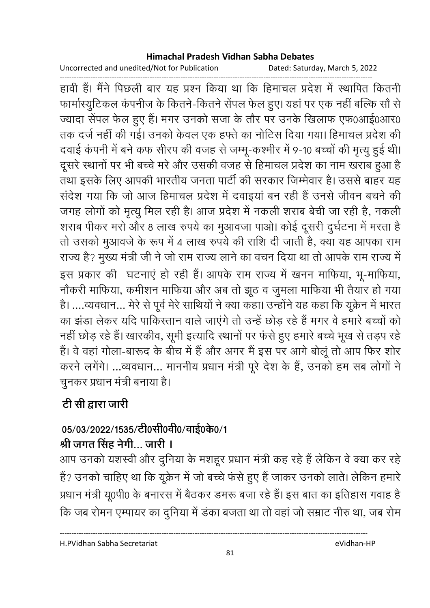Uncorrected and unedited/Not for Publication Dated: Saturday, March 5, 2022

------------------------------------------------------------------------------------------------------------------------------------ हावी हैं। मैंने पिछली बार यह प्रश्न किया था कि हिमाचल प्रदेश में स्थापित कितनी फार्मास्युटिकल कंपनीज के कितने-कितने सेंपल फेल हुए। यहां पर एक नहीं बल्कि सौ से ज्यादा सेंपल फेल हुए हैं। मगर उनको सजा के तौर पर उनके खिलाफ एफ0आई0आर0 तक दर्ज नहीं की गई। उनको केवल एक हफ्ते का नोटिस दिया गया। हिमाचल प्रदेश की दवाई कंपनी में बने कफ सीरप की वजह से जम्मू-कश्मीर में 9-10 बच्चों की मृत्यु हुई थी। दूसरे स्थानों पर भी बच्चे मरे और उसकी वजह से हिमाचल प्रदेश का नाम खराब हुआ है तथा इसके लिए आपकी भारतीय जनता पार्टी की सरकार जिम्मेवार है। उससे बाहर यह संदेश गया कि जो आज हिमाचल प्रदेश में दवाइयां बन रही हैं उनसे जीवन बचने की जगह लोगों को मृत्यू मिल रही है। आज प्रदेश में नकली शराब बेची जा रही है, नकली शराब पीकर मरो और 8 लाख रुपये का मुआवजा पाओ। कोई दूसरी दुर्घटना में मरता है तो उसको मुआवजे के रूप में 4 लाख रुपये की राशि दी जाती है, क्या यह आपका राम राज्य है? मुख्य मंत्री जी ने जो राम राज्य लाने का वचन दिया था तो आपके राम राज्य में इस प्रकार की घटनाएं हो रही हैं। आपके राम राज्य में खनन माफिया, भू-माफिया, नोंकरी मार्फिया, कर्मीशन मार्फिया और अब तो झूठ व जुमला मार्फिया भी तैयार हो गया है। ....व्यवधान... मेरे से पूर्व मेरे साथियों ने क्या कहा। उन्होंने यह कहा कि यूक्रेन में भारत का झंडा लेकर यदि पाकिस्तान वाले जाएंगे तो उन्हें छोड़ रहे हैं मगर वे हमारे बच्चों को नहीं छोड़ रहे हैं। खारकीव, सूमी इत्यादि स्थानों पर फंसे हुए हमारे बच्चे भूख से तड़प रहे हैं। वे वहां गोला-बारूद के बीच में है और अगर मैं इस पर आगे बोलू तो आप फिर शोर करने लगेंगे। ...व्यवधान... माननीय प्रधान मंत्री पूरे देश के हैं, उनको हम सब लोगों ने चुनकर प्रधान मंत्री बनाया है।

# <u>टी सी द्वारा जारी</u>

# 05/03/2022/1535/टी0सी0वी0/वाई0के0/1

# श्री जगत सिंह नेगी… जारी **।**

आप उनको यशस्वी और दुनिया के मशहूर प्रधान मंत्री कह रहे हैं लेकिन वे क्या कर रहे हैं? उनको चाहिए था कि यूक्रेन में जो बच्चे फंसे हुए हैं जाकर उनको लाते। लेकिन हमारे प्रधान मंत्री यू0पी0 के बनारस में बैठकर डमरू बजा रहे हैं। इस बात का इतिहास गवाह है कि जब रोमन एम्पायर का दुनिया में डंका बजता था तो वहां जो सम्राट नीरु था, जब रोम

H.PVidhan Sabha Secretariat eVidhan-HP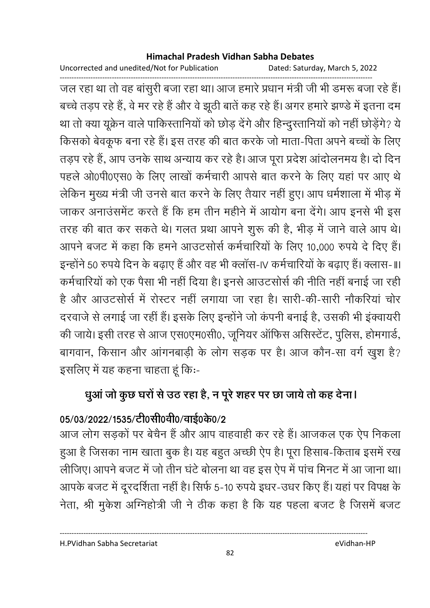Uncorrected and unedited/Not for Publication Dated: Saturday, March 5, 2022

------------------------------------------------------------------------------------------------------------------------------------ जल रहा था तो वह बांसुरी बजा रहा था। आज हमारे प्रधान मंत्री जी भी डमरू बजा रहे हैं। बच्चे तड़प रहे हैं, वे मर रहे हैं और वे झूठी बातें कह रहे हैं। अगर हमारे झण्डे में इतना दम था तो क्या यूक्रेन वाले पाकिस्तानियों को छोड़ देंगे और हिन्दुस्तानियों को नहीं छोड़ेंगे? ये किसको बेवकूफ बना रहे हैं। इस तरह की बात करके जो माता-पिता अपने बच्चों के लिए तड़प रहे हैं, आप उनके साथ अन्याय कर रहे हैं। आज पूरा प्रदेश आंदोलनमय हैं। दो दिन पहले ओ0पी0एस0 के लिए लाखों कर्मचारी आपसे बात करने के लिए यहां पर आए थे लेकिन मुख्य मंत्री जी उनसे बात करने के लिए तैयार नहीं हुए। आप धर्मशाला में भीड़ में जाकर अनाउसमेंट करते हैं कि हम तीन महीने में आयोग बना देंगे। आप इनर्स भी इस तरह की बात कर सकते थे। गलत प्रथा आपने शुरू की है, भीड़ में जाने वाले आप थे। आपने बजट में कहा कि हमने आउटसोर्स कर्मचारियों के लिए 10,000 रुपये दे दिए हैं। इन्होंने 50 रुपये दिन के बढाए हैं और वह भी क्लॉस-IV कर्मचारियों के बढाए हैं। क्लास- III कर्मचारियों को एक पैसा भी नहीं दिया है। इनसे आउटसोर्स की नीति नहीं बनाई जा रही है और आउटसोर्स में रोस्टर नहीं लगाया जा रहा है। सारी-की-सारी नौकरियां चोर दरवाजे से लगाई जा रहीं हैं। इसके लिए इन्होंने जो कंपनी बनाई है, उसकी भी इंक्वायरी की जाये। इसी तरह से आज एस0एम0सी0, जूनियर आफिस असिस्टेट, पुलिस, होमगार्ड, बागवान, किसान और आंगनबाड़ी के लोग सड़क पर है। आज कौन-सा वर्ग खूश है? इसलिए में यह कहना चाहता हूं कि:-

# धुआ जो कुछ घरों से उठ रहा है, न पूरे शहर पर छा जायें तो कह देना।

# 05/03/2022/1535/टी0सी0वी0/वाई0के0/2

आज लोग सड़कों पर बेचैन हैं और आप वाहवाही कर रहे हैं। आजकल एक ऐप निकला हुआ है जिसका नाम खाता बुक है। यह बहुत अच्छी ऐप है। पूरा हिसाब-किताब इसमें रख लीजिए। आपने बजट में जो तीन घंटे बोलना था वह इस ऐप में पांच मिनट में आ जाना था। आपके बजट में दूरदर्शिता नहीं है। सिर्फ 5-10 रुपये इधर-उधर किए हैं। यहां पर विपक्ष के नेता, श्री मुकेश अग्निहोत्री जी ने ठीक कहा है कि यह पहला बजट है जिसमें बजट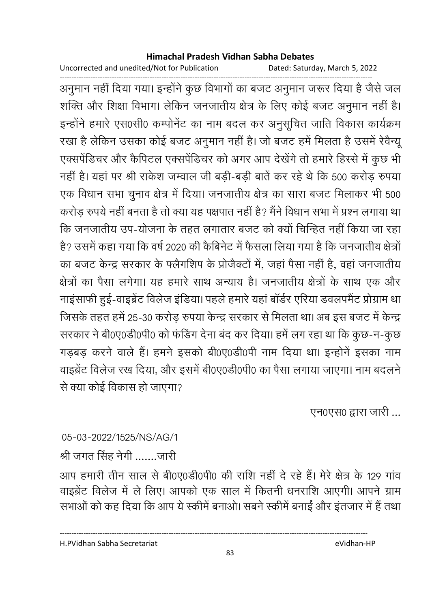Uncorrected and unedited/Not for Publication Dated: Saturday, March 5, 2022

------------------------------------------------------------------------------------------------------------------------------------ अनुमान नहीं दिया गया। इन्होंने कुछ विभागों का बजट अनुमान जरूर दिया है जैसे जल शक्ति और शिक्षा विभाग। लेकिन जनजातीय क्षेत्र के लिए कोई बजट अनुमान नहीं है। इन्होंने हमारे एस0सी0 कम्पनिट का नाम बंदल कर अनुसूचित जाति विकास कार्यक्रम रखा है लेकिन उसका कोई बजट अनुमान नहीं है। जो बजट हमें मिलता है उसमें रेवैन्यू एक्सपेडिचर और कैपिटल एक्सपेडिचर को अगर आप देखेंगे तो हमारे हिस्से में कुछ भी नहीं है। यहां पर श्री राकेश जम्वाल जी बड़ी-बड़ी बातें कर रहे थे कि 500 करोड़ रुपया एक विधान सभा चुनाव क्षेत्र में दिया। जनजातीय क्षेत्र का सारा बजट मिलाकर भी 500 करोड़ रुपये नहीं बनता है तो क्या यह पक्षपात नहीं है? मैंने विधान सभा में प्रश्न लगाया था कि जनजातीय उप-योजना के तहत लगातार बजट को क्यों चिन्हित नहीं किया जा रहा है? उसमें कहा गया कि वर्ष 2020 की कैबिनेट में फैसला लिया गया है कि जनजातीय क्षेत्रों का बजट केन्द्र सरकार के फ्लैगशिप के प्रोजैक्टों में, जहां पैसा नहीं है, वहां जनजातीय क्षेत्रों का पैसा लगेगा। यह हमारे साथ अन्याय है। जनजातीय क्षेत्रों के साथ एक और नाइंसाफी हुई-वाइब्रेंट विलेज इंडिया। पहले हमारे यहां बॉर्डर एरिया डवलपमैंट प्रोग्राम था जिसके तहत हमें 25-30 करोड़ रुपया केन्द्र सरकार से मिलता था। अब इस बजट में केन्द्र सरकार ने बी0ए0डी0पी0 को फंडिंग देना बंद कर दिया। हमें लग रहा था कि कुछ-न-कुछ गडबड करने वाले हैं। हमने इसको बी0ए0डी0पी नाम दिया था। इन्होनें इसका नाम वाइब्रेंट विलेज रख दिया, और इसमें बी0ए0डी0पी0 का पैसा लगाया जाएगा। नाम बदलने से क्या कोई विकास हो जाएगा?

एन0एस0 द्वारा जारी ...

05-03-2022/1525/NS/AG/1

श्री जगत सिंह नेगी .......जारी

आप हमारी तीन साल से बी0ए0डी0पी0 की राशि नहीं दे रहे हैं। मेरे क्षेत्र के 129 गांव वाइब्रेंट विलेज में ले लिए। आपको एक साल में कितनी धनराशि आएगी। आपने ग्राम सभाओं को कह दिया कि आप ये स्कीमें बनाओ। सबने स्कीमें बनाईं और इंतजार में हैं तथा

H.PVidhan Sabha Secretariat eVidhan-HP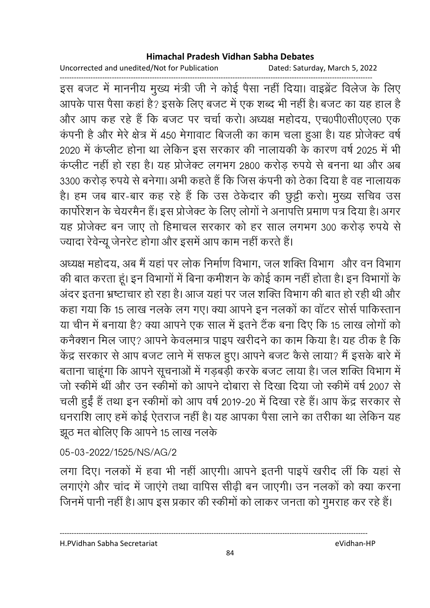Uncorrected and unedited/Not for Publication Dated: Saturday, March 5, 2022

------------------------------------------------------------------------------------------------------------------------------------ इस बजट में माननीय मुख्य मंत्री जी ने कोई पैसा नहीं दिया। वाइब्रेंट विलेज के लिए आपके पास पैसा कहां है? इसके लिए बजट में एक शब्द भी नहीं है। बजट का यह हाल है और आप कह रहे हैं कि बजट पर चर्चा करो। अध्यक्ष महोदय, एच0पी0सी0एल0 एक कंपनी है और मेरे क्षेत्र में 450 मेगावाट बिजली का काम चला हुआ है। यह प्रोजेक्ट वर्ष 2020 में कंप्लीट होना था लेकिन इस सरकार की नालायकी के कारण वर्ष 2025 में भी कप्लीट नहीं हो रहा है। यह प्रजिक्ट लगभग 2800 करोड़ रुपये से बनना था और अब 3300 करोड़ रुपये से बनेगा। अभी कहते हैं कि जिस कंपनी को ठेका दिया है वह नालायक है। हम जब बार-बार कह रहे हैं कि उस ठेकेदार की छुट्टी करो। मुख्य सचिव उस कापरिशन के चेयरमैन है। इस प्रजिक्ट के लिए लोगों ने अनापत्ति प्रमाण पत्र दिया है। अगर यह प्रोजेक्ट बन जाए तो हिमाचल सरकार को हर साल लगभग 300 करोड़ रुपये से ज्यादा रेवेन्यू जेनरेट होगा और इसमें आप काम नहीं करते हैं।

अध्यक्ष महोदय, अब मैं यहां पर लोक निर्माण विभाग, जल शक्ति विभाग- और वन विभाग-की बात करता हूं। इन विभागों में बिना कमीशन के कोई काम नहीं होता है। इन विभागों के अंदर इतना भ्रष्टाचार हो रहा है। आज यहां पर जल शक्ति विभाग की बात हो रही थी और कहा गया कि 15 लाख नलके लग गए। क्या आपने इन नलकों का वॉटर सोर्स पाकिस्तान या चीन में बनाया है? क्या आपने एक साल में इतने टैंक बना दिए कि 15 लाख लोगों को कनैक्शन मिल जाए? आपने केवलमात्र पाइप खरीदने का काम किया है। यह ठीक है कि केंद्र सरकार से आप बजट लाने में सफल हुए। आपने बजट कैसे लाया? मैं इसके बारे में बताना चाहूंगा कि आपने सूचनाओं में गड़बड़ी करके बजट लाया है। जल शक्ति विभाग में जो स्कीमें थीं और उन स्कीमों को आपने दोबारा से दिखा दिया जो स्कीमें वर्ष 2007 से चली हुईं हैं तथा इन स्कीमों को आप वर्ष 2019-20 में दिखा रहे हैं। आप केंद्र सरकार से धनराशि लाए हमें कोई ऐतराज नहीं है। यह आपका पैसा लाने का तरीका था लेकिन यह झूठ मत बोलिए कि आपने 15 लाख नलके

### 05-03-2022/1525/NS/AG/2

लगा दिए। नलकों में हवा भी नहीं आएगी। आपने इतनी पाइपें खरीद लीं कि यहां से लगाएंगे और चांद में जाएंगे तथा वापिस सीढ़ी बन जाएगी। उन नलकों को क्या करना जिनमें पानी नहीं है। आप इस प्रकार की स्कीमों को लाकर जनता को गुमराह कर रहे हैं।

H.PVidhan Sabha Secretariat eVidhan-HP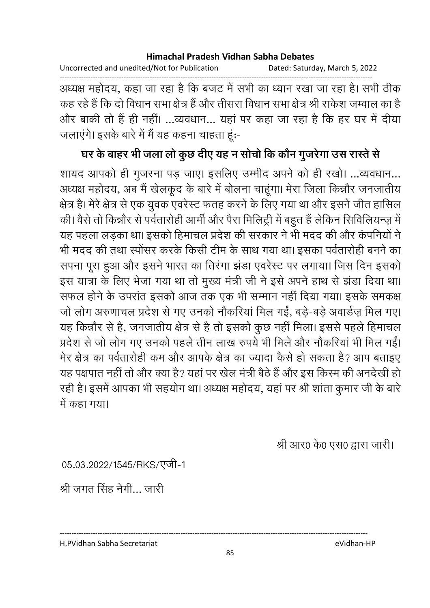Uncorrected and unedited/Not for Publication Dated: Saturday, March 5, 2022

अध्यक्ष महोदय, कहा जा रहा है कि बजट में सभी का ध्यान रखा जा रहा है। सभी ठीक कह रहे हैं कि दो विधान सभा क्षेत्र हैं और तीसरा विधान सभा क्षेत्र श्री राकेश जम्वाल का है और बाकी तो हैं ही नहीं। ...व्यवधान... यहां पर कहा जा रहा है कि हर घर में दीया जलाएंगे। इसके बारे में मैं यह कहना चाहता हूं:-

### घर के बाहर भी जला लो कुछ दीए यह न सोचो कि कौन गुजरेगा उस रास्ते से

शायद आपको ही गुजरना पड़ जाए। इसलिए उम्मीद अपने को ही रखो। ...व्यवधान... अध्यक्ष महोदय, अब मैं खेलकूद के बारे में बोलना चाहूंगा। मेरा जिला किन्नौर जनजातीय क्षेत्र है। मेरे क्षेत्र से एक युवक एवरेस्ट फतह करने के लिए गया था और इसने जीत हासिल की। वैसे तो किन्नौर से पर्वतारोही आर्मी और पैरा मिलिट्री में बहुत हैं लेकिन सिविलियन्ज़ में यह पहला लड़का था। इसको हिमाचल प्रदेश की सरकार ने भी मदद की और कंपनियों ने भी मदद की तथा स्पोंसर करके किसी टीम के साथ गया था। इसका पर्वतारोही बनने का सपना पूरा हुआ और इसने भारत का तिरंगा झंडा एवरेस्ट पर लगाया। जिस दिन इसको इस यात्रा के लिए भेजा गया था तो मुख्य मंत्री जी ने इसे अपने हाथ से झंडा दिया था। सफल होने के उपरांत इसको आज तक एक भी सम्मान नहीं दिया गया। इसके समकक्ष जो लोग अरुणाचल प्रदेश से गए उनको नौकरियां मिल गईं, बडे-बडे अवार्डज़ मिल गए। यह किन्नौर से है, जनजातीय क्षेत्र से है तो इसको कुछ नहीं मिला। इससे पहले हिमाचल प्रदेश से जो लोग गए उनको पहले तीन लाख रुपये भी मिले और नौकरियां भी मिल गईं। मेर क्षेत्र का पर्वतारोही कम और आपके क्षेत्र का ज्यादा कैसे हो सकता है? आप बताइए यह पक्षपात नहीं तो और क्या है? यहां पर खेल मंत्री बैठे हैं और इस किस्म की अनदेखी हो रही है। इसमें आपका भी सहयोग था। अध्यक्ष महोदय, यहां पर श्री शांता कुमार जी के बारे में कहा गया।

श्री आर0 के0 एस0 द्वारा जारी।

05.03.2022/1545/RKS/एजी-1

श्री जगत सिंह नेगी... जारी

H.PVidhan Sabha Secretariat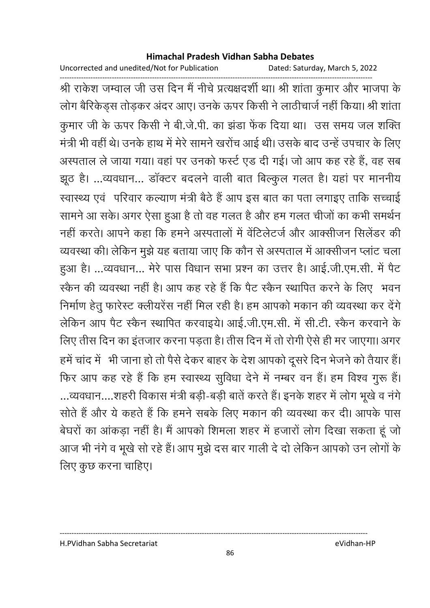Uncorrected and unedited/Not for Publication

Dated: Saturday, March 5, 2022

श्री राकेश जम्वाल जी उस दिन मैं नीचे प्रत्यक्षदर्शी था। श्री शांता कुमार और भाजपा के लोग बैरिकेड्स तोड़कर अंदर आए। उनके ऊपर किसी ने लाठीचार्ज नहीं किया। श्री शांता कुमार जी के ऊपर किसी ने बी.जे.पी. का झंडा फेंक दिया था। उस समय जल शक्ति मंत्री भी वहीं थे। उनके हाथ में मेरे सामने खरोंच आई थी। उसके बाद उन्हें उपचार के लिए अस्पताल ले जाया गया। वहां पर उनको फर्स्ट एड दी गई। जो आप कह रहे हैं, वह सब झूठ है। ...व्यवधान... डॉक्टर बदलने वाली बात बिल्कुल गलत है। यहां पर माननीय स्वास्थ्य एवं परिवार कल्याण मंत्री बैठे हैं आप इस बात का पता लगाइए ताकि सच्चाई सामने आ सके। अगर ऐसा हुआ है तो वह गलत है और हम गलत चीजों का कभी समर्थन नहीं करते। आपने कहा कि हमने अस्पतालों में वेंटिलेटर्ज और आक्सीजन सिलेंडर की व्यवस्था की। लेकिन मुझे यह बताया जाए कि कौन से अस्पताल में आक्सीजन प्लांट चला हुआ है। ...व्यवधान... मेरे पास विधान सभा प्रश्न का उत्तर है। आई.जी.एम.सी. में पैट स्कैन की व्यवस्था नहीं है। आप कह रहे हैं कि पैट स्कैन स्थापित करने के लिए भवन निर्माण हेतु फारेस्ट क्लीयरेंस नहीं मिल रही है। हम आपको मकान की व्यवस्था कर देंगे लेकिन आप पैट स्कैन स्थापित करवाइये। आई.जी.एम.सी. में सी.टी. स्कैन करवाने के लिए तीस दिन का इंतजार करना पड़ता है। तीस दिन में तो रोगी ऐसे ही मर जाएगा। अगर हमें चांद में भी जाना हो तो पैसे देकर बाहर के देश आपको दूसरे दिन भेजने को तैयार हैं। फिर आप कह रहे हैं कि हम स्वास्थ्य सुविधा देने में नम्बर वन हैं। हम विश्व गुरू हैं। ...व्यवधान....शहरी विकास मंत्री बड़ी-बड़ी बातें करते हैं। इनके शहर में लोग भूखे व नंगे सोते हैं और ये कहते हैं कि हमने सबके लिए मकान की व्यवस्था कर दी। आपके पास बेघरों का आंकड़ा नहीं है। मैं आपको शिमला शहर में हजारों लोग दिखा सकता हूं जो आज भी नंगे व भूखे सो रहे हैं। आप मुझे दस बार गाली दे दो लेकिन आपको उन लोगों के लिए कुछ करना चाहिए।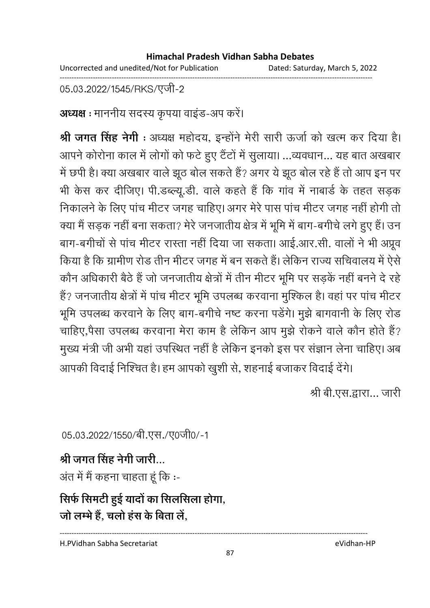Uncorrected and unedited/Not for Publication Dated: Saturday, March 5, 2022 ------------------------------------------------------------------------------------------------------------------------------------

05.03.2022/1545/RKS/एजी-2

**अध्यक्ष :** माननीय सदस्य कृपया वाइंड-अप करे।

**श्री जगत सिंह नेगी** : अध्यक्ष महोदय, इन्होंने मेरी सारी ऊंजों को खत्म कर दिया है। आपने कोरोना काल में लोगों को फर्ट हुए टैटों में सुलाया। …व्यवधान… यह बात अखबार में छपी है। क्या अखबार वाले झूठ बोल सकते हैं? अगर ये झूठ बोल रहे हैं तो आप इन पर भी केस कर दीजिए। पी.डब्ल्यू.डी. वाले कहते हैं कि गांव में नाबार्ड के तहत सड़क निकालने के लिए पांच मीटर जगह चाहिए। अगर मेरे पास पांच मीटर जगह नहीं होगी तो क्या मैं सड़क नहीं बना सकता? मेरे जनजातीय क्षेत्र में भूमि में बाग-बगीचे लगे हुए हैं। उन बाग-बंगीचों से पांच मेंटिर रास्ता नहीं दिया जा सकता। आई.आर.सी. वालों ने भी अप्रूव किया है कि ग्रामीण रोड तीन मीटर जगह में बन सकते हैं। लेकिन राज्य सचिवालय में ऐसे कौन अधिकारी बैठे हैं जो जनजातीय क्षेत्रों में तीन मीटर भूमि पर सड़के नहीं बनने दे रहें ' हैं? जनजातीय क्षेत्रों में पांच मीटर भूमि उपलब्ध करवाना मुश्किल है। वहां पर पांच मीटर भूमि उपलब्ध करवाने के लिए बाग-बगीचे नष्ट करना पडेंगे। मुझे बागवानी के लिए रोड चाहिए,पैसा उपलब्ध करवाना मेरा काम है लेकिन आप मुझे रोकने वाले कौन होते हैं? मुख्य मंत्री जी अभी यहाँ उपस्थित नहीं है लेकिन इनको इस पर सज्ञान लेना चाहिए। अब

आपकी विदाई निश्चित है। हम आपको खुशी से, शहनाई बजाकर विदाई देंगे।

श्री बी.एस.द्वारा... जारी

05.03.2022/1550/बी.एस./ए0जी0/-1

# श्री जगत सिंह नेगी जारी...

अत में में कहना चाहता हूं कि :-

# सिर्फ सिमटी हुई यादों का सिलसिला होगा, जो लम्भे हैं, चलो हस के बिता ले,

H.PVidhan Sabha Secretariat eVidhan-HP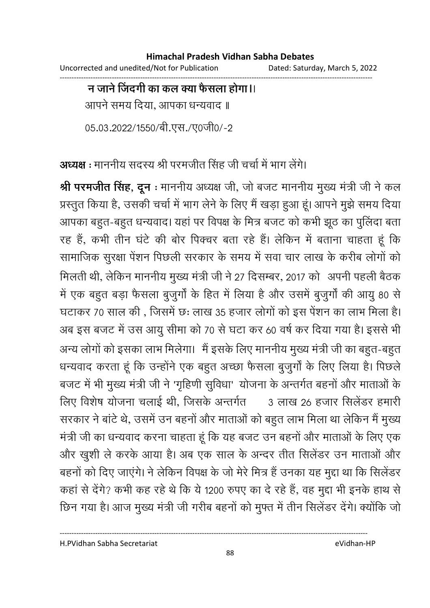Uncorrected and unedited/Not for Publication Dated: Saturday, March 5, 2022 ------------------------------------------------------------------------------------------------------------------------------------

### <u>न जाने जिंदगी का कल क्या फैसला होगा।।</u>

आपने समय दिया, आपका धन्यवाद ॥

05.03.2022/1550/बी.एस./ए0जी0/-2

अध्यक्ष : माननीय सदस्य श्री परमजीत सिंह जी चर्चा में भाग लेंगे।

**श्री परमजीत सिंह, दून** : माननीय अध्यक्ष जी, जो बजट माननीय मुख्य मंत्री जी ने कल प्रस्तुत किया है, उसकी चर्चा में भाग लेने के लिए मैं खड़ा हुआ हूं। आपने मुझे समय दिया आपका बहुत-बहुत धन्यवाद। यहां पर विपक्ष के मित्र बजट को कभी झूठ का पुलिंदा बता रह हैं, कभी तीन घंटे की बोर पिक्चर बता रहे हैं। लेकिन में बताना चाहता हूं कि सामाजिक सुरक्षा पेंशन पिछली सरकार के समय में सवा चार लाख के करीब लोगों को मिलती थी, लेकिन माननीय मुख्य मंत्री जी ने 27 दिसम्बर, 2017 को अपनी पहली बैठक में एक बहुत बड़ा फैसला बुजुर्गों के हित में लिया है और उसमें बुजुर्गों की आयु 80 से घटाकर 70 साल की , जिसमें छः लाख 35 हजार लोगों को इस पेंशन का लाभ मिला है। अब इस बजट में उस आयु सीमा को 70 से घटा कर 60 वर्ष कर दिया गया है। इससे भी अन्य लोगों को इसका लाभ मिलेगा। मैं इसके लिए माननीय मुख्य मंत्री जी का बहुत-बहुत धन्यवाद करता हूं कि उन्होंने एक बहुत अच्छा फैसला बुजुंगों के लिए लिया है। पिछले बजट में भी मुख्य मंत्री जी ने 'गृहिणी सुविधा' योजना के अन्तर्गत बहनों और माताओं के लिए विशेष योजना चलाई थी, जिसके अन्तर्गत <u>. ३ लाख २५ हजार सिलेंडर हमारी</u> सरकार ने बांटे थे, उसमें उन बहनों और माताओं को बहुत लाभ मिला था लेकिन मैं मुख्य मंत्री जी का धन्यवाद करना चाहता हूं कि यह बजट उन बहनों और माताओं के लिए एक और खुशी ले करके आया है। अब एक साल के अन्दर तीत सिलेंडर उन माताओं और बहनों को दिए जाएंगे। ने लेकिन विपक्ष के जो मेरे मित्र हैं उनका यह मुद्दा था कि सिलेंडर कहां से देंगे? कभी कह रहे थे कि ये 1200 रुपए का दे रहे हैं, वह मुद्दा भी इनके हाथ से छिन गया है। आज मुख्य मंत्री जी गरीब बहनों को मुफ्त में तीन सिलेंडर देंगे। क्योंकि जो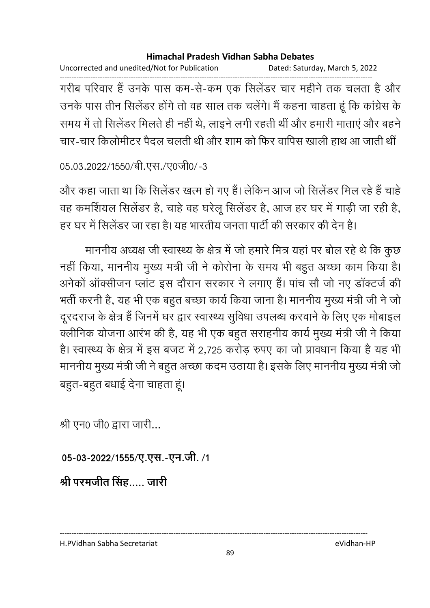Uncorrected and unedited/Not for Publication Dated: Saturday, March 5, 2022

------------------------------------------------------------------------------------------------------------------------------------ गरीब परिवार है उनके पास कम-से-कम एक सिलेंडर चार महीने तक चलता है और उनके पास तीन सिलेंडर होंगे तो वह साल तक चलेंगे। मैं कहना चाहता हूं कि कांग्रेस के समय में तो सिलेंडर मिलते ही नहीं थे, लाइने लगी रहती थीं और हमारी माताएं और बहने चार-चार किलोमीटर पैदल चलती थी और शाम को फिर वापिस खाली हाथ आ जाती थीं

```
05.03.2022/1550/बी.एस./ए0जी0/-3
```
और कहा जाता था कि सिलेंडर खत्म हो गए हैं। लेकिन आज जो सिलेंडर मिल रहे हैं चाहे वह कमर्शियल सिलेंडर है, चाहे वह घरेलू सिलेंडर है, आज हर घर में गाड़ी जा रही है, हर घर में सिलेंडर जा रहा है। यह भारतीय जनता पार्टी की सरकार की देन है।

माननीय अध्यक्ष जी स्वास्थ्य के क्षेत्र में जो हमारे मित्र यहां पर बोल रहे थे कि कुछ नहीं किया, माननीय मुख्य मंत्री जी ने कोरोना के समय भी बहुत अच्छा काम किया है। अनेको आर्क्सीजन प्लाट इस दौरान सरकार ने लगाए हैं। पांच सौ जो नए डाक्टर्ज की भर्ती करनी है, यह भी एक बहुत बच्छा कार्य किया जाना है। माननीय मुख्य मंत्री जी ने जो दूरदराज के क्षेत्र हैं जिनमें घर द्वार स्वास्थ्य सुविधा उपलब्ध करवाने के लिए एक मोबाइल क्लीनिक योजना आरंभ की है, यह भी एक बहुत सराहनीय कार्य मुख्य मंत्री जी ने किया है। स्वास्थ्य के क्षेत्र में इस बजट में 2,725 करोड़ रुपए का जो प्रावधान किया है यह भी माननीय मुख्य मंत्री जी ने बहुत अच्छा कदम उठाया है। इसके लिए माननीय मुख्य मंत्री जो बहुत-बहुत बधाई देना चाहता हूं।

श्री एन0 जी0 द्वारा जारी...

05-03-2022/1555/ए.एस.-एन.जी. /1

श्री परमजीत सिंह कारी

H.PVidhan Sabha Secretariat eVidhan-HP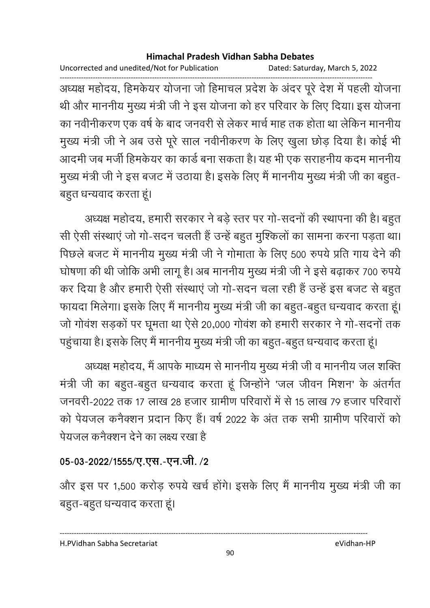Uncorrected and unedited/Not for Publication Dated: Saturday, March 5, 2022

------------------------------------------------------------------------------------------------------------------------------------ अध्यक्ष महोदय, हिमकेयर योजना जो हिमाचल प्रदेश के अंदर पूरे देश में पहली योजना थी और माननीय मुख्य मंत्री जी ने इस योजना को हर परिवार के लिए दिया। इस योजना का नवीनीकरण एक वर्ष के बाद जनवरी से लेकर मार्च माह तक होता था लेकिन माननीय मुख्य मंत्री जी ने अब उसे पूरे साल नवीनीकरण के लिए खुला छोड़ दिया है। कोई भी आदमी जब मर्जी हिमकेयर का कार्ड बना सकता है। यह भी एक सराहनीय कदम माननीय मुख्य मंत्री जी ने इस बजट में उठाया है। इसके लिए मैं माननीय मुख्य मंत्री जी का बहुत-बहुत धन्यवाद करता हूं।

अध्यक्ष महोदय, हमारी सरकार ने बड़े स्तर पर गो-सदनों की स्थापना की है। बहुत सी ऐसी संस्थाएं जो गो-सदन चलती हैं उन्हें बहुत मुश्किलों का सामना करना पड़ता था। पिछले बजट में माननीय मुख्य मंत्री जी ने गोमाता के लिए 500 रुपये प्रति गाय देने की घोषणा की थी जोकि अभी लागू है। अब माननीय मुख्य मंत्री जी ने इसे बढ़ाकर 700 रुपये | कर दिया है और हमारी ऐसी संस्थाएं जो गो-सदन चला रही हैं उन्हें इस बजट से बहुत फायदा मिलेगा। इसके लिए मैं माननीय मुख्य मंत्री जी का बहुत-बहुत धन्यवाद करता हूं। जो गोवंश सड़कों पर घूमता था ऐसे 20,000 गोवंश को हमारी सरकार ने गो-सदनों तक पहुंचाया है। इसके लिए मैं माननीय मुख्य मंत्री जी का बहुत-बहुत धन्यवाद करता हूं।

अध्यक्ष महोदय, मैं आपके माध्यम से माननीय मुख्य मंत्री जी व माननीय जल शक्ति मंत्री जी का बहुत-बहुत धन्यवाद करता हूं जिन्होंने 'जल जीवन मिशन' के अंतर्गत जनवरी-2022 तक 17 लाख 28 हजार ग्रामीण परिवारों में से 15 लाख 79 हजार परिवारों को पेयजल कर्नेक्शन प्रदान किए हैं। वर्ष 2022 के अंत तक सभी ग्रामीण परिवारों को पेयजल कनैक्शन देने का लक्ष्य रखा है

### 05-03-2022/1555/ए.एस.-एन.जी. /2

और इस पर 1,500 करोड़ रुपये खर्च होंगे। इसके लिए मैं माननीय मुख्य मंत्री जी का बहुत-बहुत धन्यवाद करता हूं।

H.PVidhan Sabha Secretariat eVidhan-HP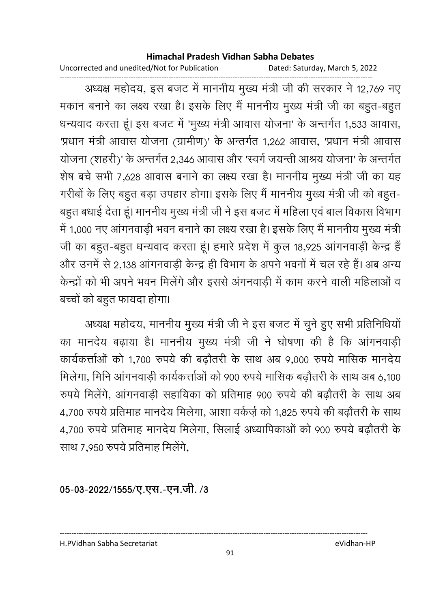Uncorrected and unedited/Not for Publication Dated: Saturday, March 5, 2022

------------------------------------------------------------------------------------------------------------------------------------ अध्यक्ष महोदय, इस बजट में माननीय मुख्य मंत्री जी की सरकार ने 12,769 नए मकान बनाने का लक्ष्य रखा है। इसके लिए मैं माननीय मुख्य मंत्री जी का बहुत-बहुत धन्यवाद करता हूं। इस बजट में 'मुख्य मंत्री आवास योजना' के अन्तर्गत 1,533 आवास, 'प्रधान मंत्री आवास योजना (ग्रामीण)' के अन्तर्गत 1,262 आवास, 'प्रधान मंत्री आवास योजना (शहरी)' के अन्तर्गत 2,346 आवास और 'स्वर्ग जयन्ती आश्रय योजना' के अन्तर्गत शेष बचे सभी 7,628 आवास बनाने का लक्ष्य रखा है। माननीय मुख्य मंत्री जी का यह गरीबों के लिए बहुत बड़ा उपहार होगा। इसके लिए मैं माननीय मुख्य मंत्री जी को बहुत-बहुत बधाई देता हूं। माननीय मुख्य मंत्री जी ने इस बजट में महिला एवं बाल विकास विभाग में 1,000 नए आंगनवाड़ी भवन बनाने का लक्ष्य रखा है। इसके लिए मैं माननीय मुख्य मंत्री जी का बहुत-बहुत धन्यवाद करता हूं। हमारे प्रदेश में कुल 18,925 आंगनवाड़ी केन्द्र हैं और उनमें से 2,138 आगनवाड़ी केन्द्र ही विभाग के अपने भवनों में चल रहे हैं। अब अन्य केन्द्रों को भी अपने भवन मिलेंगे और इससे अंगनवाड़ी में काम करने वाली महिलाओं व बच्चों को बहुत फायदा होगा।

अध्यक्ष महोदय, माननीय मुख्य मंत्री जी ने इस बजट में चुने हुए सभी प्रतिनिधियों। का मानदेय बढ़ाया है। माननीय मुख्य मंत्री जी ने घोषणा की है कि आंगनवाड़ी कार्यकत्ताओं को 1,700 रुपये की बढ़ौतरी के साथ अब 9,000 रुपये मासिक मानदेय मिलेगा, मिनि आगनवाड़ी कार्यकत्तोओं को 900 रुपये मासिक बढ़ौतरी के साथ अब 6,100 रुपर्य मिलेंगे, आगनवाड़ी सहायिका को प्रतिमाह 900 रुपर्य की बढ़ौतरी के साथ अब 4,700 रुपये प्रतिमाह मानदेय मिलेगा, आशा वर्कर्ज़ को 1,825 रुपये की बढ़ौतरी के साथ 4,700 रुपये प्रतिमाह मानदेय मिलेगा, सिलाई अध्यापिकाओं को 900 रुपये बढ़ौतरी के साथ 7,950 रुपये प्रतिमाह मिलेंगे.

05-03-2022/1555/ए.एस.-एन.जी. /3

---------------------------------------------------------------------------------------------------------------------------------- H.PVidhan Sabha Secretariat eVidhan-HP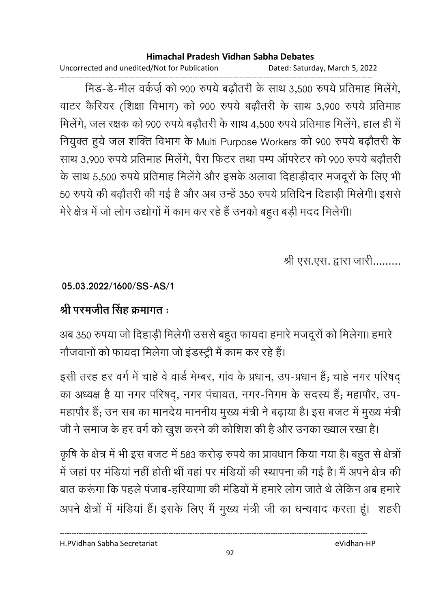Uncorrected and unedited/Not for Publication Dated: Saturday, March 5, 2022

------------------------------------------------------------------------------------------------------------------------------------ मिड-डे-मील वर्कर्ज़ को 900 रुपये बढ़ौतरी के साथ 3,500 रुपये प्रतिमाह मिलेंगे, वाटर कैरियर (शिक्षा विभाग) को 900 रुपये बढ़ौतरी के साथ 3,900 रुपये प्रतिमाह मिलेंगे, जल रक्षक को 900 रुपये बढ़ौतरी के साथ 4,500 रुपये प्रतिमाह मिलेंगे, हाल ही में नियुक्त हुये जल शक्ति विभाग के Multi Purpose Workers को 900 रुपये बढ़ौतरी के साथ 3,900 रुपये प्रतिमाह मिलेंगे, पैरा फिटर तथा पम्प ऑपरेटर को 900 रुपये बढ़ौतरी के साथ 5,500 रुपये प्रतिमाह मिलेंगे और इसके अलावा दिहाड़ीदार मजदूरों के लिए भी 50 रुपये की बढ़ौतरी की गई है और अब उन्हें 350 रुपये प्रतिदिन दिहाड़ी मिलेगी। इससे मेरे क्षेत्र में जो लोग उद्योगों में काम कर रहे हैं उनको बहुत बड़ी मदद मिलेगी।

श्री एस.एस. द्वारा जारी.........

**05.03.2022/1600/SS-AS/1**

# <u>श्री परमजीत सिंह क्रमागत :</u>

अब 350 रुपया जो दिहाड़ी मिलेगी उससे बहुत फायदा हमारे मजदूरों को मिलेगा। हमारे | नौजवानों को फायदा मिलेगा जो इंडस्ट्री में काम कर रहे हैं।

इसी तरह हर वर्ग में चाहे वे वार्ड मेम्बर, गांव के प्रधान, उप-प्रधान हैं; चाहे नगर परिषद का अध्यक्ष है या नगर परिषद्, नगर पंचायत, नगर-निगम के सदस्य है; महापौर, उप-महापौर हैं; उन सब का मानदेय माननीय मुख्य मंत्री ने बढ़ाया है। इस बजट में मुख्य मंत्री जी ने समाज के हर वर्ग को खुश करने की कोशिश की है और उनका ख्याल रखा है।

कृषि के क्षेत्र में भी इस बजट में 583 करोड़ रुपये का प्रावधान किया गया है। बहुत से क्षेत्रों में जहां पर मोडैया नहीं होती थी वहां पर मोडैयों की स्थापना की गई है। मैं अपने क्षेत्र की बात करूंगा कि पहले पंजाब-हरियाणा की मंडियों में हमारे लोग जाते थे लेकिन अब हमारे | अपने क्षेत्रों में मंडिया है। इसके लिए मैं मुख्य मंत्री जी का धन्यवाद करता हूं। शहरी

H.PVidhan Sabha Secretariat eVidhan-HP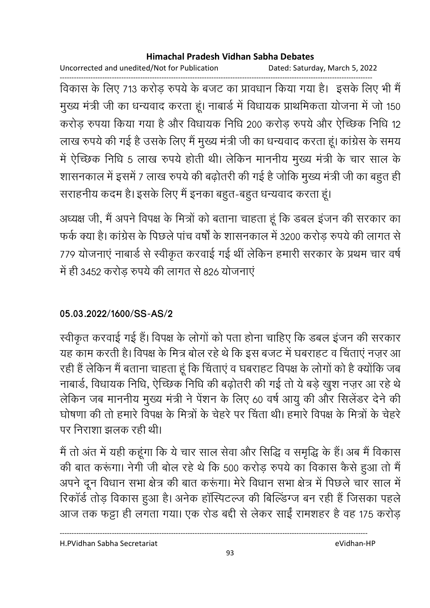Uncorrected and unedited/Not for Publication Dated: Saturday, March 5, 2022

------------------------------------------------------------------------------------------------------------------------------------ विकास के लिए 713 करोड़ रुपये के बजट का प्रावधान किया गया है। इसके लिए भी मैं मुख्य मंत्री जी का धन्यवाद करता हूं। नाबार्ड में विधायक प्राथमिकता योजना में जो 150 करोड़ रुपया किया गया है और विधायक निधि 200 करोड़ रुपये और ऐच्छिक निधि 12 लाख रुपये की गई है उसके लिए मैं मुख्य मंत्री जी का धन्यवाद करता हूं। कांग्रेस के समय में ऐच्छिक निधि 5 लाख रुपये होती थी। लेकिन माननीय मुख्य मंत्री के चार साल के शासनकाल में इसमें 7 लाख रुपये की बढ़ोतरी की गई है जोकि मुख्य मंत्री जी का बहुत ही .<br>सराहनीय कदम है। इसके लिए मैं इनका बहुत-बहुत धन्यवाद करता हूं।

अध्यक्ष जी, मैं अपने विपक्ष के मित्रों को बताना चाहता हूं कि डबल इजन की सरकार का फर्क क्या है। कांग्रेस के पिछले पांच वर्षों के शासनकाल में 3200 करोड़ रुपये की लागत से 779 योजनाएं नाबार्ड से स्वीकृत करवाई गई थीं लेकिन हमारी सरकार के प्रथम चार वर्ष में ही 3452 करोड़ रुपये की लागत से 826 योजनाएं

### **05.03.2022/1600/SS-AS/2**

स्वीकृत करवाई गई हैं। विपक्ष के लोगों को पता होना चाहिए कि डबल इंजन की सरकार यह काम करती है। विपक्ष के मित्र बोल रहे थे कि इस बजट में घबराहट व चिंताएं नज़र आ रही हैं लेकिन मैं बताना चाहता हूं कि चिंताएं व घबराहट विपक्ष के लोगों को है क्योंकि जब नाबार्ड, विधायक निधि, ऐच्छिक निधि की बढ़ोतरी की गई तो ये बड़े खुश नज़र आ रहे थे लेकिन जब माननीय मुख्य मंत्री ने पेंशन के लिए 60 वर्ष आयु की और सिलेंडर देने की घोषणा की तो हमारे विपक्ष के मित्रों के चेहरे पर चिंता थी। हमारे विपक्ष के मित्रों के चेहरे पर निराशा झलक रही थी।

में तो अंत में यही कहूँगा कि ये चार साल सेवा और सिद्धि व समृद्धि के हैं। अब मैं विकास की बात करूंगा। नेगी जी बोल रहे थे कि 500 करोड़ रुपये का विकास कैसे हुआ तो मैं अपने दून विधान सभा क्षेत्र की बात करूंगा। मेरे विधान सभा क्षेत्र में पिछले चार साल में रिकार्ड तोड़ विकास हुआ है। अनेक हास्पिटल्ज की बिल्डिंग्ज बन रही है जिसका पहले. आज तक फट्टा ही लगता गया। एक रोड बद्दी से लेकर साईं रामशहर है वह 175 करोड़

H.PVidhan Sabha Secretariat eVidhan-HP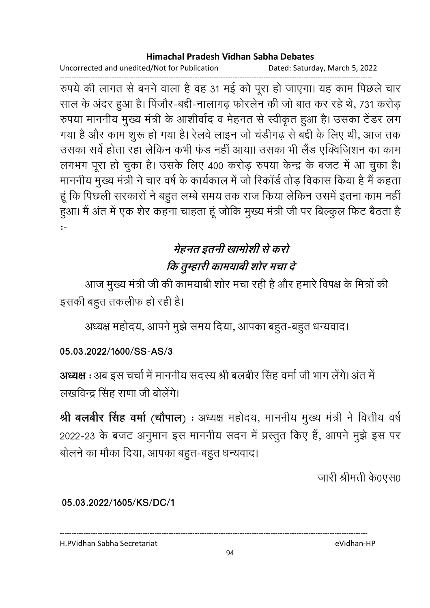Uncorrected and unedited/Not for Publication

Dated: Saturday, March 5, 2022

रुपये की लागत से बनने वाला है वह 31 मई को पूरा हो जाएगा। यह काम पिछले चार साल के अंदर हुआ है। पिंजौर-बद्दी-नालागढ़ फोरलेन की जो बात कर रहे थे, 731 करोड़ रुपया माननीय मुख्य मंत्री के आशीर्वाद व मेहनत से स्वीकृत हुआ है। उसका टेंडर लग गया है और काम शुरू हो गया है। रेलवे लाइन जो चंडीगढ़ से बद्दी के लिए थी, आज तक उसका सर्वे होता रहा लेकिन कभी फंड नहीं आया। उसका भी लैंड एक्विजिशन का काम लगभग पूरा हो चुका है। उसके लिए 400 करोड़ रुपया केन्द्र के बजट में आ चुका है। माननीय मुख्य मंत्री ने चार वर्ष के कार्यकाल में जो रिकॉर्ड तोड़ विकास किया है मैं कहता हूं कि पिछली सरकारों ने बहुत लम्बे समय तक राज किया लेकिन उसमें इतना काम नहीं हुआ। मैं अंत में एक शेर कहना चाहता हूं जोकि मुख्य मंत्री जी पर बिल्कुल फिट बैठता है  $\mathbf{r}$ 

# मेहनत इतनी खामोशी से करो कि तुम्हारी कामयाबी शोर मचा दे

आज मुख्य मंत्री जी की कामयाबी शोर मचा रही है और हमारे विपक्ष के मित्रों की इसकी बहुत तकलीफ हो रही है।

अध्यक्ष महोदय, आपने मुझे समय दिया, आपका बहुत-बहुत धन्यवाद।

### 05.03.2022/1600/SS-AS/3

अध्यक्ष : अब इस चर्चा में माननीय सदस्य श्री बलबीर सिंह वर्मा जी भाग लेंगे। अंत में लखविन्द सिंह राणा जी बोलेंगे।

श्री बलबीर सिंह वर्मा (चौपाल) : अध्यक्ष महोदय, माननीय मुख्य मंत्री ने वित्तीय वर्ष 2022-23 के बजट अनुमान इस माननीय सदन में प्रस्तुत किए हैं, आपने मुझे इस पर बोलने का मौका दिया, आपका बहुत-बहुत धन्यवाद।

जारी श्रीमती के0एस0

#### 05.03.2022/1605/KS/DC/1

H.PVidhan Sabha Secretariat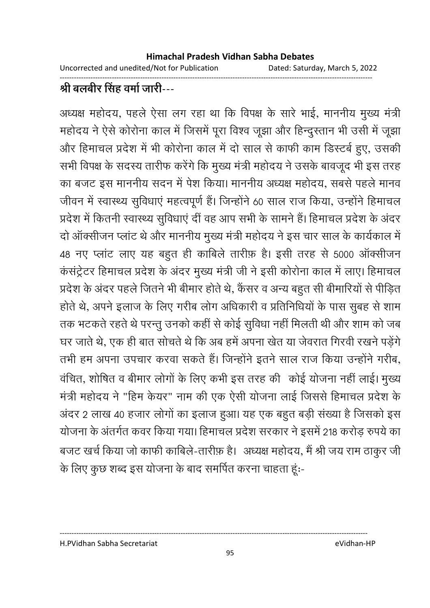Uncorrected and unedited/Not for Publication Dated: Saturday, March 5, 2022

------------------------------------------------------------------------------------------------------------------------------------

# श्री बलबीर सिंह वर्मा जारी---

अध्यक्ष महोदय, पहले ऐसा लग रहा था कि विपक्ष के सारे भाई, माननीय मुख्य मंत्री महोदय ने ऐसे कोरोना काल में जिसमें पूरा विश्व जूझा और हिन्दुस्तान भी उसी में जूझा और हिमाचल प्रदेश में भी कोरोना काल में दो साल से काफी काम डिस्टर्ब हुए, उसकी सभी विपक्ष के सदस्य तारीफ करेंगे कि मुख्य मंत्री महोदय ने उसके बावजूद भी इस तरह का बजट इस माननीय सदन में पेश किया। माननीय अध्यक्ष महोदय, सबसे पहले मानव जीवन में स्वास्थ्य सुविधाएं महत्वपूर्ण हैं। जिन्होंने 60 साल राज किया, उन्होंने हिमाचल प्रदेश में कितनी स्वास्थ्य सुविधाएं दी वह आप सभी के सामने हैं। हिमाचल प्रदेश के अंदर दो ऑक्सीजन प्लांट थे और माननीय मुख्य मंत्री महोदय ने इस चार साल के कार्यकाल में 48 नए प्लांट लाए यह बहुत ही काबिले तारीफ़ है। इसी तरह से 5000 ऑक्सीजन कसट्रेटर हिमाचल प्रदेश के अंदर मुख्य मंत्री जी ने इसी कोरोना काल में लाए। हिमाचल प्रदेश के अंदर पहले जितने भी बीमार होते थे, कैंसर व अन्य बहुत सी बीमारियों से पीड़ित होते थे, अपने इलाज के लिए गरीब लोग अधिकारी व प्रतिनिधियों के पास सुबह से शाम तक भटकते रहते थे परन्तु उनको कहीं से कोई सुविधा नहीं मिलती थी और शाम को जब घर जाते थे, एक ही बात सोचते थे कि अब हमें अपना खेत या जेवरात गिरवी रखने पड़ेंगे. तभी हम अपना उपचार करवा सकते हैं। जिन्होंने इतने साल राज किया उन्होंने गरीब, वंचित, शोषित व बीमार लोगों के लिए कभी इस तरह की कोई योजना नहीं लाई। मुख्य मंत्री महोदय ने "हिम केयर" नाम की एक ऐसी योजना लाई जिससे हिमाचल प्रदेश के अंदर 2 लाख 40 हजार लोगों का इलाज हुआ। यह एक बहुत बड़ी संख्या है जिसको इस योजना के अंतर्गत कवर किया गया। हिमाचल प्रदेश सरकार ने इसमें 218 करोड़ रुपये का बजट खर्च किया जो काफी कार्बिले-तारीफ़ है। अध्यक्ष महोदय, मैं श्री जय राम ठाकुर जी के लिए कुछ शब्द इस योजना के बाद समर्पित करना चाहता हूं:-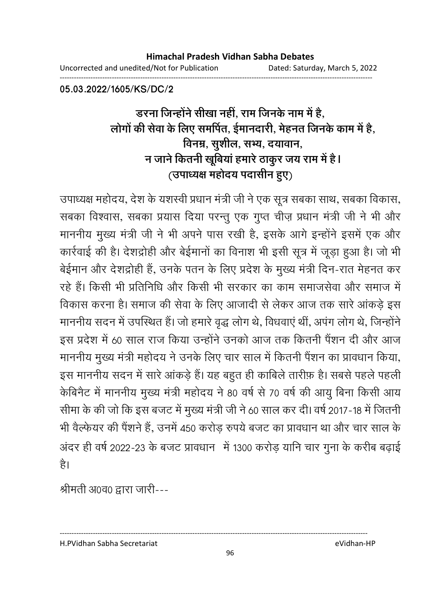Uncorrected and unedited/Not for Publication Dated: Saturday, March 5, 2022

------------------------------------------------------------------------------------------------------------------------------------

**05.03.2022/1605/KS/DC/2**

# <u>डरना जिन्होंने सीखा नहीं, राम जिनके नाम में हैं,</u> लोगों की सेवा के लिए समर्पित, ईमानदारी, मेहनत जिनके काम में हैं, विनम्र, सुशील, सभ्य, दयावान, न जाने कितनी खूबिया हमारे ठाकुर जय राम में हैं l (उपाध्यक्ष महोदय पदासीन हुए)

उपाध्यक्ष महोदय, देश के यशस्वी प्रधान मंत्री जी ने एक सूत्र सबका साथ, सबका विकास, सबका विश्वास, सबका प्रयास दिया परन्तु एक गुप्त चीज़ प्रधान मंत्री जी ने भी और माननीय मुख्य मंत्री जी ने भी अपने पास रखी है, इसके आगे इन्होंने इसमें एक और कार्रवाई की है। देशद्रोही और बेईमानों का विनाश भी इसी सूत्र में जूड़ा हुआ है। जो भी बेईमान और देशद्रोही हैं, उनके पतन के लिए प्रदेश के मुख्य मंत्री दिन-रात मेहनत कर रहे हैं। किसी भी प्रतिनिधि और किसी भी सरकार का काम समाजसेवा और समाज में विकास करना है। समाज की सेवा के लिए आजादी से लेकर आज तक सारे आंकड़े इस माननीय सदन में उपस्थित है। जो हमारे वृद्ध लोग थे, विधवाएं थी, अपग लोग थे, जिन्होंने | इस प्रदेश में 60 साल राज किया उन्होंने उनको आज तक कितनी पैंशन दी और आज माननीय मुख्य मंत्री महोदय ने उनके लिए चार साल में कितनी पैंशन का प्रावधान किया, इस माननीय सदन में सारे आंकड़े हैं। यह बहुत ही काबिले तारीफ़ है। सबसे पहले पहली केबिनैट में माननीय मुख्य मंत्री महोदय ने 80 वर्ष से 70 वर्ष की आयु बिना किसी आय सीमा के की जो कि इस बजट में मुख्य मंत्री जी ने 60 साल कर दी। वर्ष 2017-18 में जितनी भी वैल्फेयर की पैंशने हैं, उनमें 450 करोड़ रुपये बजट का प्रावधान था और चार साल के अंदर ही वर्ष 2022-23 के बजट प्रावधान में 1300 करोड़ यानि चार गुना के करीब बढ़ाई है।

श्रीमती अ0व0 द्वारा जारी---

H.PVidhan Sabha Secretariat eVidhan-HP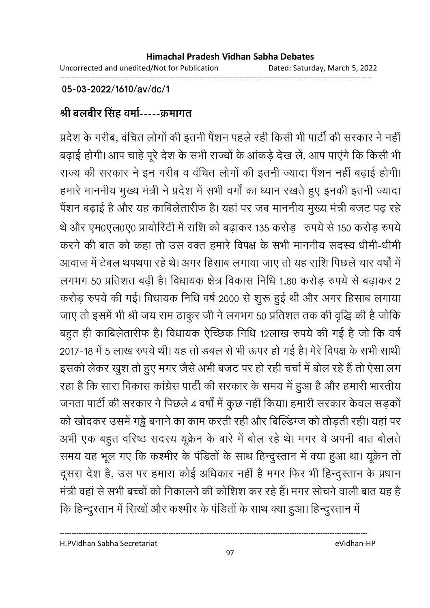### **05-03-2022/1610/av/dc/1**

### श्री बलबीर सिंह वर्मा-----क्रमागत

प्रदेश के गरीब, वंचित लोगों की इतनी पैंशन पहले रही किसी भी पार्टी की सरकार ने नहीं बढ़ाई होगी। आप चाहे पूरे देश के सभी राज्यों के आंकड़े देख लें, आप पाएंगे कि किसी भी राज्य की सरकार ने इन गरीब व वंचित लोगों की इतनी ज्यादा पैंशन नहीं बढ़ाई होगी। हमारे माननीय मुख्य मंत्री ने प्रदेश में सभी वर्गों का ध्यान रखते हुए इनकी इतनी ज्यादा पेंशन बढ़ाई है और यह काबिलेतारीफ है। यहां पर जब माननीय मुख्य मंत्री बजट पढ़ रहे थे और एम0एल0ए0 प्रायोरिटी में राशि को बढ़ाकर 135 करोड़ रुपये से 150 करोड़ रुपये करने की बात को कहा तो उस वक्त हमारे विपक्ष के सभी माननीय सदस्य धीमी-धीमी आवाज में टेबल थपथपा रहे थे। अगर हिसाब लगाया जाए तो यह राशि पिछले चार वर्षों में लगभग 50 प्रतिशत बढ़ी है। विधायक क्षेत्र विकास निधि 1.80 करोड़ रुपये से बढ़ाकर 2 करोड़ रुपये की गई। विधायक निधि वर्ष 2000 से शुरू हुई थी और अगर हिसाब लगाया जाए तो इसमें भी श्री जय राम ठाकुर जी ने लगभग 50 प्रतिशत तक की वृद्धि की है जोकि बहुत ही काबिलेतारीफ है। विधायक ऐच्छिक निधि 12लाख रुपये की गई है जो कि वर्ष 2017-18 में 5 लाख रुपये थी। यह तो डबल से भी ऊपर हो गई है। मेरे विपक्ष के सभी साथी इसको लेकर खुश तो हुए मगर जैसे अभी बजट पर हो रही चर्चा में बोल रहे हैं तो ऐसा लग रहा है कि सारा विकास कांग्रेस पार्टी की सरकार के समय में हुआ है और हमारी भारतीय जनता पार्टी की सरकार ने पिछले 4 वर्षों में कुछ नहीं किया। हमारी सरकार केवल सड़कों को खोदकर उसमें गड्ढे बनाने का काम करती रही और बिल्डिंग्ज को तोड़ती रही। यहां पर अभी एक बहुत वरिष्ठ सदस्य यूक्रेन के बारे में बोल रहे थे। मगर ये अपनी बात बोलतें समय यह भूल गए कि कश्मीर के पंडितों के साथ हिन्दुस्तान में क्या हुआ था। यूक्रेन तो दूसरा देश है, उस पर हमारा कोई अधिकार नहीं है मगर फिर भी हिन्दुस्तान के प्रधान मंत्री वहां से सभी बच्चों को निकालने की कोशिश कर रहे हैं। मगर सोचने वाली बात यह है

कि हिन्दुस्तान में सिखों और कश्मीर के पंडितों के साथ क्या हुआ। हिन्दुस्तान में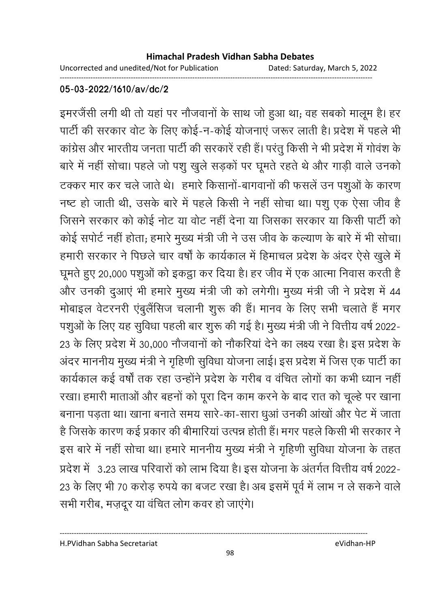Uncorrected and unedited/Not for Publication Dated: Saturday, March 5, 2022

------------------------------------------------------------------------------------------------------------------------------------

#### **05-03-2022/1610/av/dc/2**

इमरजैंसी लगी थी तो यहां पर नौजवानों के साथ जो हुआ था; वह सबको मालूम है। हर पार्टी की सरकार वोट के लिए कोई-न-कोई योजनाएं जरूर लाती है। प्रदेश में पहले भी कांग्रेस और भारतीय जनता पार्टी की सरकारें रही हैं। परंतु किसी ने भी प्रदेश में गोवंश के बारे में नहीं सोचा। पहले जो पशु खुले सड़कों पर घूमते रहते थे और गाड़ी वाले उनको टक्कर मार कर चले जाते थे। हमारे किसानों-बागवानों की फसलें उन पशुओं के कारण नष्ट हो जाती थी, उसके बारे में पहले किसी ने नहीं सोचा था। पशु एक ऐसा जीव है जिसने सरकार को कोई नोट या वोट नहीं देना या जिसका सरकार या किसी पार्टी को कोई सपोर्ट नहीं होता; हमारे मुख्य मंत्री जी ने उस जीव के कल्याण के बारे में भी सोचा। हमारी सरकार ने पिछले चार वर्षों के कार्यकाल में हिमाचल प्रदेश के अंदर ऐसे खुले में घूमते हुए 20,000 पशुओं को इकट्ठा कर दिया है। हर जीव में एक आत्मा निवास करती है और उनकी दुआएं भी हमारे मुख्य मंत्री जी को लगेगी। मुख्य मंत्री जी ने प्रदेश में 44 मोबाइल वेटरनरी एंबुलैंसिज चलानी शुरू की हैं। मानव के लिए सभी चलाते हैं मगर पशुओं के लिए यह सुविधा पहली बार शुरू की गई है। मुख्य मंत्री जी ने वित्तीय वर्ष 2022-23 के लिए प्रदेश में 30,000 नौजवानों को नौकरियां देने का लक्ष्य रखा है। इस प्रदेश के अंदर माननीय मुख्य मंत्री ने गृहिणी सुविधा योजना लाई। इस प्रदेश में जिस एक पार्टी का कार्यकाल कई वर्षों तक रहा उन्होंने प्रदेश के गरीब व वंचित लोगों का कभी ध्यान नहीं रखा। हमारी माताओं और बहनों को पूरा दिन काम करने के बाद रात को चूल्हे पर खाना बनाना पड़ता था। खाना बनाते समय सारे-का-सारा धूआं उनकी आंखों और पेट में जाता है जिसके कारण कई प्रकार की बीमारियां उत्पन्न होती हैं। मगर पहले किसी भी सरकार ने इस बारे में नहीं सोचा था। हमारे माननीय मुख्य मंत्री ने गृहिणी सुविधा योजना के तहत प्रदेश में -3.23 लाख परिवारों को लाभ दिया है। इस योजना के अंतर्गत वित्तीय वर्ष 2022-23 के लिए भी 70 करोड़ रुपये का बजट रखा है। अब इसमें पूर्व में लाभ न ले सकने वालें सभी गरीब, मज़दूर या वंचित लोग कवर हो जाएंगे।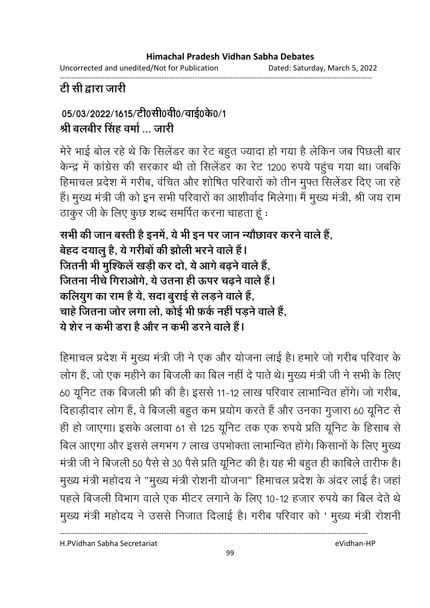Uncorrected and unedited/Not for Publication

Dated: Saturday, March 5, 2022

# टी सी द्वारा जारी

# 05/03/2022/1615/टी0सी0वी0/वाई0के0/1 श्री बलबीर सिंह वर्मा ... जारी

मेरे भाई बोल रहे थे कि सिलेंडर का रेट बहुत ज्यादा हो गया है लेकिन जब पिछली बार केन्द्र में कांग्रेस की सरकार थी तो सिलेंडर का रेट 1200 रुपये पहुंच गया था। जबकि हिमाचल प्रदेश में गरीब, वंचित और शोषित परिवारों को तीन मुफ्त सिलेंडर दिए जा रहे हैं। मुख्य मंत्री जी को इन सभी परिवारों का आशीर्वाद मिलेगा। मैं मुख्य मंत्री, श्री जय राम ठाकुर जी के लिए कुछ शब्द समर्पित करना चाहता हूं :

सभी की जान बस्ती है इनमें, ये भी इन पर जान न्यौछावर करने वाले हैं, बेहद दयालु है, ये गरीबों की झोली भरने वाले हैं। जितनी भी मुश्किलें खड़ी कर दो, ये आगे बढने वाले हैं, जितना नीचे गिराओगे. ये उतना ही ऊपर चढने वाले हैं। कलियुग का राम है ये, सदा बुराई से लड़ने वाले हैं, चाहे जितना जोर लगा लो. कोई भी फ़र्क नहीं पडने वाले हैं. ये शेर न कभी डरा है और न कभी डरने वाले हैं।

हिमाचल प्रदेश में मुख्य मंत्री जी ने एक और योजना लाई है। हमारे जो गरीब परिवार के लोग हैं, जो एक महीने का बिजली का बिल नहीं दे पाते थे। मुख्य मंत्री जी ने सभी के लिए 60 यूनिट तक बिजली फ्री की है। इससे 11-12 लाख परिवार लाभान्वित होंगे। जो गरीब, दिहाड़ीदार लोग हैं, वे बिजली बहुत कम प्रयोग करते हैं और उनका गुजारा 60 यूनिट से ही हो जाएगा। इसके अलावा 61 से 125 यूनिट तक एक रुपये प्रति यूनिट के हिसाब से बिल आएगा और इससे लगभग 7 लाख उपभोक्ता लाभान्वित होंगे। किसानों के लिए मुख्य मंत्री जी ने बिजली 50 पैसे से 30 पैसे प्रति यूनिट की है। यह भी बहुत ही काबिले तारीफ है। मुख्य मंत्री महोदय ने "मुख्य मंत्री रोशनी योजना" हिमाचल प्रदेश के अंदर लाई है। जहां पहले बिजली विभाग वाले एक मीटर लगाने के लिए 10-12 हजार रुपये का बिल देते थे मुख्य मंत्री महोदय ने उससे निजात दिलाई है। गरीब परिवार को ' मुख्य मंत्री रोशनी

H.PVidhan Sabha Secretariat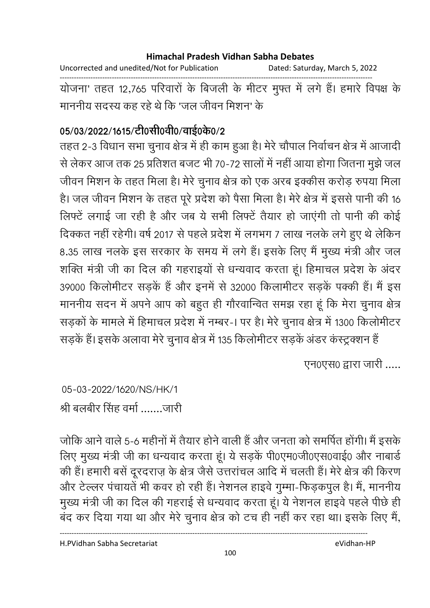Uncorrected and unedited/Not for Publication Dated: Saturday, March 5, 2022 ------------------------------------------------------------------------------------------------------------------------------------ योजना' तहत 12,765 परिवारों के बिजली के मीटर मुफ्त में लगे हैं। हमारे विपक्ष के

माननीय सदस्य कह रहे थे कि 'जल जीवन मिशन' के

### 05/03/2022/1615/टी0सी0वी0/वाई0के0/2

तहत 2-3 विधान सभा चुनाव क्षेत्र में ही काम हुआ है। मेरे चौपाल निर्वाचन क्षेत्र में आजादी से लेकर आज तक 25 प्रतिशत बजट भी 70-72 सालों में नहीं आया होगा जितना मुझे जल जीवन मिशन के तहत मिला है। मेरे चुनाव क्षेत्र को एक अरब इक्कीस करोड़ रुपया मिला है। जल जीवन मिशन के तहत पूरे प्रदेश को पैसा मिला है। मेरे क्षेत्र में इससे पानी की 16 लिफ्टें लगाई जा रही है और जब ये सभी लिफ्टें तैयार हो जाएंगी तो पानी की कोई दिक्कत नहीं रहेगी। वर्ष 2017 से पहले प्रदेश में लगभग 7 लाख नलके लगे हुए थे लेकिन 8.35 लाख नलके इस सरकार के समय में लगे हैं। इसके लिए मैं मुख्य मंत्री और जल शक्ति मंत्री जी का दिल की गहराइयों से धन्यवाद करता हूं। हिमाचल प्रदेश के अंदर 39000 किलोमीटर सड़कें हैं और इनमें से 32000 किलामीटर सड़कें पक्की हैं। मैं इस माननीय सदन में अपने आप को बहुत ही गौरवान्वित समझ रहा हूं कि मेरा चुनाव क्षेत्र | सड़कों के मामले में हिमाचल प्रदेश में नम्बर-। पर है। मेरे चुनाव क्षेत्र में 1300 किलोमीटर सड़के हैं। इसके अलावा मेरे चुनाव क्षेत्र में 135 किलोमीटर सड़के अंडर कस्ट्रक्शन है

एन0एस0 द्वारा जारी .....

05-03-2022/1620/NS/HK/1 श्री बलबीर सिंह वर्मा .......जारी

जोकि आने वाले 5-6 महीनों में तैयार होने वाली हैं और जनता को समर्पित होंगी। मैं इसके लिए मुख्य मंत्री जी का धन्यवाद करता हूं। ये सड़कें पी0एम0जी0एस0वाई0 और नाबार्ड की हैं। हमारी बसें दूरदराज़ के क्षेत्र जैसे उत्तरांचल आदि में चलती हैं। मेरे क्षेत्र की किरण और टेल्लर पंचायतें भी कवर हो रही हैं। नेशनल हाइवे गुम्मा-फिड़कपुल है। मैं, माननीय मुख्य मंत्री जी का दिल की गहराई से धन्यवाद करता हूं। ये नेशनल हाइवे पहले पीछे ही बंद कर दिया गया था और मेरे चुनाव क्षेत्र को टच ही नहीं कर रहा था। इसके लिए मैं,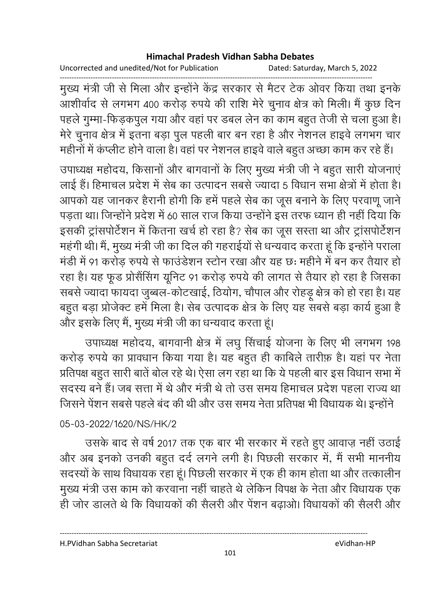Uncorrected and unedited/Not for Publication Dated: Saturday, March 5, 2022

------------------------------------------------------------------------------------------------------------------------------------ मुख्य मंत्री जी से मिला और इन्होंने केंद्र सरकार से मैटर टेक ओवर किया तथा इनके आशीर्वाद से लगभग 400 करोड़ रुपये की राशि मेरे चुनाव क्षेत्र को मिली। मैं कुछ दिन पहले गुम्मा-फिड़कपुल गया और वहां पर डबल लेन का काम बहुत तेजी से चला हुआ है। मेरे चुनाव क्षेत्र में इतना बड़ा पुल पहली बार बन रहा है और नेशनल हाइवे लगभग चार महीनों में कंप्लीट होने वाला है। वहां पर नेशनल हाइवें वाले बहुत अच्छा काम कर रहे हैं।

उपाध्यक्ष महोदय, किसानों और बागवानों के लिए मुख्य मंत्री जी ने बहुत सारी योजनाएं लाई हैं। हिमाचल प्रदेश में सेब का उत्पादन सबसे ज्यादा 5 विधान सभा क्षेत्रों में होता है। आपको यह जानकर हैरानी होगी कि हमें पहले सेब का जूस बनाने के लिए परवाणू जाने पड़ता था। जिन्होंने प्रदेश में 60 साल राज किया उन्होंने इस तरफ ध्यान ही नहीं दिया कि इसकी ट्रांसपोर्टेशन में कितना खर्च हो रहा है? सेब का जूस सस्ता था और ट्रांसपोर्टेशन महंगी थी। मैं, मुख्य मंत्री जी का दिल की गहराईयों से धन्यवाद करता हूं कि इन्होंने पराला मंडी में 91 करोड़ रुपये से फाउंडेशन स्टोन रखा और यह छः महीने में बन कर तैयार हो रहा है। यह फूड प्रोसैंसिंग यूनिट 91 करोड़ रुपये की लागत से तैयार हो रहा है जिसका सबसे ज्यादा फायदा जुब्बल-कोटखाई, ठियोग, चौपाल और रोहड़ू क्षेत्र को हो रहा है। यह बहुत बड़ा प्रोजेक्ट हमें मिला है। सेब उत्पादक क्षेत्र के लिए यह संबसे बड़ा कार्य हुआ है और इसके लिए मैं, मुख्य मंत्री जी का धन्यवाद करता हूं।

उपाध्यक्ष महोदय, बागवानी क्षेत्र में लघु सिंचाई योजना के लिए भी लगभग 198 करोड़ रुपये का प्रावधान किया गया है। यह बहुत ही काबिले तारीफ़ है। यहां पर नेता प्रतिपक्ष बहुत सारी बातें बोल रहे थे। ऐसा लग रहा था कि ये पहली बार इस विधान सभा में सदस्य बने हैं। जब सत्ता में थे और मंत्री थे तो उस समय हिमाचल प्रदेश पहला राज्य था जिसने पेंशन सबसे पहले बंद की थी और उस समय नेता प्रतिपक्ष भी विधायक थे। इन्होंने

### 05-03-2022/1620/NS/HK/2

उसके बाद से वर्ष 2017 तक एक बार भी सरकार में रहते हुए आवाज़ नहीं उठाई और अब इनको उनकी बहुत दर्द लगने लगी है। पिछली सरकार में, मैं सभी माननीय सदस्यों के साथ विधायक रहा हूं। पिछली सरकार में एक ही काम होता था और तत्कालीन मुख्य मंत्री उस काम को करवाना नहीं चाहते थे लेकिन विपक्ष के नेता और विधायक एक ही जोर डालते थे कि विधायकों की सैलरी और पेंशन बढ़ाओ। विधायकों की सैलरी और

H.PVidhan Sabha Secretariat eVidhan-HP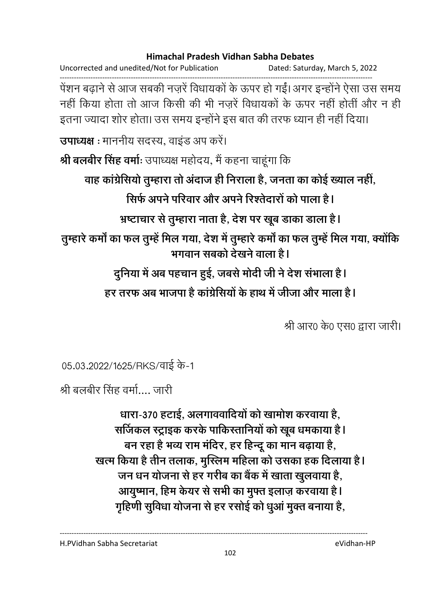Uncorrected and unedited/Not for Publication Dated: Saturday, March 5, 2022 ------------------------------------------------------------------------------------------------------------------------------------ पेशन बढ़ाने से आज सबकी नज़रें विधायकों के ऊपर हो गई। अगर इन्होंने ऐसा उस समय नहीं किया होता तो आज किसी की भी नजरें विधायकों के ऊपर नहीं होतीं और न ही इतना ज्यादा शोर होता। उस समय इन्होंने इस बात की तरफ ध्यान ही नहीं दिया। **उपाध्यक्ष** : माननीय सदस्य, वाइंड अप करे। श्री बलबीर सिंह वर्माः उपाध्यक्ष महोदय, मैं कहना चाहूंगा कि वाह कांग्रेसियो तुम्हारा तो अदाज ही निराला है, जनता का कोई ख्याल नहीं, सिर्फ अपने परिवार और अपने रिश्तेदारों को पाला है। भ्रष्टाचार से तुम्हारा नाता है, देश पर खूब डाका डाला है**।** तुम्हारे कर्मा का फल तुम्हें मिल गया, देश में तुम्हारे कर्मा का फल तुम्हें मिल गया, क्योंकि भगवान सबको देखने वाला है। <u>दुर्निया में अब पहचान हुई, जबसे मोदी जी ने देश सभाला है l</u> हर तरफ अब भाजपा है कांग्रेसियों के हाथ में जीजा और माला है l

श्री आर0 के0 एस0 द्वारा जारी।

05.03.2022/1625/RKS/वाई के-1

श्री बलबीर सिंह वर्मा.... जारी

धारा-370 हटाई, अलगाववादियों को खामोश करवाया है, सजिकल स्ट्राइक करके पाकिस्तानियों को खूब धमकाया <del>है</del> l बन रहा है भव्य राम मंदिर, हर हिन्दू का मान बढ़ाया है, खत्म किया है तीन तलाक, मुस्लिम महिला को उसका हक दिलाया है। जन धन योजना से हर गरीब का बैक में खाता खुलवाया है, आयुष्मान, हिम केयर से सभी का मुफ्त इलाज़ करवाया है। गृहिणी सुर्विधा योजना से हर रसोई को धुआ मुक्त बनाया है,

H.PVidhan Sabha Secretariat eVidhan-HP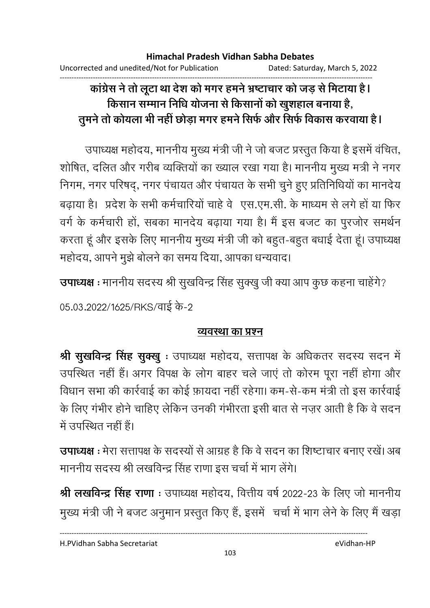# कांग्रेस ने तो लूटा था देश को मगर हमने भ्रष्टाचार को जड़ से मिटाया है। किसान सम्मान निधि योजना से किसानों को खूशहाल बनाया है, तुमने तो कोयला भी नहीं छोड़ा मगर हमने सिर्फ और सिर्फ विकास करवाया है।

उपाध्यक्ष महोदय, माननीय मुख्य मंत्री जी ने जो बजट प्रस्तुत किया है इसमें वंचित, शोषित, दलित और गरीब व्यक्तियों का ख्याल रखा गया है। माननीय मुख्य मत्री ने नगर निगम, नगर परिषद्, नगर पंचायत और पंचायत के सभी चुने हुए प्रतिनिधियों का मानदेय बढ़ाया है। प्रदेश के सभी कर्मचारियों चाहे वे एस.एम.सी. के माध्यम से लगे हों या फिर वर्ग के कर्मचारी हों, सबका मानदेय बढ़ाया गया है। मैं इस बजट का पुरजोर समर्थन करता हूं और इसके लिए माननीय मुख्य मंत्री जी को बहुत-बहुत बधाई देता हूं। उपाध्यक्ष महोदय, आपने मुझे बोलने का समय दिया, आपका धन्यवाद।

उपाध्यक्ष : माननीय सदस्य श्री सुखविन्द्र सिंह सुक्खु जी क्या आप कुछ कहना चाहेंगे?

05.03.2022/1625/RKS/वाई के-2

### व्यवस्था का प्रश्न

श्री सुखविन्द्र सिंह सुक्खु: उपाध्यक्ष महोदय, सत्तापक्ष के अधिकतर सदस्य सदन में उपस्थित नहीं हैं। अगर विपक्ष के लोग बाहर चले जाएं तो कोरम पूरा नहीं होगा और विधान सभा की कार्रवाई का कोई फ़ायदा नहीं रहेगा। कम-से-कम मंत्री तो इस कार्रवाई के लिए गंभीर होने चाहिए लेकिन उनकी गंभीरता इसी बात से नज़र आती है कि वे सदन में उपस्थित नहीं हैं।

उपाध्यक्ष : मेरा सत्तापक्ष के सदस्यों से आग्रह है कि वे सदन का शिष्टाचार बनाए रखें। अब माननीय सदस्य श्री लखविन्द्र सिंह राणा इस चर्चा में भाग लेंगे।

श्री लखविन्द्र सिंह राणा : उपाध्यक्ष महोदय, वित्तीय वर्ष 2022-23 के लिए जो माननीय मुख्य मंत्री जी ने बजट अनुमान प्रस्तुत किए हैं, इसमें चर्चा में भाग लेने के लिए मैं खड़ा

H.PVidhan Sabha Secretariat

eVidhan-HP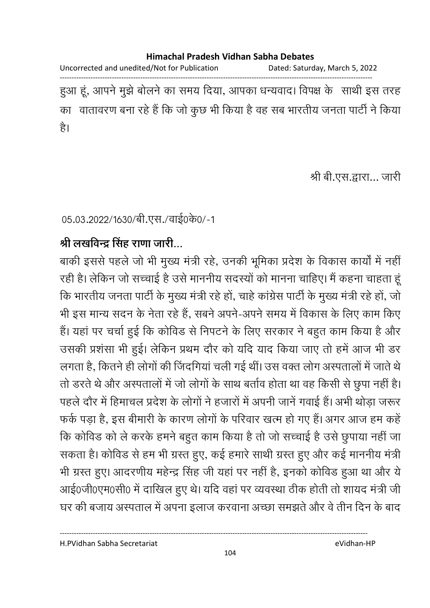Uncorrected and unedited/Not for Publication Dated: Saturday, March 5, 2022

------------------------------------------------------------------------------------------------------------------------------------ हुआ हूं, आपने मुझे बोलने का समय दिया, आपका धन्यवाद। विपक्ष के साथी इस तरह का वातावरण बना रहे हैं कि जो कुछ भी किया है वह सब भारतीय जनता पार्टी ने किया है।

श्री बी.एस.द्वारा... जारी

05.03.2022/1630/बी.एस./वाई0के0/-1

# श्री लखविन्द्र सिंह राणा जारी...

बाकी इससे पहले जो भी मुख्य मंत्री रहे, उनकी भूमिका प्रदेश के विकास कार्यों में नहीं रही है। लेकिन जो सच्चाई है उसे माननीय सदस्यों को मानना चाहिए। मैं कहना चाहता हूं कि भारतीय जनता पार्टी के मुख्य मंत्री रहे हों, चाहे कांग्रेस पार्टी के मुख्य मंत्री रहे हों, जो भी इस मान्य सदन के नेता रहे है, सबने अपने-अपने समय में विकास के लिए काम किए हैं। यहां पर चर्चा हुई कि कोविड से निपटने के लिए सरकार ने बहुत काम किया है और उसकी प्रशंसा भी हुई। लेकिन प्रथम दौर को यदि याद किया जाए तो हमें आज भी डर लगता है, कितने ही लोगों की जिंदगिया चली गई थी। उस वक्त लोग अस्पतालों में जाते थे तों डरते थे और अस्पतालों में जो लोगों के साथ बतोव होता था वह किसी से छुपा नहीं हैं। पहले दौर में हिमाचल प्रदेश के लोगों ने हजारों में अपनी जाने गवाई है। अभी थोड़ा जरूर फर्क पड़ा है, इस बीमारी के कारण लोगों के परिवार खत्म हो गए है। अगर आज हम कहें कि कोविड को ले करके हमने बहुत काम किया है तो जो सच्चाई है उसे छूपाया नहीं जा सकता है। कोविड से हम भी ग्रस्त हुए, कई हमारे साथी ग्रस्त हुए और कई माननीय मंत्री भी ग्रस्त हुए। आदरणीय महेन्द्र सिंह जी यहां पर नहीं है, इनको कोविड हुआ था और ये आई0जी0एम0सी0 में दाखिल हुए थे। यदि वहां पर व्यवस्था ठीक होती तो शायद मंत्री जी घर की बजाय अस्पताल में अपना इलाज करवाना अच्छा समझते और वे तीन दिन के बाद

H.PVidhan Sabha Secretariat eVidhan-HP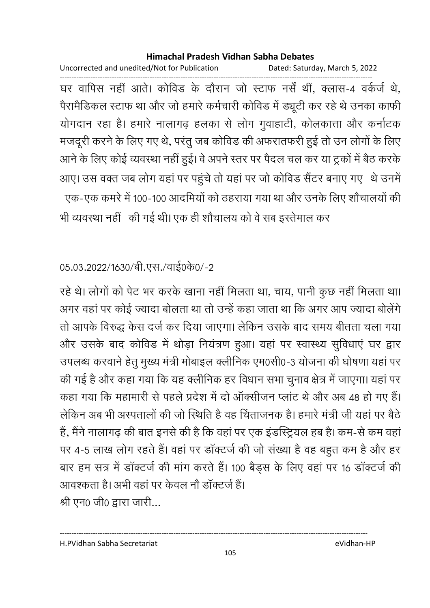Uncorrected and unedited/Not for Publication Dated: Saturday, March 5, 2022 ------------------------------------------------------------------------------------------------------------------------------------ घर वापिस नहीं आते। कोविड के दौरान जो स्टाफ नर्स थी, क्लास-4 वर्कजे थे, पैरामैडिकल स्टाफ था और जो हमारे कर्मचारी कोविड में ड्यूटी कर रहे थे उनका काफी योगदान रहा है। हमारे नालागढ़ हलका से लोग गुवाहाटी, कोलकात्ता और कर्नाटक मजदूरी करने के लिए गए थे, परंतु जब कोविंड की अफरातफरी हुई तो उन लोगों के लिए आने के लिए कोई व्यवस्था नहीं हुई। वे अपने स्तर पर पैदल चल कर या ट्रकों में बैठ करके आए। उस वक्त जब लोग यहां पर पहुंचे तो यहां पर जो कोविड सैंटर बनाए गए थे उनमें एक-एक कमरे में 100-100 आदमियों को ठहराया गया था और उनके लिए शौचालयों की भी व्यवस्था नहीं की गई थी। एक ही शौचालय को वे सब इस्तेमाल कर

### 05.03.2022/1630/बी.एस./वाई0के0/-2

रहे थे। लोगों को पेट भर करके खाना नहीं मिलता था, चाय, पानी कुछ नहीं मिलता था। अगर वहां पर कोई ज्यादा बोलता था तो उन्हें कहा जाता था कि अगर आप ज्यादा बोलेंगे। तो आपके विरुद्ध केस दर्ज कर दिया जाएगा। लेकिन उसके बाद समय बीतता चला गया और उसके बाद कोविड में थोड़ा नियंत्रण हुआ। यहां पर स्वास्थ्य सुविधाएं घर द्वार उपलब्ध करवाने हेतु मुख्य मंत्री मोबाइल क्लीनिक एम0सी0-3 योजना की घोषणा यहां पर की गई है और कहा गया कि यह क्लीनिक हर विधान सभा चुनाव क्षेत्र में जाएगा। यहां पर कहा गया कि महामारी से पहले प्रदेश में दो आक्सीजन प्लाट थे और अब 48 हो गए हैं। लेकिन अब भी अस्पतालों की जो स्थिति है वह चिंताजनक है। हमारे मंत्री जी यहां पर बैठें हैं, मैंने नालागढ़ की बात इनसे की है कि वहां पर एक इंडस्ट्रियल हब है। कम-से कम वहां पर 4-5 लाख लोग रहते हैं। वहां पर डॉक्टर्ज की जो संख्या है वह बहुत कम है और हर बार हम सत्र में डॉक्टर्ज की मांग करते हैं। 100 बैड़स के लिए वहां पर 16 डॉक्टर्ज की आवश्कता है। अभी वहां पर केवल नौ डाक्टजे हैं। श्री एन0 जी0 द्वारा जारी...

H.PVidhan Sabha Secretariat eVidhan-HP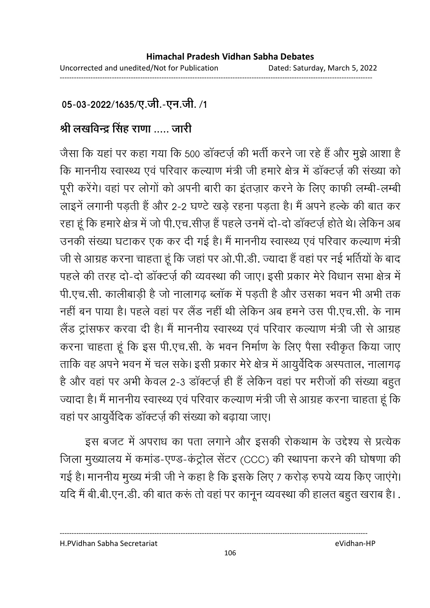### 05-03-2022/1635/ए.जी.-एन.जी. /1

# श्री लखविन्द्र सिंह राणा ..... जारी

जैसा कि यहां पर कहा गया कि 500 डॉक्टर्ज़ की भर्ती करने जा रहे हैं और मुझे आशा है कि माननीय स्वास्थ्य एवं परिवार कल्याण मंत्री जी हमारे क्षेत्र में डॉक्टर्ज़ की संख्या को पूरी करेगे। वहां पर लोगों को अपनी बारी का इतज़ार करने के लिए काफी लम्बी-लम्बी लाइने लगानी पड़ती है और 2-2 घण्टे खड़े रहना पड़ता है। मैं अपने हल्के की बात कर रहा हूं कि हमारे क्षेत्र में जो पी.एच.सीज़ है पहले उनमें दो-दो डाक्टज़ें होते थे। लेकिन अब उनकी संख्या घटाकर एक कर दी गई है। मैं माननीय स्वास्थ्य एवं परिवार कल्याण मंत्री जी से आग्रह करना चाहता हूं कि जहां पर ओ.पी.डी. ज्यादा हैं वहां पर नई भर्तियों के बाद पहले की तरह दो-दो डॉक्टर्ज़ की व्यवस्था की जाए। इसी प्रकार मेरे विधान सभा क्षेत्र में पी.एच.सी. कालीबाड़ी है जो नालागढ़ ब्लाक में पड़ती है और उसका भवन भी अभी तक नहीं बन पाया है। पहले वहां पर लैंड नहीं थी लेकिन अब हमने उस पी.एच.सी. के नाम लैंड ट्रांसफर करवा दी है। मैं माननीय स्वास्थ्य एवं परिवार कल्याण मंत्री जी से आग्रह करना चाहता हूं कि इस पी.एच.सी. के भवन निर्माण के लिए पैसा स्वीकृत किया जाए ताकि वह अपने भवन में चल सके। इसी प्रकार मेरे क्षेत्र में आयुर्वेदिक अस्पताल, नालागढ़ है और वहां पर अभी केवल 2-3 डाक्टज़े ही है लेकिन वहां पर मरीजों की संख्या बहुत ज्यादा है। मैं माननीय स्वास्थ्य एवं परिवार कल्याण मंत्री जी से आग्रह करना चाहता हूं कि वहां पर आयुर्वेदिक डॉक्टर्ज़ की संख्या को बढ़ाया जाए।

इस बजट में अपराध का पता लगाने और इसकी रोकथाम के उद्देश्य से प्रत्येक जिला मुख्यालय में कमांड-एण्ड-कंट्रोल सेंटर (CCC) की स्थापना करने की घोषणा की गई है। माननीय मुख्य मंत्री जी ने कहा है कि इसके लिए 7 करोड़ रुपये व्यय किए जाएंगे। यदि मैं बी.बी.एन.डी. की बात करूं तो वहां पर कानून व्यवस्था की हालत बहुत खराब है। .

H.PVidhan Sabha Secretariat eVidhan-HP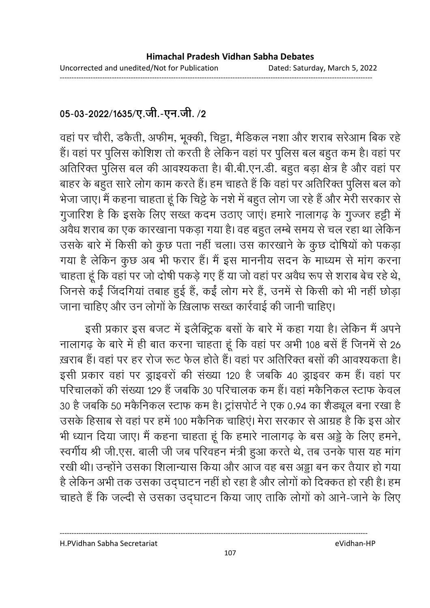# 05-03-2022/1635/ए.जी.-एन.जी. /2

वहां पर चौरी, डकैती, अफीम, भूक्की, चिट्टा, मैडिकल नशा और शराब सरेआम बिक रहे हैं। वहां पर पुलिस कोशिश तो करती है लेकिन वहां पर पुलिस बल बहुत कम है। वहां पर अतिरिक्त पुलिस बल की आवश्यकता है। बी.बी.एन.डी. बहुत बड़ा क्षेत्र है और वहां पर बाहर के बहुत सारे लोग काम करते हैं। हम चाहते हैं कि वहां पर अतिरिक्त पुलिस बल को भेजा जाए। मैं कहना चाहता हूं कि चिट्टे के नशे में बहुत लोग जा रहे हैं और मेरी सरकार से गुजारिश है कि इसके लिए सख्त कदम उठाए जाएं। हमारे नालागढ़ के गुज्जर हट्टी में अवैध शराब का एक कारखाना पकड़ा गया है। वह बहुत लम्बे समय से चल रहा था लेकिन उसके बारे में किसी को कुछ पता नहीं चला। उस कारखाने के कुछ दोषियों को पकड़ा गया है लेकिन कुछ अब भी फरार हैं। मैं इस माननीय सदन के माध्यम से मांग करना चाहता हूं कि वहाँ पर जो दोषी पकड़े गए हैं या जो वहां पर अवैध रूप से शराब बेच रहे थे, जिनसे कईं जिंदगियां तबाह हुई हैं, कईं लोग मरे हैं, उनमें से किसी को भी नहीं छोड़ा जाना चाहिए और उन लोगों के ख़िलाफ सख्त कार्रवाई की जानी चाहिए।

इसी प्रकार इस बजट में इलैक्ट्रिक बसों के बारे में कहा गया है। लेकिन मैं अपने नालागढ़ के बारे में ही बात करना चाहता हूं कि वहां पर अभी 108 बसें हैं जिनमें से 26 ख़राब हैं। वहां पर हर रोज रूट फेल होते हैं। वहां पर अतिरिक्त बसों की आवश्यकता है। इसी प्रकार वहां पर ड्राइवरों की संख्या 120 है जबकि 40 ड्राइवर कम हैं। वहां पर परिचालकों की संख्या 129 हैं जबकि 30 परिचालक कम हैं। वहां मकैनिकल स्टाफ केवल 30 है जबकि 50 मकैनिकल स्टाफ कम है। ट्रांसपोर्ट ने एक 0.94 का शैड्यूल बना रखा है उसके हिसाब से वहां पर हमें 100 मकैनिक चाहिएं। मेरा सरकार से आग्रह है कि इस ओर भी ध्यान दिया जाए। मैं कहना चाहता हूं कि हमारे नालागढ़ के बस अड्डे के लिए हमने, स्वर्गीय श्री जी.एस. बाली जी जब परिवहन मंत्री हुआ करते थे, तब उनके पास यह मांग रखी थी। उन्होंने उसका शिलान्यास किया और आज वह बस अड्डा बन कर तैयार हो गया है लेकिन अभी तक उसका उद्घाटन नहीं हो रहा है और लोगों को दिक्कत हो रही है। हम चाहते हैं कि जल्दी से उसका उद्घाटन किया जाए ताकि लोगों को आने-जाने के लिए

H.PVidhan Sabha Secretariat

eVidhan-HP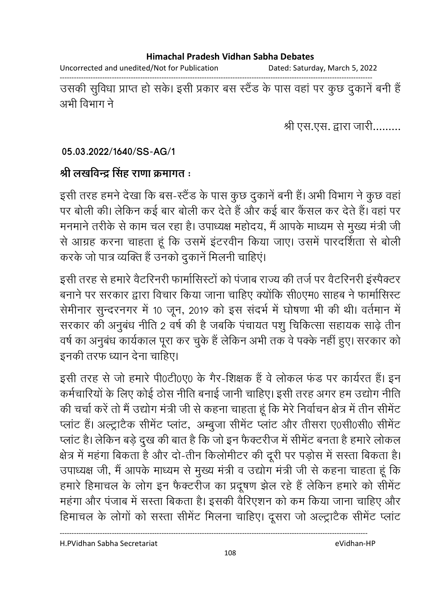Uncorrected and unedited/Not for Publication Dated: Saturday, March 5, 2022

------------------------------------------------------------------------------------------------------------------------------------ उसकी सुविधा प्राप्त हो सके। इसी प्रकार बस स्टैंड के पास वहां पर कुछ दुकाने बनी हैं | अभी विभाग ने

श्री एस.एस. द्वारा जारी.........

**05.03.2022/1640/SS-AG/1**

### श्री लखविन्द्र सिंह राणा क्रमांगत <del>:</del>

इसी तरह हमने देखा कि बस-स्टैंड के पास कुछ दुकाने बनी है। अभी विभाग ने कुछ वहां पर बोली की। लेकिन कई बार बोली कर देते हैं और कई बार कैंसल कर देते हैं। वहां पर मनमाने तरीके से काम चल रहा है। उपाध्यक्ष महोदय, मैं आपके माध्यम से मुख्य मंत्री जी से आग्रह करना चाहता हूं कि उसमें इंटरवीन किया जाए। उसमें पारदर्शिता से बोली करके जो पात्र व्यक्ति हैं उनको दुकानें मिलनी चाहिएं।

इसी तरह से हमारे वैटरिनरी फार्मासिस्टों को पंजाब राज्य की तर्ज पर वैटरिनरी इंस्पैक्टर बनाने पर सरकार द्वारा विचार किया जाना चाहिए क्योंकि सी0एम0 साहब ने फार्मासिस्ट सेमीनार सुन्दरनगर में 10 जून, 2019 को इस संदर्भ में घोषणा भी की थी। वर्तमान में सरकार की अनुबंध नीति 2 वर्ष की है जबकि पंचायत पशु चिकित्सा सहायक साढ़े तीन वर्ष का अनुबंध कार्यकाल पूरा कर चुके हैं लेकिन अभी तक वे पक्के नहीं हुए। सरकार को .<br>इनकी तरफ ध्यान देना चाहिए।

इसी तरह से जो हमारे पी0टी0ए0 के गैर-शिक्षक हैं वे लोकल फंड पर कार्यरत हैं। इन कर्मचारियों के लिए कोई ठोस नीति बनाई जानी चाहिए। इसी तरह अगर हम उद्योग नीति | की चर्चा करें तो मैं उद्योग मंत्री जी से कहना चाहता हूं कि मेरे निर्वाचन क्षेत्र में तीन सीमेंट प्लाट है। अल्ट्रांटैक सीमेंट प्लाट, अम्बुजा सीमेंट प्लाट और तीसरा ए0सी0सी0 सीमेंट प्लांट है। लेकिन बड़े दुख की बात है कि जो इन फैक्टरीज में सीमेंट बनता है हमारे लोकल क्षेत्र में महंगा बिकता है और दो-तीन किलोमीटर की दूरी पर पड़ोस में सस्ता बिकता है। उपाध्यक्ष जी, मैं आपके माध्यम से मुख्य मंत्री व उद्योग मंत्री जी से कहना चाहता हूं कि हमारे हिमाचल के लोग इन फैक्टरीज का प्रदूषण झेल रहे हैं लेकिन हमारे को सीमेंट महंगा और पंजाब में सस्ता बिकता है। इसकी वैरिएशन को कम किया जाना चाहिए और हिमाचल के लोगों को संस्ता सेमिट मिलना चाहिए। दूसरा जो अल्ट्रांटैक सेमिट प्लाट

H.PVidhan Sabha Secretariat eVidhan-HP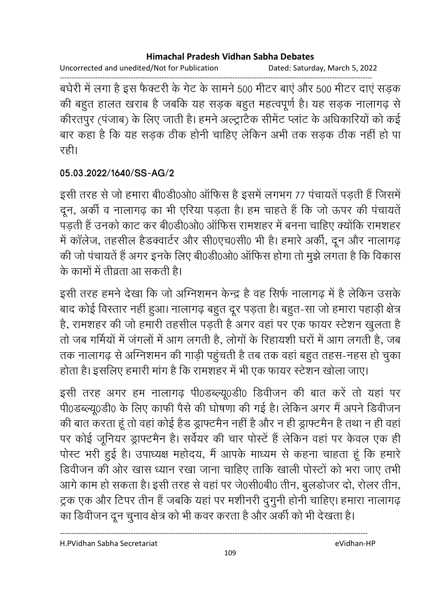#### **Himachal Pradesh Vidhan Sabha Debates**

Uncorrected and unedited/Not for Publication Dated: Saturday, March 5, 2022

------------------------------------------------------------------------------------------------------------------------------------ बंघेरी में लगा है इस फैक्टरी के गेट के सामने 500 मीटर बाए और 500 मीटर दाए सड़क की बहुत हालत खराब है जबकि यह सड़क बहुत महत्वपूर्ण है। यह सड़क नालागढ़ से कीरतपुर (पंजाब) के लिए जाती है। हमने अल्ट्रांटैक सैमिट प्लाट के अधिकारियों को कई बार कहा है कि यह सड़क ठीक होनी चाहिए लेकिन अभी तक सड़क ठीक नहीं हो पा रही।

## **05.03.2022/1640/SS-AG/2**

इसी तरह से जो हमारा बी0डी0ओ0 ऑफिस है इसमें लगभग 77 पंचायतें पड़ती हैं जिसमें दून, अकी व नालागढ़ का भी एरिया पड़ता है। हम चाहते है कि जो ऊपर की पचायते पड़ती हैं उनको काट कर बी0डी0ओ0 ऑफिस रामशहर में बनना चाहिए क्योंकि रामशहर में कालेज, तहसील हैंडक्वार्टर और सी0एच0सी0 भी है। हमारे अर्की, दून और नालागढ़ की जो पंचायते हैं अगर इनके लिए बे0िडी0ओ0 आफिस होगा तो मुझे लगता है कि विकास के कामों में तीवता आ सकती है।

इसी तरह हमने देखा कि जो ओग्नेशमन केन्द्र है वह सिर्फ नालागढ़ में है लेकिन उसके बाद कोई विस्तार नहीं हुआ। नालागढ़ बहुत दूर पड़ता है। बहुत-सा जो हमारा पहाड़ी क्षेत्र है, रामशहर की जो हमारी तहसील पड़ती है अगर वहां पर एक फायर स्टेशन खुलता है तो जब गर्मियों में जंगलों में आग लगती है, लोगों के रिहायशी घरों में आग लगती है, जब तक नालागढ़ से ओग्नेशमन की गाड़ी पहुचती है तब तक वहां बहुत तहस-नहस हो चुका होता है। इसलिए हमारी मांग है कि रामशहर में भी एक फायर स्टेशन खोला जाए।

इसी तरह अगर हम नालागढ़ पी0डब्ल्यू0डी0 डिवीजन की बात करें तो यहां पर पी0ंडब्ल्यू0डी0 के लिए काफी पैसे की घोषणा की गई है। लेकिन अगर मैं अपने डिवीजन की बात करता हूं तो वहां कोई हैड ड्राफ्टमैन नहीं है और न ही ड्राफ्टमैन है तथा न ही वहां पर कोई जूनियर ड्राफ्टमैन है। सर्वेयर की चार पोस्टें हैं लेकिन वहां पर केवल एक ही पोस्ट भरी हुई है। उपाध्यक्ष महोदय, मैं आपके माध्यम से कहना चाहता हूं कि हमारे डिवीजन की ओर खास ध्यान रखा जाना चाहिए ताकि खाली पोस्टों को भरा जाए तभी आगे काम हो सकता है। इसी तरह से वहां पर जे0सी0बी0 तीन, बुलडोजर दो, रोलर तीन, ट्रक एक और टिपर तीन हैं जबकि यहां पर मशीनरी दुगुनी होनी चाहिए। हमारा नालागढ़

का डिवीजन दून चुनाव क्षेत्र को भी कवर करता है और अर्की को भी देखता है।

----------------------------------------------------------------------------------------------------------------------------------

H.PVidhan Sabha Secretariat eVidhan-HP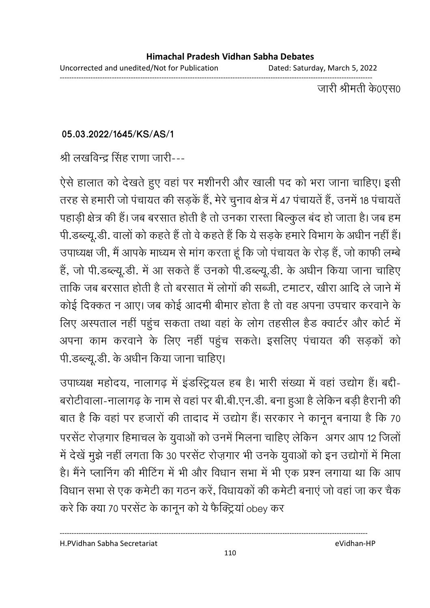जारी श्रीमती के0एस0

## **05.03.2022/1645/KS/AS/1**

श्री लखविन्द्र सिंह राणा जारी---

ऐसे हालात को देखते हुए वहां पर मशीनरी और खाली पद को भरा जाना चाहिए। इसी तरह से हमारी जो पंचायत की सड़कें हैं, मेरे चुनाव क्षेत्र में 47 पंचायतें हैं, उनमें 18 पंचायतें पहाड़ी क्षेत्र की हैं। जब बरसात होती है तो उनका रास्ता बिल्कुल बंद हो जाता है। जब हम पी.डब्ल्यू.डी. वालों को कहते हैं तो वे कहते हैं कि ये सड़के हमारे विभाग के अधीन नहीं हैं। उपाध्यक्ष जी, मैं आपके माध्यम से मांग करता हूं कि जो पंचायत के रोड़ हैं, जो काफी लम्बे है, जो पी.डब्ल्यू.डी. में आ सकते हैं उनको पी.डब्ल्यू.डी. के अधीन किया जाना चाहिए ताकि जब बरसात होती है तो बरसात में लोगों की सब्जी, टमाटर, खीरा आदि ले जाने में कोई दिक्कत न आए। जब कोई आदमी बीमार होता है तो वह अपना उपचार करवाने के लिए अस्पताल नहीं पहुंच सकता तथा वहां के लोग तहसील हैंड क्वार्टर और कोर्ट में अपना काम करवाने के लिए नहीं पहुंच सकते। इसलिए पंचायत की सड़कों को पी.डब्ल्यू.डी. के अंधीन किया जाना चाहिए।

उपाध्यक्ष महोदय, नालागढ़ में इंडस्ट्रियल हब है। भारी संख्या में वहां उद्योग हैं। बद्दी-बरोटीवाला-नालागढ़ के नाम से वहां पर बी.बी.एन.डी. बना हुआ है लेकिन बड़ी हैरानी की बात है कि वहां पर हजारों की तादाद में उद्योग हैं। सरकार ने कानून बनाया है कि 70 .>F .D(. ह !,l 1> ह -(. 
12 @ में देखें मुझे नहीं लगता कि 30 परसेंट रोज़गार भी उनके युवाओं को इन उद्योगों में मिला है। मैंने प्लानिंग की मीटिंग में भी और विधान सभा में भी एक प्रश्न लगाया था कि आप विधान सभा से एक कमेटी का गठन करें, विधायकों की कमेटी बनाएं जो वहां जा कर चैक करे कि क्या 70 परसेंट के कानून को ये फैक्ट्रियां obey कर

H.PVidhan Sabha Secretariat eVidhan-HP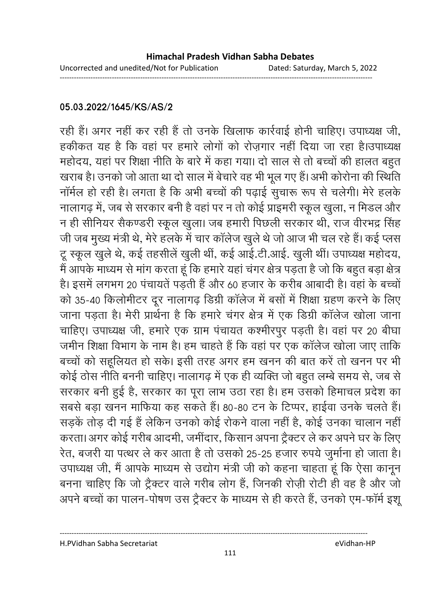### **05.03.2022/1645/KS/AS/2**

रही है। अगर नहीं कर रही है तो उनके खिलाफ कार्रवाई होनी चाहिए। उपाध्यक्ष जी, हकीकत यह है कि वहां पर हमारे लोगों को रोजगार नहीं दिया जा रहा है।उपाध्यक्ष महोदय, यहां पर शिक्षा नीति के बारे में कहा गया। दो साल से तो बच्चों की हालत बहुत खराब है। उनको जो आता था दो साल में बेचारे वह भी भूल गए हैं। अभी कोरोना की स्थिति । नामेल हो रही है। लगता है कि अभी बच्चों की पढ़ाई सुचारू रूप से चलेगी। मेरे हलके नालागढ़ में, जब से सरकार बनी है वहां पर न तो कोई प्राइमरी स्कूल खुला, न मिडल और न ही सीनियर सैकण्डरी स्कूल खुला। जब हमारी पिछली सरकार थी, राज वीरभद्र सिंह जी जब मुख्य मंत्री थे, मेरे हलके में चार कॉलेज खुले थे जो आज भी चल रहे हैं। कई प्लस टू स्कूल खुले थे, कई तहसीलें खुली थीं, कई आई.टी.आई. खुली थीं। उपाध्यक्ष महोदय, मैं आपके माध्यम से मांग करता हूं कि हमारे यहां चंगर क्षेत्र पड़ता है जो कि बहुत बड़ा क्षेत्र है। इसमें लगभग 20 पंचायतें पड़ती हैं और 60 हजार के करीब आबादी है। वहां के बच्चों को 35-40 किलोमीटर दूर नालागढ़ डिग्री कॉलेज में बसों में शिक्षा ग्रहण करने के लिए जाना पडता है। मेरी प्रार्थना है कि हमारे चंगर क्षेत्र में एक डिग्री कॉलेज खोला जाना चाहिए। उपाध्यक्ष जी, हमारे एक ग्राम पंचायत कश्मीरपुर पड़ती है। वहां पर 20 बीघा जमीन शिक्षा विभाग के नाम है। हम चाहते हैं कि वहां पर एक कॉलेज खोला जाए ताकि बच्चों को सहूलियत हो सके। इसी तरह अगर हम खनन की बात करें तो खनन पर भी कोई ठोस नीति बननी चाहिए। नालागढ़ में एक ही व्यक्ति जो बहुत लम्बे समय से, जब से सरकार बनी हुई है, सरकार का पूरा लाभ उठा रहा है। हम उसको हिमाचल प्रदेश का सबसे बड़ा खनन माफिया कह सकते हैं। 80-80 टन के टिप्पर, हाईवा उनके चलते हैं। सड़कें तोड़ दी गई हैं लेकिन उनको कोई रोकने वाला नहीं है, कोई उनका चालान नहीं करता। अगर कोई गरीब आदमी, जमीदार, किसान अपना ट्रैक्टर ले कर अपने घर के लिए रेत, बजरी या पत्थर ले कर आता है तो उसको 25-25 हजार रुपये जुर्माना हो जाता है। उपाध्यक्ष जी, मैं आपके माध्यम से उद्योग मंत्री जी को कहना चाहता हूं कि ऐसा कानून बनना चाहिए कि जो ट्रैक्टर वाले गरीब लोग हैं, जिनकी रोज़ी रोटी ही वह है और जो अपने बच्चों का पालन-पोषण उस ट्रैक्टर के माध्यम से ही करते हैं, उनको एम-फार्म इशू

H.PVidhan Sabha Secretariat eVidhan-HP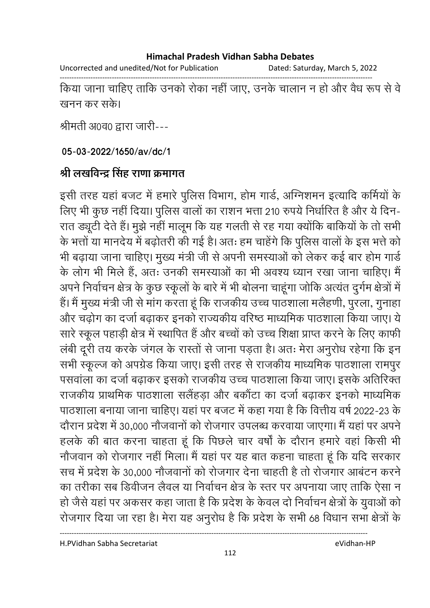#### **Himachal Pradesh Vidhan Sabha Debates**

Uncorrected and unedited/Not for Publication Dated: Saturday, March 5, 2022

------------------------------------------------------------------------------------------------------------------------------------ किया जाना चाहिए ताकि उनको रोका नहीं जाए, उनके चालान न हो और वैध रूप से वे खनन कर सके।

श्रीमती अ0व0 द्वारा जारी---

**05-03-2022/1650/av/dc/1**

# श्री लखविन्द्र सिंह राणा क्रमांगत

इसी तरह यहां बजट में हमारे पुलिस विभाग, होम गार्ड, ओग्नेशमन इत्यादि कमियों के लिए भी कुछ नहीं दिया। पुलिस वालों का राशन भत्ता 210 रुपये निर्धारित है और ये दिन-रात ड्यूटी देते हैं। मुझे नहीं मालूम कि यह गलती से रह गया क्योंकि बाकियों के तो सभी के भत्तों या मानदेय में बढ़ोतरी की गई है। अतः हम चाहेंगे कि पुलिस वालों के इस भत्ते को भी बढ़ाया जाना चाहिए। मुख्य मंत्री जी से अपनी समस्याओं को लेकर कई बार होम गार्ड के लोग भी मिले हैं, अतः उनकी समस्याओं का भी अवश्य ध्यान रखा जाना चाहिए। मैं अपने निर्वाचन क्षेत्र के कुछ स्कूलों के बारे में भी बोलना चाहूंगा जोकि अत्यंत दुर्गम क्षेत्रों में हैं। मैं मुख्य मंत्री जी से मांग करता हूं कि राजकीय उच्च पाठशाला मलैहणी, पुरला, गुनाहा और चढ़ोग का दर्जा बढ़ाकर इनको राज्यकीय वरिष्ठ माध्यमिक पाठशाला किया जाए। ये सारे स्कूल पहाड़ी क्षेत्र में स्थापित हैं और बच्चों को उच्च शिक्षा प्राप्त करने के लिए काफी लबी दूरी तय करके जगल के रास्तों से जाना पड़ता है। अतः मेरा अनुरोध रहेगा कि इन सभी स्कूल्ज को अपग्रैंड किया जाए। इसी तरह से राजकीय माध्यमिक पाठशाला रामपुर पसवाला का दर्जा बढ़ाकर इसको राजकीय उच्च पाठशाला किया जाए। इसके अतिरिक्त राजकीय प्राथमिक पाठशाला सलैंहड़ा और बकौंटा का दर्जा बढ़ाकर इनको माध्यमिक पाठशाला बनाया जाना चाहिए। यहां पर बजट में कहा गया है कि वित्तीय वर्ष 2022-23 के दौरान प्रदेश में 30,000 नौजवानों को रोजगार उपलब्ध करवाया जाएगा। मैं यहां पर अपने हलके की बात करना चाहता हूं कि पिछले चार वर्षों के दौरान हमारे वहां किसी भी नौजवान को रोजगार नहीं मिला। मैं यहां पर यह बात कहना चाहता हूं कि यदि सरकार सच में प्रदेश के 30,000 नौजवानों को रोजगार देना चाहती है तो रोजगार आबंटन करने का तरीका सब डिवीजन लैवल या निर्वाचन क्षेत्र के स्तर पर अपनाया जाए तार्कि ऐसा न हों जैसे यहां पर अकसर कहा जाता है कि प्रदेश के केवल दो निर्वाचन क्षेत्रों के युवाओं को रोजगार दिया जा रहा है। मेरा यह अनुरोध है कि प्रदेश के सभी 68 विधान सभा क्षेत्रों के

H.PVidhan Sabha Secretariat eVidhan-HP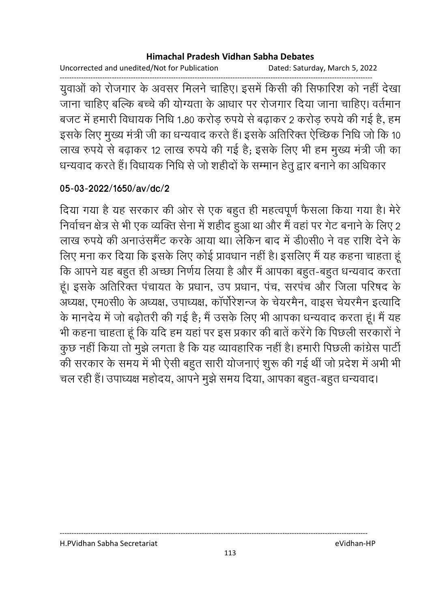#### **Himachal Pradesh Vidhan Sabha Debates**

Uncorrected and unedited/Not for Publication Dated: Saturday, March 5, 2022

------------------------------------------------------------------------------------------------------------------------------------ युवाओं को रोजगार के अवसर मिलने चाहिए। इसमें किसी की सिफारिश को नहीं देखा ँ<br>जाना चाहिए बल्कि बच्चे की योग्यता के आधार पर रोजगार दिया जाना चाहिए। वर्तमान बजट में हमारी विधायक निधि 1.80 करोड़ रुपये से बढ़ाकर 2 करोड़ रुपये की गई है, हम इसके लिए मुख्य मंत्री जी का धन्यवाद करते हैं। इसके अतिरिक्त ऐंच्छिक निधि जो कि 10 | लाख रुपये से बढ़ाकर 12 लाख रुपये की गई है; इसके लिए भी हम मुख्य मंत्री जी का धन्यवाद करते हैं। विधायक निधि से जो शहीदों के सम्मान हेतु द्वार बनाने का अधिकार

## **05-03-2022/1650/av/dc/2**

दिया गया है यह सरकार की ओर से एक बहुत ही महत्वपूर्ण फैसला किया गया है। मेरे निर्वाचन क्षेत्र से भी एक व्यक्ति सेना में शहीद हुआ था और मैं वहां पर गेट बनाने के लिए 2 लाख रुपये की अनाउसमैंट करके आया था। लेकिन बाद में डी0सी0 ने वह राशि देने के लिए मना कर दिया कि इसके लिए कोई प्रावधान नहीं है। इसलिए मैं यह कहना चाहता हं कि आपने यह बहुत ही अच्छा निर्णय लिया है और मैं आपका बहुत-बहुत धन्यवाद करता हूं। इसके अतिरिक्त पंचायत के प्रधान, उप प्रधान, पंच, सरपंच और जिला परिषद के अध्यक्ष, एम0सी0 के अध्यक्ष, उपाध्यक्ष, कापरिशन्ज के चेयरमैन, वाइस चेयरमैन इत्यादि के मानदेय में जो बढ़ोतरी की गई है; मैं उसके लिए भी आपका धन्यवाद करता हूं। मैं यह भी कहना चाहता हूं कि यदि हम यहां पर इस प्रकार की बातें करेंगे कि पिछली सरकारों ने कुछ नहीं किया तो मूझे लगता है कि यह व्यावहारिक नहीं है। हमारी पिछली कांग्रेस पार्टी की सरकार के समय में भी ऐसी बहुत सारी योजनाएं शुरू की गई थी जो प्रदेश में अभी भी चल रही हैं। उपाध्यक्ष महोदय, आपने मूझे समय दिया, आपका बहूत-बहूत धन्यवाद।